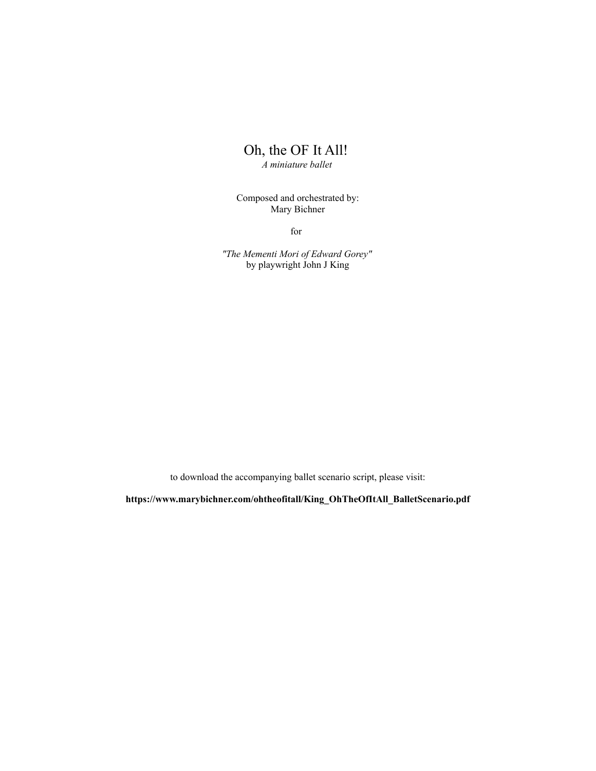## Oh, the OF It All!

*A miniature ballet*

Composed and orchestrated by: Mary Bichner

for

*"The Mementi Mori of Edward Gorey"* by playwright John J King

to download the accompanying ballet scenario script, please visit:

**https://www.marybichner.com/ohtheofitall/King\_OhTheOfItAll\_BalletScenario.pdf**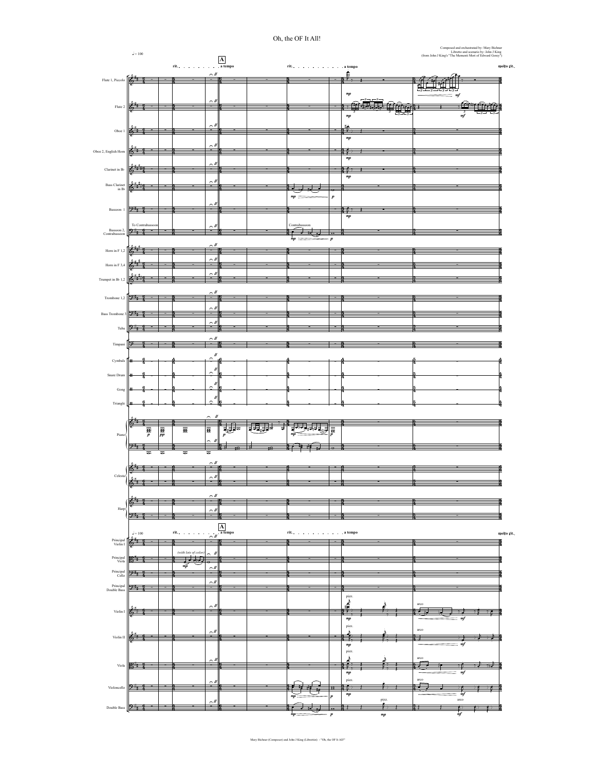

|                               | $= 100$           |          |    |                      |                                             | $\boldsymbol{\mathsf{A}}$                                                                     |   |                                                                                                                                                                    |                  |                          |                            |                                  | Composed and orchestrated by: Naty Bichiel<br>Libretto and scenario by: John J King<br>(from John J King's "The Mementi Mori of Edward Gorey") |
|-------------------------------|-------------------|----------|----|----------------------|---------------------------------------------|-----------------------------------------------------------------------------------------------|---|--------------------------------------------------------------------------------------------------------------------------------------------------------------------|------------------|--------------------------|----------------------------|----------------------------------|------------------------------------------------------------------------------------------------------------------------------------------------|
|                               |                   |          |    | rit<br>n.<br>÷.      |                                             | . a tempo $\,$                                                                                |   | rit<br>×                                                                                                                                                           | $\cdot$          | a tempo                  |                            |                                  | molto rit.                                                                                                                                     |
|                               |                   |          |    |                      | $\sim$                                      |                                                                                               |   |                                                                                                                                                                    |                  | €                        |                            |                                  |                                                                                                                                                |
| Flute 1, Piccolo              | $\frac{1}{\Phi}$  |          |    |                      | ۰.                                          |                                                                                               |   |                                                                                                                                                                    |                  | 4 K.                     |                            | Ħ                                | 琵                                                                                                                                              |
|                               |                   |          |    |                      |                                             |                                                                                               |   |                                                                                                                                                                    |                  | $_{\mathit{mp}}$         |                            | 힡<br>$-3 - -3 -$<br>$ 3-$<br>–3⊣ |                                                                                                                                                |
|                               |                   |          |    |                      |                                             |                                                                                               |   |                                                                                                                                                                    |                  |                          |                            | mf                               |                                                                                                                                                |
| Flute 2                       | ⊕                 |          |    |                      | $\simeq$ $\!$                               |                                                                                               |   |                                                                                                                                                                    |                  | ₩                        |                            |                                  | ÷                                                                                                                                              |
|                               |                   |          |    |                      |                                             |                                                                                               |   |                                                                                                                                                                    |                  | $_{\mathit{mp}}$         |                            |                                  | $\frac{3}{m f}$                                                                                                                                |
|                               |                   |          |    |                      |                                             |                                                                                               |   |                                                                                                                                                                    |                  |                          |                            |                                  |                                                                                                                                                |
| Oboe 1                        | f.                |          |    |                      | $\sim$<br>н.                                |                                                                                               |   |                                                                                                                                                                    |                  | ŕÞ.                      |                            |                                  |                                                                                                                                                |
|                               |                   |          |    |                      |                                             |                                                                                               |   |                                                                                                                                                                    |                  | $_{\mathit{mp}}$         |                            |                                  |                                                                                                                                                |
|                               |                   |          |    |                      | $\triangle''$                               |                                                                                               |   |                                                                                                                                                                    |                  |                          |                            |                                  |                                                                                                                                                |
| Oboe 2, English Horn          | f.                |          |    |                      |                                             |                                                                                               |   |                                                                                                                                                                    |                  | ₽                        |                            |                                  |                                                                                                                                                |
|                               |                   |          |    |                      |                                             |                                                                                               |   |                                                                                                                                                                    |                  | $\mathfrak{m}p$          |                            |                                  |                                                                                                                                                |
| Clarinet in Bi                |                   |          |    |                      | $\overline{ }$<br>c                         |                                                                                               |   |                                                                                                                                                                    |                  |                          |                            |                                  |                                                                                                                                                |
|                               | 6                 |          |    |                      |                                             |                                                                                               |   |                                                                                                                                                                    |                  | ₽<br>$_{\it mp}$         |                            |                                  |                                                                                                                                                |
| <b>Bass Clarinet</b>          |                   |          |    |                      | $\triangle''$                               |                                                                                               |   |                                                                                                                                                                    |                  |                          |                            |                                  |                                                                                                                                                |
| in B5                         | ⊕                 |          |    |                      | ≂                                           |                                                                                               |   |                                                                                                                                                                    |                  |                          |                            |                                  |                                                                                                                                                |
|                               |                   |          |    |                      |                                             |                                                                                               |   | $_{\boldsymbol{m} \boldsymbol{p}}$                                                                                                                                 | $\boldsymbol{p}$ |                          |                            |                                  |                                                                                                                                                |
|                               |                   |          |    |                      | $\triangle$                                 |                                                                                               |   |                                                                                                                                                                    |                  |                          |                            |                                  |                                                                                                                                                |
| Bassoon 1                     | 71,               |          |    |                      |                                             |                                                                                               |   |                                                                                                                                                                    |                  | ⊟ਾਂ                      |                            |                                  |                                                                                                                                                |
|                               |                   |          |    |                      |                                             |                                                                                               |   |                                                                                                                                                                    |                  | $_{\mathit{mp}}$         |                            |                                  |                                                                                                                                                |
|                               | To Contrabassoo   |          |    |                      | $\sim$                                      |                                                                                               |   | Contrabassoon                                                                                                                                                      |                  |                          |                            |                                  |                                                                                                                                                |
| Bassoon 2,<br>Contrabassoon   | 94                |          |    |                      |                                             |                                                                                               |   |                                                                                                                                                                    |                  |                          |                            |                                  |                                                                                                                                                |
|                               |                   |          |    |                      | $\sim$                                      |                                                                                               |   | mp                                                                                                                                                                 | $\boldsymbol{p}$ |                          |                            |                                  |                                                                                                                                                |
| Horn in F 1,2                 | t.,               |          |    |                      | Ξ                                           |                                                                                               |   |                                                                                                                                                                    |                  |                          |                            |                                  |                                                                                                                                                |
|                               |                   |          |    |                      | $\sim$                                      |                                                                                               |   |                                                                                                                                                                    |                  |                          |                            |                                  |                                                                                                                                                |
| Horn in F 3,4                 |                   |          |    |                      | ⋍                                           |                                                                                               |   |                                                                                                                                                                    |                  |                          |                            |                                  |                                                                                                                                                |
|                               |                   |          |    |                      | $\sim$                                      |                                                                                               |   |                                                                                                                                                                    |                  |                          |                            |                                  |                                                                                                                                                |
| Trumpet in B <sub>b</sub> 1,2 | 喬                 |          |    |                      |                                             |                                                                                               |   |                                                                                                                                                                    |                  |                          |                            |                                  |                                                                                                                                                |
|                               |                   |          |    |                      |                                             |                                                                                               |   |                                                                                                                                                                    |                  |                          |                            |                                  |                                                                                                                                                |
| Trombone 1,2                  | 92,               |          |    |                      | $\prime$<br>c<br>Ξ.                         |                                                                                               |   |                                                                                                                                                                    |                  |                          |                            |                                  |                                                                                                                                                |
|                               |                   |          |    |                      |                                             |                                                                                               |   |                                                                                                                                                                    |                  |                          |                            |                                  |                                                                                                                                                |
| Bass Trombone 3               | 93,               |          |    |                      | $\sim$                                      |                                                                                               |   |                                                                                                                                                                    |                  |                          |                            |                                  |                                                                                                                                                |
|                               |                   |          |    |                      |                                             |                                                                                               |   |                                                                                                                                                                    |                  |                          |                            |                                  |                                                                                                                                                |
|                               | 71,               |          |    |                      | $\sim$<br>Ξ                                 |                                                                                               |   |                                                                                                                                                                    |                  |                          |                            |                                  |                                                                                                                                                |
| Tuba                          |                   |          |    |                      |                                             |                                                                                               |   |                                                                                                                                                                    |                  |                          |                            |                                  |                                                                                                                                                |
|                               |                   |          |    |                      | $\sim$<br>$\equiv$                          |                                                                                               |   |                                                                                                                                                                    |                  |                          |                            |                                  |                                                                                                                                                |
| Timpani                       | ታ                 |          |    |                      |                                             |                                                                                               |   |                                                                                                                                                                    |                  |                          |                            |                                  |                                                                                                                                                |
|                               |                   |          |    |                      | $\prime\prime$                              |                                                                                               |   |                                                                                                                                                                    |                  |                          |                            |                                  |                                                                                                                                                |
| Cymbals                       | ₩                 |          |    |                      | C                                           | uf                                                                                            |   |                                                                                                                                                                    |                  |                          |                            |                                  | É                                                                                                                                              |
|                               |                   |          |    |                      | $^{\prime\prime}$                           |                                                                                               |   |                                                                                                                                                                    |                  |                          |                            |                                  |                                                                                                                                                |
| Snare Drum                    | #                 |          |    |                      | $\hat{\mathbb{P}}$                          |                                                                                               |   |                                                                                                                                                                    |                  |                          |                            |                                  |                                                                                                                                                |
|                               |                   |          |    |                      | $\prime\prime$<br>c                         |                                                                                               |   |                                                                                                                                                                    |                  |                          |                            |                                  |                                                                                                                                                |
| Gong                          |                   |          |    |                      |                                             |                                                                                               |   |                                                                                                                                                                    |                  |                          |                            |                                  |                                                                                                                                                |
|                               |                   |          |    |                      | $\overline{u}$                              |                                                                                               |   |                                                                                                                                                                    |                  |                          |                            |                                  |                                                                                                                                                |
|                               |                   |          |    |                      | ⌒                                           |                                                                                               |   |                                                                                                                                                                    |                  |                          |                            |                                  |                                                                                                                                                |
| Triangle                      | -11               |          |    |                      |                                             |                                                                                               |   |                                                                                                                                                                    |                  |                          |                            |                                  |                                                                                                                                                |
|                               |                   |          |    |                      | $\mathcal{U}$<br>C                          |                                                                                               |   |                                                                                                                                                                    |                  |                          |                            |                                  |                                                                                                                                                |
|                               | Ġ                 |          |    |                      |                                             |                                                                                               |   |                                                                                                                                                                    |                  |                          |                            |                                  |                                                                                                                                                |
|                               |                   |          | ₩  | 흏                    | 흏                                           | 理                                                                                             |   | $\overline{\overline{\mathbf{J}^{\mathbf{u}}\mathbf{J}^{\mathbf{u}}\mathbf{J}^{\mathbf{u}}\mathbf{J}^{\mathbf{u}}\mathbf{J}^{\mathbf{u}}\mathbf{J}^{\mathbf{u}}}}$ |                  |                          |                            |                                  |                                                                                                                                                |
| Piano                         |                   | 壽戶<br>pp |    |                      | h                                           | $\boldsymbol{p}$                                                                              |   | mp                                                                                                                                                                 | $\bar{p}$        |                          |                            |                                  |                                                                                                                                                |
|                               | ≘≝                |          |    |                      |                                             |                                                                                               |   |                                                                                                                                                                    |                  |                          |                            |                                  |                                                                                                                                                |
|                               |                   | ᠊᠍       | ᠊ᠲ | ᄛ                    | ᇹ                                           | в                                                                                             | æ |                                                                                                                                                                    |                  |                          |                            |                                  |                                                                                                                                                |
|                               |                   |          |    |                      |                                             |                                                                                               |   |                                                                                                                                                                    |                  |                          |                            |                                  |                                                                                                                                                |
|                               | Ŧ.                |          |    |                      | $\hat{\mathbf{r}}$                          |                                                                                               |   |                                                                                                                                                                    |                  |                          |                            |                                  | 琵                                                                                                                                              |
| Celesta                       |                   |          |    |                      | $\sim$                                      |                                                                                               |   |                                                                                                                                                                    |                  |                          |                            |                                  |                                                                                                                                                |
|                               | ॾ                 |          |    |                      |                                             |                                                                                               |   |                                                                                                                                                                    |                  |                          |                            |                                  |                                                                                                                                                |
|                               |                   |          |    |                      |                                             |                                                                                               |   |                                                                                                                                                                    |                  |                          |                            |                                  |                                                                                                                                                |
|                               |                   |          |    |                      | $\simeq$ $\!$ $\!$                          |                                                                                               |   |                                                                                                                                                                    |                  |                          |                            |                                  |                                                                                                                                                |
|                               | 庵                 |          |    |                      |                                             |                                                                                               |   |                                                                                                                                                                    |                  |                          |                            |                                  | ₩                                                                                                                                              |
| Harp                          | 94                |          |    |                      | $\Omega$<br>Ξ                               |                                                                                               |   |                                                                                                                                                                    |                  |                          |                            |                                  |                                                                                                                                                |
|                               |                   |          |    |                      |                                             |                                                                                               |   |                                                                                                                                                                    |                  |                          |                            |                                  |                                                                                                                                                |
|                               |                   |          |    |                      |                                             |                                                                                               |   |                                                                                                                                                                    |                  |                          |                            |                                  |                                                                                                                                                |
|                               | $= 100$           |          |    | rit.                 |                                             | $A$<br>$\overline{A}$<br>$\overline{A}$<br>$\overline{A}$<br>$\overline{B}$<br>$\overline{B}$ |   | rit.<br>٠                                                                                                                                                          | $\sim$ $\sim$    | a tempo                  |                            |                                  | molto rit.                                                                                                                                     |
| Principal<br>Violin I         | Ë                 |          |    |                      | Ξ                                           | - 16                                                                                          |   |                                                                                                                                                                    |                  |                          |                            |                                  | Ë                                                                                                                                              |
|                               |                   |          |    | (with lots of color) | $\mathcal{U}$                               |                                                                                               |   |                                                                                                                                                                    |                  |                          |                            |                                  |                                                                                                                                                |
| Principal<br>Viola            | 57                |          |    | 坊<br>Ħ               | C                                           |                                                                                               |   |                                                                                                                                                                    |                  |                          |                            |                                  |                                                                                                                                                |
|                               |                   |          |    | $\overline{mp}$      | $\sim$                                      |                                                                                               |   |                                                                                                                                                                    |                  |                          |                            |                                  |                                                                                                                                                |
| Principal<br>Cello            | ≖                 |          |    |                      | ÷                                           |                                                                                               |   |                                                                                                                                                                    |                  |                          |                            |                                  |                                                                                                                                                |
|                               |                   |          |    |                      | $\Delta$                                    |                                                                                               |   |                                                                                                                                                                    |                  |                          |                            |                                  |                                                                                                                                                |
| Principal<br>Double Bass      | ₩                 |          |    |                      |                                             |                                                                                               |   |                                                                                                                                                                    |                  |                          |                            |                                  |                                                                                                                                                |
|                               |                   |          |    |                      |                                             |                                                                                               |   |                                                                                                                                                                    |                  |                          |                            |                                  |                                                                                                                                                |
|                               |                   |          |    |                      |                                             |                                                                                               |   |                                                                                                                                                                    |                  |                          |                            | $\rm arco$                       |                                                                                                                                                |
| Violin I                      |                   |          |    |                      | $\mathbin{\underline{\mathrel{\frown}}}}''$ |                                                                                               |   |                                                                                                                                                                    |                  | pizz.                    |                            | £                                | ΣŚ                                                                                                                                             |
|                               |                   |          |    |                      |                                             |                                                                                               |   |                                                                                                                                                                    |                  | $_{\mathit{mp}}$         |                            |                                  | m                                                                                                                                              |
|                               |                   |          |    |                      |                                             |                                                                                               |   |                                                                                                                                                                    |                  | pizz.                    |                            |                                  |                                                                                                                                                |
|                               |                   |          |    |                      | $\sim$<br>╼                                 |                                                                                               |   |                                                                                                                                                                    |                  |                          |                            | $\arccos$                        |                                                                                                                                                |
| Violin $\Pi$                  | ۵                 |          |    |                      |                                             |                                                                                               |   |                                                                                                                                                                    |                  | ₹                        |                            | ₹                                | 7 P K<br>∸<br>mf                                                                                                                               |
|                               |                   |          |    |                      |                                             |                                                                                               |   |                                                                                                                                                                    |                  | $\mathfrak{m}p$<br>pizz. |                            |                                  |                                                                                                                                                |
|                               |                   |          |    |                      |                                             |                                                                                               |   |                                                                                                                                                                    |                  | ٨                        |                            | areo                             |                                                                                                                                                |
| Viola                         | $B^{\frac{1}{2}}$ |          |    |                      | $\triangle''$<br>÷                          |                                                                                               |   |                                                                                                                                                                    |                  | $\bar{\mathfrak{p}}$ ,   |                            | £<br>- 1                         | $\mathbf{y} = \mathbf{y}$                                                                                                                      |
|                               |                   |          |    |                      |                                             |                                                                                               |   |                                                                                                                                                                    |                  | $\mathfrak{m}p$          |                            |                                  | mf                                                                                                                                             |
|                               |                   |          |    |                      | $\sim$                                      |                                                                                               |   |                                                                                                                                                                    |                  | pizz.                    |                            | arco                             |                                                                                                                                                |
| Violoncello                   | 24                |          | ≖  |                      | ÷                                           |                                                                                               |   |                                                                                                                                                                    |                  | ∤ք∍                      | ₽<br>¥                     | ₫<br>ı                           | ÷<br>۰<br>z.<br>¥                                                                                                                              |
|                               |                   |          |    |                      |                                             |                                                                                               |   |                                                                                                                                                                    |                  | $\mathfrak{m}p$          |                            |                                  | mf                                                                                                                                             |
|                               |                   |          |    |                      | $\sim$                                      |                                                                                               |   |                                                                                                                                                                    |                  |                          | pizz.                      | $\arccos$                        |                                                                                                                                                |
| Double Bass                   | 匹车<br>₹           |          |    |                      |                                             |                                                                                               |   | ÷<br>mp                                                                                                                                                            | $\pmb{p}$        | $\frac{4}{3}$            | j,<br>$_{\boldsymbol{m}p}$ | ₿ł<br>₹<br>m f                   | æ<br>÷                                                                                                                                         |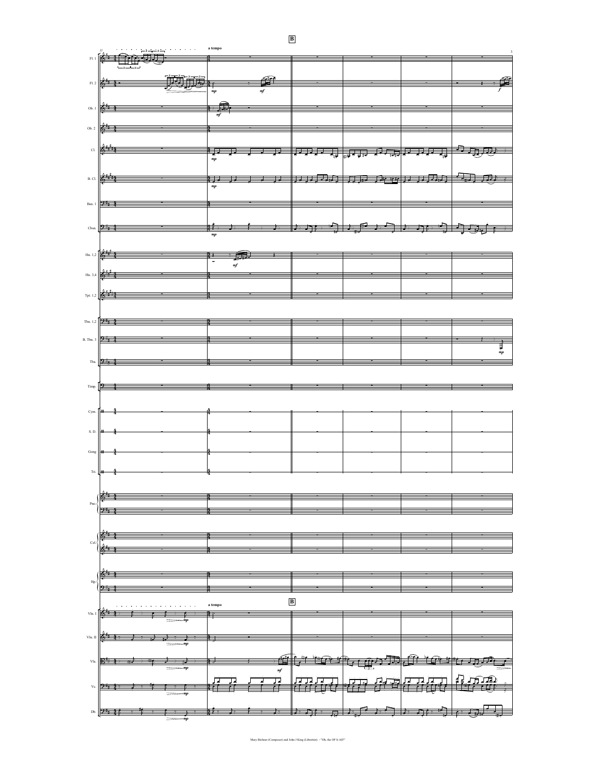|                          |                         |                                                 | a tempo                           |                                                               |                                                                            |                |                                                                                                                      |
|--------------------------|-------------------------|-------------------------------------------------|-----------------------------------|---------------------------------------------------------------|----------------------------------------------------------------------------|----------------|----------------------------------------------------------------------------------------------------------------------|
|                          |                         | … [ <mark>《* 1 ℃ 心 切</mark> 具                   |                                   |                                                               |                                                                            |                |                                                                                                                      |
|                          |                         |                                                 |                                   |                                                               |                                                                            |                |                                                                                                                      |
|                          |                         |                                                 |                                   |                                                               |                                                                            |                |                                                                                                                      |
|                          | FL2 $671$               | 爽爽                                              | ≝                                 |                                                               |                                                                            |                |                                                                                                                      |
|                          |                         |                                                 | mf                                |                                                               |                                                                            |                |                                                                                                                      |
|                          |                         |                                                 | $\frac{1}{\frac{1}{\frac{1}{n}}}$ |                                                               |                                                                            |                |                                                                                                                      |
| Ob. $\boldsymbol{1}$     |                         |                                                 |                                   |                                                               |                                                                            |                |                                                                                                                      |
|                          |                         |                                                 |                                   |                                                               |                                                                            |                |                                                                                                                      |
|                          |                         |                                                 |                                   |                                                               |                                                                            |                |                                                                                                                      |
| Ob. $2\,$                | 6                       |                                                 |                                   |                                                               |                                                                            |                |                                                                                                                      |
|                          |                         |                                                 |                                   |                                                               |                                                                            |                |                                                                                                                      |
|                          |                         |                                                 |                                   |                                                               |                                                                            |                |                                                                                                                      |
|                          | $C1$ $677$              |                                                 | $\frac{1}{\frac{1}{m}}$           |                                                               | @@ التدنية الله السياسية الله المعاملة المناسبة                            |                | $\frac{1}{2}$                                                                                                        |
|                          |                         |                                                 |                                   |                                                               |                                                                            |                |                                                                                                                      |
|                          |                         |                                                 |                                   |                                                               |                                                                            |                |                                                                                                                      |
|                          |                         |                                                 |                                   |                                                               |                                                                            |                |                                                                                                                      |
|                          | B. Cl. $\frac{27}{27}$  |                                                 | $\sum_{m}$<br>⋥<br>≠              |                                                               | بهتا الت <sup>ن</sup>   محتج <del>ب باس به ح</del> الا   محتج <del>ب</del> |                | $\overline{\mathcal{I}}$                                                                                             |
|                          |                         |                                                 |                                   |                                                               |                                                                            |                |                                                                                                                      |
|                          |                         |                                                 |                                   |                                                               |                                                                            |                |                                                                                                                      |
|                          |                         |                                                 |                                   |                                                               |                                                                            |                |                                                                                                                      |
| Bsn. 1                   |                         |                                                 |                                   |                                                               |                                                                            |                |                                                                                                                      |
|                          |                         |                                                 |                                   |                                                               |                                                                            |                |                                                                                                                      |
|                          |                         |                                                 |                                   |                                                               |                                                                            |                |                                                                                                                      |
| $\mathop{\mathsf{Cbsn}}$ | $9 + 1$                 |                                                 | $i^{\dagger}$ :<br>⊉              |                                                               |                                                                            |                | <u>احمد المحت في إن المردس المحت المرد المرد المر</u> العد المحت المحت المرد المحت المحت المحت المحت المحت المحت الم |
|                          |                         |                                                 | $_{\boldsymbol{m}p}$              |                                                               |                                                                            |                |                                                                                                                      |
|                          |                         |                                                 |                                   |                                                               |                                                                            |                |                                                                                                                      |
|                          |                         |                                                 |                                   |                                                               |                                                                            |                |                                                                                                                      |
|                          | $Hn. 1, 2$ $4 + 4$      |                                                 | 一魚<br>៛៖<br> -                    |                                                               |                                                                            |                |                                                                                                                      |
|                          |                         |                                                 | $\it mf$                          |                                                               |                                                                            |                |                                                                                                                      |
|                          | $Hn. 3,4$ $677$         |                                                 |                                   |                                                               |                                                                            |                |                                                                                                                      |
|                          |                         |                                                 |                                   |                                                               |                                                                            |                |                                                                                                                      |
|                          |                         |                                                 |                                   |                                                               |                                                                            |                |                                                                                                                      |
|                          | Tpt. 1,2 $\frac{27}{5}$ |                                                 |                                   |                                                               |                                                                            |                |                                                                                                                      |
|                          |                         |                                                 |                                   |                                                               |                                                                            |                |                                                                                                                      |
|                          |                         |                                                 |                                   |                                                               |                                                                            |                |                                                                                                                      |
|                          |                         |                                                 |                                   |                                                               |                                                                            |                |                                                                                                                      |
| Tbn. 1,2                 | $2+$                    |                                                 |                                   |                                                               |                                                                            |                |                                                                                                                      |
|                          |                         |                                                 |                                   |                                                               |                                                                            |                |                                                                                                                      |
| <b>B.</b> Tbn. 3         | 24,                     |                                                 |                                   |                                                               |                                                                            |                |                                                                                                                      |
|                          |                         |                                                 |                                   |                                                               |                                                                            |                | ₹                                                                                                                    |
|                          |                         |                                                 |                                   |                                                               |                                                                            |                | mp                                                                                                                   |
| Tba.                     | $2 - 1$                 |                                                 |                                   |                                                               |                                                                            |                |                                                                                                                      |
|                          |                         |                                                 |                                   |                                                               |                                                                            |                |                                                                                                                      |
|                          |                         |                                                 |                                   |                                                               |                                                                            |                |                                                                                                                      |
|                          |                         |                                                 |                                   |                                                               |                                                                            |                |                                                                                                                      |
| Timp.                    |                         |                                                 |                                   |                                                               |                                                                            |                |                                                                                                                      |
|                          |                         |                                                 |                                   |                                                               |                                                                            |                |                                                                                                                      |
|                          |                         |                                                 |                                   |                                                               |                                                                            |                |                                                                                                                      |
| Cym. $H$                 | $^{-4}$                 |                                                 |                                   |                                                               |                                                                            |                |                                                                                                                      |
|                          |                         |                                                 |                                   |                                                               |                                                                            |                |                                                                                                                      |
|                          | ŀ۰                      |                                                 |                                   |                                                               |                                                                            |                |                                                                                                                      |
| $\mathbf S.$ D.          |                         | -4                                              |                                   |                                                               |                                                                            |                |                                                                                                                      |
|                          |                         |                                                 |                                   |                                                               |                                                                            |                |                                                                                                                      |
| Gong H                   |                         |                                                 |                                   |                                                               |                                                                            |                |                                                                                                                      |
|                          |                         |                                                 |                                   |                                                               |                                                                            |                |                                                                                                                      |
|                          |                         |                                                 |                                   |                                                               |                                                                            |                |                                                                                                                      |
|                          |                         |                                                 |                                   |                                                               |                                                                            |                |                                                                                                                      |
|                          |                         |                                                 |                                   |                                                               |                                                                            |                |                                                                                                                      |
|                          |                         |                                                 |                                   |                                                               |                                                                            |                |                                                                                                                      |
|                          |                         |                                                 |                                   |                                                               |                                                                            |                |                                                                                                                      |
| Pno.                     |                         |                                                 |                                   |                                                               |                                                                            |                |                                                                                                                      |
|                          | P1.                     |                                                 |                                   |                                                               |                                                                            |                |                                                                                                                      |
|                          |                         |                                                 |                                   |                                                               |                                                                            |                |                                                                                                                      |
|                          |                         |                                                 |                                   |                                                               |                                                                            |                |                                                                                                                      |
|                          |                         |                                                 |                                   |                                                               |                                                                            |                |                                                                                                                      |
| Cel.                     |                         |                                                 |                                   |                                                               |                                                                            |                |                                                                                                                      |
|                          | 看                       |                                                 |                                   |                                                               |                                                                            |                |                                                                                                                      |
|                          |                         |                                                 |                                   |                                                               |                                                                            |                |                                                                                                                      |
|                          |                         |                                                 |                                   |                                                               |                                                                            |                |                                                                                                                      |
|                          |                         |                                                 |                                   |                                                               |                                                                            |                |                                                                                                                      |
|                          |                         |                                                 |                                   |                                                               |                                                                            |                |                                                                                                                      |
| Hp.                      |                         |                                                 |                                   |                                                               |                                                                            |                |                                                                                                                      |
|                          | 乎                       |                                                 |                                   |                                                               |                                                                            |                |                                                                                                                      |
|                          |                         |                                                 | $\pmb{\mathbb{B}}$                |                                                               |                                                                            |                |                                                                                                                      |
|                          |                         |                                                 | $\bf a$ tempo                     |                                                               |                                                                            |                |                                                                                                                      |
| $V\!$ In. I              |                         |                                                 |                                   |                                                               |                                                                            |                |                                                                                                                      |
|                          |                         |                                                 |                                   |                                                               |                                                                            |                |                                                                                                                      |
|                          |                         |                                                 |                                   |                                                               |                                                                            |                |                                                                                                                      |
| $Vln$ . II               | 65                      |                                                 |                                   |                                                               |                                                                            |                |                                                                                                                      |
|                          |                         | mp                                              |                                   |                                                               |                                                                            |                |                                                                                                                      |
|                          |                         |                                                 |                                   |                                                               |                                                                            |                |                                                                                                                      |
|                          |                         |                                                 |                                   |                                                               |                                                                            |                |                                                                                                                      |
| Vla.                     |                         | $\rightarrow$ $\rightarrow$<br>$3 - 4 - 4$<br>Ŧ |                                   |                                                               | Ŵ,<br>↵                                                                    |                | ᇩ                                                                                                                    |
|                          |                         | mp                                              | $\it mf$                          |                                                               |                                                                            |                |                                                                                                                      |
|                          |                         |                                                 | ∏<br>♫<br>⋥                       |                                                               | 7                                                                          | ♫<br>◢         | $\frac{1}{1}$                                                                                                        |
| Vc.                      | 94.                     | $\overline{\phantom{a}}$                        |                                   | ال <del>بيدا لايد</del>                                       | $\Box$ :                                                                   |                |                                                                                                                      |
|                          |                         | mp                                              |                                   |                                                               |                                                                            |                |                                                                                                                      |
|                          |                         |                                                 |                                   |                                                               |                                                                            |                |                                                                                                                      |
|                          |                         |                                                 |                                   |                                                               |                                                                            |                |                                                                                                                      |
|                          | Db. $247$               |                                                 | $\imath$ .                        | $\frac{1}{2}$ , $\frac{1}{2}$ , $\frac{1}{2}$ , $\frac{1}{2}$ | ナイー                                                                        | Ş<br>₩<br>ने प | Ŧ<br>₹⋥⋥                                                                                                             |

mp

**B**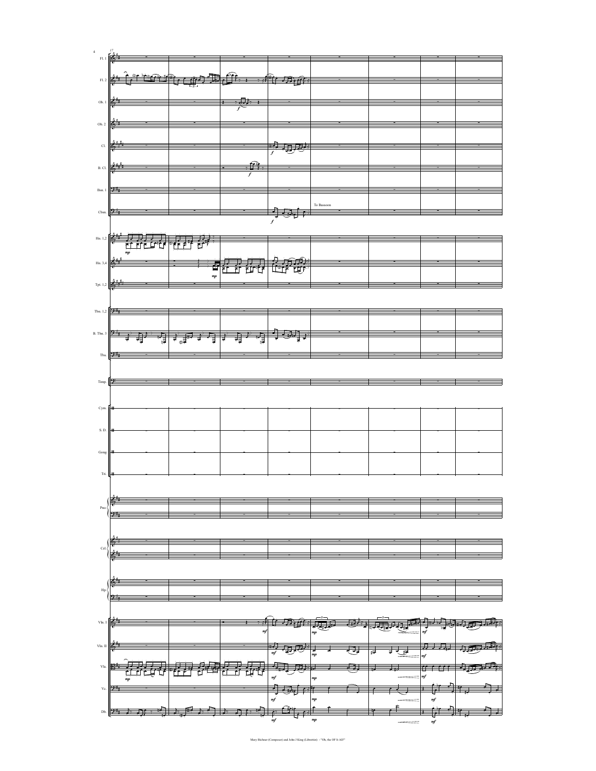| FLI                                    |              |                                    |      |        |                 |                  |                  |                 |              |                |         |          |       |                                  |                       |
|----------------------------------------|--------------|------------------------------------|------|--------|-----------------|------------------|------------------|-----------------|--------------|----------------|---------|----------|-------|----------------------------------|-----------------------|
|                                        |              |                                    |      |        |                 |                  |                  |                 |              |                |         |          |       |                                  |                       |
|                                        |              |                                    |      |        |                 | ∸⊓               |                  |                 |              |                |         |          |       |                                  |                       |
| $\mathbb{F} \mathbb{L}$ 2              |              |                                    |      | ਿ ਪ੍ਰਾ |                 |                  | $-2^{2}$         |                 | ीधर          |                |         |          |       |                                  |                       |
|                                        |              |                                    |      |        |                 |                  |                  |                 |              |                |         |          |       |                                  |                       |
| Ob. $\boldsymbol{1}$                   |              |                                    |      |        |                 | —                |                  |                 |              |                |         |          |       |                                  |                       |
|                                        |              |                                    |      |        |                 | $\boldsymbol{f}$ |                  |                 |              |                |         |          |       |                                  |                       |
|                                        |              |                                    |      |        |                 |                  |                  |                 |              |                |         |          |       |                                  |                       |
| Ob. $2\,$                              | 屠            |                                    |      |        |                 |                  |                  |                 |              |                |         |          |       |                                  |                       |
|                                        |              |                                    |      |        |                 |                  |                  |                 |              |                |         |          |       |                                  |                       |
|                                        |              |                                    |      |        |                 |                  |                  |                 |              |                |         |          |       |                                  |                       |
| $\operatorname{Cl}$                    | 矞            |                                    |      |        |                 |                  |                  | پښ              | 現要           |                |         |          |       |                                  |                       |
|                                        |              |                                    |      |        |                 |                  |                  |                 |              |                |         |          |       |                                  |                       |
| $\, {\bf B} . \, {\bf C} {\bf l} . \,$ | 6≡           |                                    |      |        |                 |                  |                  |                 |              |                |         |          |       |                                  |                       |
|                                        |              |                                    |      |        |                 |                  | $\boldsymbol{f}$ |                 |              |                |         |          |       |                                  |                       |
|                                        |              |                                    |      |        |                 |                  |                  |                 |              |                |         |          |       |                                  |                       |
| Bsn. 1                                 | - 1          |                                    |      |        |                 |                  |                  |                 |              |                |         |          |       |                                  |                       |
|                                        |              |                                    |      |        |                 |                  |                  |                 |              |                |         |          |       |                                  |                       |
| Cbsn.                                  | ≖            |                                    |      |        |                 |                  |                  |                 | F            | To Bassoon     |         |          |       |                                  |                       |
|                                        |              |                                    |      |        |                 |                  |                  | ╡               | ङ⊮           |                |         |          |       |                                  |                       |
|                                        |              |                                    |      |        |                 |                  |                  |                 |              |                |         |          |       |                                  |                       |
| Hn. 1,2                                | 斎            |                                    |      |        |                 |                  |                  |                 |              |                |         |          |       |                                  |                       |
|                                        |              | 提示                                 | 큕    | 醒罪     | 퓲               |                  |                  |                 |              |                |         |          |       |                                  |                       |
|                                        |              | $_{\boldsymbol{m} \boldsymbol{p}}$ |      |        |                 |                  |                  |                 |              |                |         |          |       |                                  |                       |
| Hn. 3,4                                |              |                                    |      |        |                 |                  |                  |                 |              |                |         |          |       |                                  |                       |
|                                        |              |                                    |      |        | 최               | 在了西位             |                  |                 | 霉霉           |                |         |          |       |                                  |                       |
|                                        |              |                                    |      |        | $\mathfrak{m}p$ |                  |                  |                 |              |                |         |          |       |                                  |                       |
| Tpt. 1,2                               |              |                                    |      |        |                 |                  |                  |                 |              |                |         |          |       |                                  |                       |
|                                        |              |                                    |      |        |                 |                  |                  |                 |              |                |         |          |       |                                  |                       |
|                                        |              |                                    |      |        |                 |                  |                  |                 |              |                |         |          |       |                                  |                       |
| Tbn. 1,2 2                             |              |                                    |      |        |                 |                  |                  |                 |              |                |         |          |       |                                  |                       |
|                                        |              |                                    |      |        |                 |                  |                  |                 |              |                |         |          |       |                                  |                       |
|                                        | 24           |                                    |      |        |                 |                  |                  |                 |              |                |         |          |       |                                  |                       |
| <b>B.</b> Tbn. 3                       |              | ŧ                                  | ग्वे | ₹ुक    | ₹<br>▌          | Ę<br>₹           | 尹<br>स्त्र       | Ş               | 尋<br>₹       |                |         |          |       |                                  |                       |
|                                        |              |                                    |      |        |                 |                  |                  |                 |              |                |         |          |       |                                  |                       |
| Tba.                                   | 笋            |                                    |      |        |                 |                  |                  |                 |              |                |         |          |       |                                  |                       |
|                                        |              |                                    |      |        |                 |                  |                  |                 |              |                |         |          |       |                                  |                       |
|                                        |              |                                    |      |        |                 |                  |                  |                 |              |                |         |          |       |                                  |                       |
| Timp.                                  | <del>⊋</del> |                                    |      |        |                 |                  |                  |                 |              |                |         |          |       |                                  |                       |
|                                        |              |                                    |      |        |                 |                  |                  |                 |              |                |         |          |       |                                  |                       |
|                                        |              |                                    |      |        |                 |                  |                  |                 |              |                |         |          |       |                                  |                       |
| Cym.                                   | ſн           |                                    |      |        |                 |                  |                  |                 |              |                |         |          |       |                                  |                       |
|                                        |              |                                    |      |        |                 |                  |                  |                 |              |                |         |          |       |                                  |                       |
|                                        |              |                                    |      |        |                 |                  |                  |                 |              |                |         |          |       |                                  |                       |
| $\mathbf S.$ D.                        | H            |                                    |      |        |                 |                  |                  |                 |              |                |         |          |       |                                  |                       |
|                                        |              |                                    |      |        |                 |                  |                  |                 |              |                |         |          |       |                                  |                       |
| Gong                                   | Ħ            |                                    |      |        |                 |                  |                  |                 |              |                |         |          |       |                                  |                       |
|                                        |              |                                    |      |        |                 |                  |                  |                 |              |                |         |          |       |                                  |                       |
|                                        |              |                                    |      |        |                 |                  |                  |                 |              |                |         |          |       |                                  |                       |
| Tri.                                   | IН           |                                    |      |        |                 |                  |                  |                 |              |                |         |          |       |                                  |                       |
|                                        |              |                                    |      |        |                 |                  |                  |                 |              |                |         |          |       |                                  |                       |
|                                        |              |                                    |      |        |                 |                  |                  |                 |              |                |         |          |       |                                  |                       |
|                                        | 儚            |                                    |      |        |                 |                  |                  |                 |              |                |         |          |       |                                  |                       |
| Pno.                                   | ታ            |                                    |      |        |                 |                  |                  |                 |              |                |         |          |       |                                  |                       |
|                                        |              |                                    |      |        |                 |                  |                  |                 |              |                |         |          |       |                                  |                       |
|                                        |              |                                    |      |        |                 |                  |                  |                 |              |                |         |          |       |                                  |                       |
|                                        |              |                                    |      |        |                 |                  |                  |                 |              |                |         |          |       |                                  |                       |
| Cel.                                   | Ģ            |                                    |      |        |                 |                  |                  |                 |              |                |         |          |       |                                  |                       |
|                                        | 禹            |                                    |      |        |                 |                  |                  |                 |              |                |         |          |       |                                  |                       |
|                                        |              |                                    |      |        |                 |                  |                  |                 |              |                |         |          |       |                                  |                       |
|                                        |              |                                    |      |        |                 |                  |                  |                 |              |                |         |          |       |                                  |                       |
|                                        |              |                                    |      |        |                 |                  |                  |                 |              |                |         |          |       |                                  |                       |
| Hp.                                    |              |                                    |      |        |                 |                  |                  |                 |              |                |         |          |       |                                  |                       |
|                                        |              |                                    |      |        |                 |                  |                  |                 |              |                |         |          |       |                                  |                       |
|                                        |              |                                    |      |        |                 |                  |                  |                 |              |                |         |          |       |                                  |                       |
|                                        |              |                                    |      |        |                 |                  |                  |                 |              |                |         |          |       |                                  |                       |
| $V\!$ In. I                            | 6            |                                    |      |        |                 |                  |                  |                 | री क्षेत्र   | न्युनि<br>"    | 54<br>Ŧ |          |       | <del>و د او لا مارسته بوده</del> | 再                     |
|                                        |              |                                    |      |        |                 |                  | m f              |                 |              |                |         |          |       |                                  |                       |
|                                        |              |                                    |      |        |                 |                  |                  |                 |              |                |         |          |       |                                  |                       |
| Vln. $\rm II$                          | を            |                                    |      |        |                 |                  |                  | $\frac{m+1}{m}$ | म् ।<br>जन्म |                | ख       | द्भ<br>₹ | তু    | 去<br>$\bigoplus$<br>₹            | <del>नाइक्र लिल</del> |
|                                        |              |                                    |      |        |                 |                  |                  |                 |              | $\frac{1}{mp}$ |         |          |       |                                  |                       |
| Vla.                                   |              |                                    |      |        |                 |                  |                  | <b>去。</b>       | ,टुल         |                | U       | ⋥        | لتولد | a ca                             | الموسورة              |
|                                        |              | $\frac{1}{\frac{mp}{}}$            |      | 향수     | 공학              | 杀者               | र्दल             | $\it mf$        |              |                |         |          |       | mf                               |                       |
|                                        |              |                                    |      |        |                 |                  |                  |                 |              | mp             |         |          |       |                                  |                       |
| $\mathrm{V}\mathrm{c}.$                | 91,          |                                    |      |        |                 |                  |                  | ₹               | ख्य<br>₽     |                |         |          |       |                                  | ≢                     |
|                                        |              |                                    |      |        |                 |                  |                  | $\it mf$        |              | mр             |         |          |       |                                  |                       |
|                                        |              |                                    |      | 埀      |                 |                  |                  |                 |              |                |         |          |       | ₩                                | 尹                     |
| Db.                                    | ╩            |                                    |      |        |                 |                  |                  |                 |              |                |         |          |       |                                  |                       |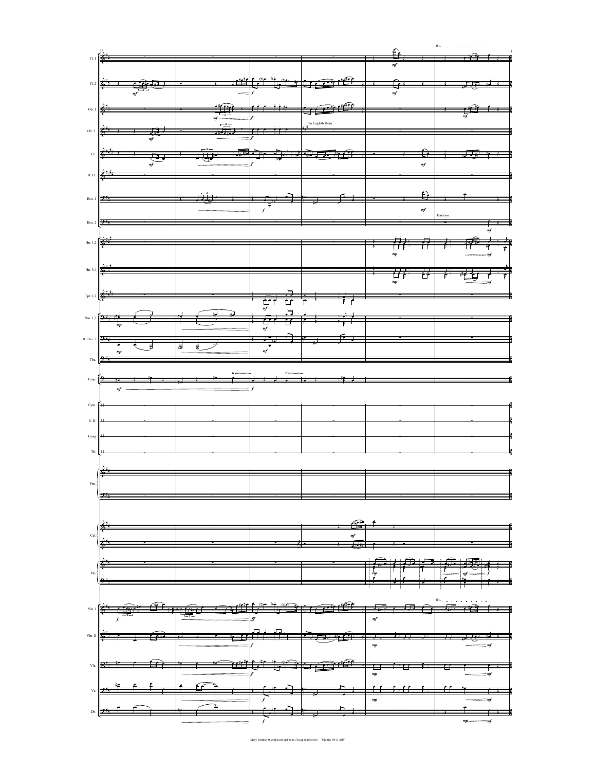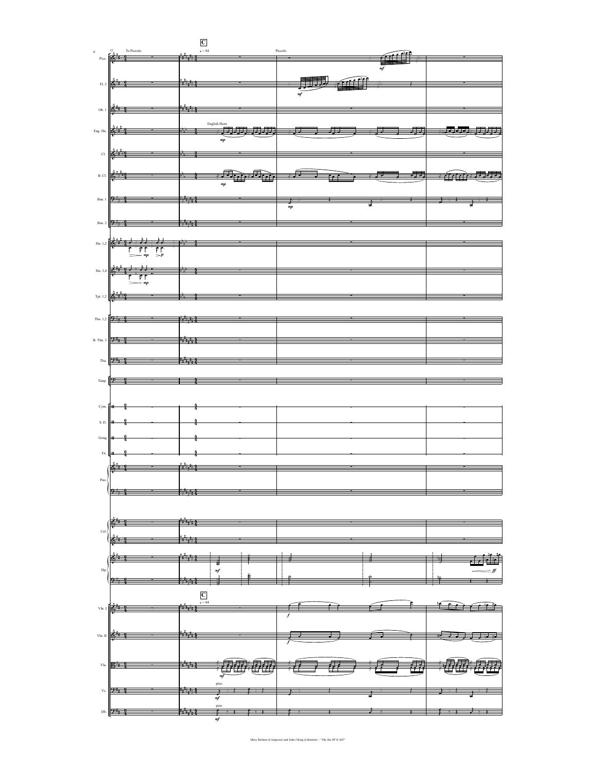|                                 |                                                                                                                                                                                                                                                                                                                             | $\overline{\mathbf{C}}$                                                                                                                                                                                                                                                                                                                                                                                                                                                                                            |                           |                                        |                                        |
|---------------------------------|-----------------------------------------------------------------------------------------------------------------------------------------------------------------------------------------------------------------------------------------------------------------------------------------------------------------------------|--------------------------------------------------------------------------------------------------------------------------------------------------------------------------------------------------------------------------------------------------------------------------------------------------------------------------------------------------------------------------------------------------------------------------------------------------------------------------------------------------------------------|---------------------------|----------------------------------------|----------------------------------------|
|                                 | 31<br>To Piccolo<br>Picc.                                                                                                                                                                                                                                                                                                   | $= 84$                                                                                                                                                                                                                                                                                                                                                                                                                                                                                                             | Piccolo                   |                                        |                                        |
|                                 |                                                                                                                                                                                                                                                                                                                             |                                                                                                                                                                                                                                                                                                                                                                                                                                                                                                                    |                           | mf                                     |                                        |
|                                 |                                                                                                                                                                                                                                                                                                                             |                                                                                                                                                                                                                                                                                                                                                                                                                                                                                                                    |                           |                                        |                                        |
| $\rm{Fl.}$ 2                    | 拳<br>زونيات                                                                                                                                                                                                                                                                                                                 |                                                                                                                                                                                                                                                                                                                                                                                                                                                                                                                    | 罪現<br>在住井                 |                                        |                                        |
|                                 |                                                                                                                                                                                                                                                                                                                             |                                                                                                                                                                                                                                                                                                                                                                                                                                                                                                                    | $\sum_{m \in \mathbb{Z}}$ |                                        |                                        |
| Ob. $\boldsymbol{l}$            | وبالمناخ<br>拳                                                                                                                                                                                                                                                                                                               |                                                                                                                                                                                                                                                                                                                                                                                                                                                                                                                    |                           |                                        |                                        |
|                                 |                                                                                                                                                                                                                                                                                                                             |                                                                                                                                                                                                                                                                                                                                                                                                                                                                                                                    |                           |                                        |                                        |
| Eng. Hn.                        | $\epsilon$ :                                                                                                                                                                                                                                                                                                                | English Home<br>$\overrightarrow{y}$ $\overrightarrow{y}$ $\overrightarrow{y}$ $\overrightarrow{y}$ $\overrightarrow{y}$ $\overrightarrow{y}$ $\overrightarrow{y}$ $\overrightarrow{y}$ $\overrightarrow{y}$ $\overrightarrow{y}$ $\overrightarrow{y}$ $\overrightarrow{y}$ $\overrightarrow{y}$ $\overrightarrow{y}$ $\overrightarrow{y}$ $\overrightarrow{y}$ $\overrightarrow{y}$ $\overrightarrow{y}$ $\overrightarrow{y}$ $\overrightarrow{y}$ $\overrightarrow{y}$ $\overrightarrow{y}$ $\overrightarrow{y}$ | ≖                         | 里                                      | ,,,,,,<br>ファフ                          |
|                                 |                                                                                                                                                                                                                                                                                                                             | mp                                                                                                                                                                                                                                                                                                                                                                                                                                                                                                                 |                           |                                        |                                        |
| $_{\rm{Cl.}}$                   | $\frac{2}{9}$                                                                                                                                                                                                                                                                                                               |                                                                                                                                                                                                                                                                                                                                                                                                                                                                                                                    |                           |                                        |                                        |
|                                 |                                                                                                                                                                                                                                                                                                                             |                                                                                                                                                                                                                                                                                                                                                                                                                                                                                                                    |                           |                                        |                                        |
| $\, {\bf B}.\, {\bf C} {\bf L}$ | $6 - 2$                                                                                                                                                                                                                                                                                                                     | $E$ and $\sim$                                                                                                                                                                                                                                                                                                                                                                                                                                                                                                     | $\sim$                    | <u>ाजु</u><br>$\overline{\phantom{a}}$ | y écrice J J J                         |
|                                 |                                                                                                                                                                                                                                                                                                                             |                                                                                                                                                                                                                                                                                                                                                                                                                                                                                                                    |                           |                                        |                                        |
|                                 |                                                                                                                                                                                                                                                                                                                             |                                                                                                                                                                                                                                                                                                                                                                                                                                                                                                                    |                           |                                        |                                        |
| Bsn. 1                          | $2^{s_{\rm e}}$<br>$\frac{2.7}{2.7}$                                                                                                                                                                                                                                                                                        |                                                                                                                                                                                                                                                                                                                                                                                                                                                                                                                    | $\frac{1}{\frac{mp}{}}$   |                                        | ₹                                      |
|                                 |                                                                                                                                                                                                                                                                                                                             |                                                                                                                                                                                                                                                                                                                                                                                                                                                                                                                    |                           |                                        |                                        |
| Bsn. 2                          | $2 - 2$<br>Filip 1                                                                                                                                                                                                                                                                                                          |                                                                                                                                                                                                                                                                                                                                                                                                                                                                                                                    |                           |                                        |                                        |
|                                 |                                                                                                                                                                                                                                                                                                                             |                                                                                                                                                                                                                                                                                                                                                                                                                                                                                                                    |                           |                                        |                                        |
| Hn. $1,2$                       |                                                                                                                                                                                                                                                                                                                             |                                                                                                                                                                                                                                                                                                                                                                                                                                                                                                                    |                           |                                        |                                        |
|                                 |                                                                                                                                                                                                                                                                                                                             |                                                                                                                                                                                                                                                                                                                                                                                                                                                                                                                    |                           |                                        |                                        |
|                                 |                                                                                                                                                                                                                                                                                                                             |                                                                                                                                                                                                                                                                                                                                                                                                                                                                                                                    |                           |                                        |                                        |
| Hn. $3,\!4$                     | $\begin{array}{ c c c c c }\hline {\color{red} \mathcal{L}^{\mu\nu} \mathfrak{e}_1 \mathfrak{e}_2 + \frac{\lambda_1 \mathfrak{e}_2}{\lambda_1 \mathfrak{e}_2}} & \frac{\lambda_1 \mathfrak{e}_2}{\lambda_2 \mathfrak{e}_1} \\\hline \hline \mathfrak{e} & \mathfrak{e} & \mathfrak{e} & \mathfrak{e} \\ \hline \end{array}$ |                                                                                                                                                                                                                                                                                                                                                                                                                                                                                                                    |                           |                                        |                                        |
|                                 |                                                                                                                                                                                                                                                                                                                             |                                                                                                                                                                                                                                                                                                                                                                                                                                                                                                                    |                           |                                        |                                        |
|                                 | Tpt. 1,2                                                                                                                                                                                                                                                                                                                    |                                                                                                                                                                                                                                                                                                                                                                                                                                                                                                                    |                           |                                        |                                        |
|                                 |                                                                                                                                                                                                                                                                                                                             |                                                                                                                                                                                                                                                                                                                                                                                                                                                                                                                    |                           |                                        |                                        |
|                                 | Tbn. 1,2 $\frac{1}{2}$<br>Frist                                                                                                                                                                                                                                                                                             |                                                                                                                                                                                                                                                                                                                                                                                                                                                                                                                    |                           |                                        |                                        |
|                                 |                                                                                                                                                                                                                                                                                                                             |                                                                                                                                                                                                                                                                                                                                                                                                                                                                                                                    |                           |                                        |                                        |
|                                 | B. Tbn. 3 $\frac{1}{2}$<br><u> Frist</u>                                                                                                                                                                                                                                                                                    |                                                                                                                                                                                                                                                                                                                                                                                                                                                                                                                    |                           |                                        |                                        |
|                                 |                                                                                                                                                                                                                                                                                                                             |                                                                                                                                                                                                                                                                                                                                                                                                                                                                                                                    |                           |                                        |                                        |
| $_{\rm Tba.}$                   | $2 + 2$<br>وليفتظ                                                                                                                                                                                                                                                                                                           |                                                                                                                                                                                                                                                                                                                                                                                                                                                                                                                    |                           |                                        |                                        |
|                                 |                                                                                                                                                                                                                                                                                                                             |                                                                                                                                                                                                                                                                                                                                                                                                                                                                                                                    |                           |                                        |                                        |
| Timp.                           | $2 - 6$                                                                                                                                                                                                                                                                                                                     |                                                                                                                                                                                                                                                                                                                                                                                                                                                                                                                    |                           |                                        |                                        |
|                                 |                                                                                                                                                                                                                                                                                                                             |                                                                                                                                                                                                                                                                                                                                                                                                                                                                                                                    |                           |                                        |                                        |
| Cym.                            | $\frac{4}{4}$<br>$-\frac{6}{4}$                                                                                                                                                                                                                                                                                             |                                                                                                                                                                                                                                                                                                                                                                                                                                                                                                                    |                           |                                        |                                        |
|                                 |                                                                                                                                                                                                                                                                                                                             |                                                                                                                                                                                                                                                                                                                                                                                                                                                                                                                    |                           |                                        |                                        |
| $\mathbf S.$ D.                 | $\frac{6}{4}$<br>#                                                                                                                                                                                                                                                                                                          |                                                                                                                                                                                                                                                                                                                                                                                                                                                                                                                    |                           |                                        |                                        |
| Gong $H$                        | 8                                                                                                                                                                                                                                                                                                                           |                                                                                                                                                                                                                                                                                                                                                                                                                                                                                                                    |                           |                                        |                                        |
|                                 |                                                                                                                                                                                                                                                                                                                             |                                                                                                                                                                                                                                                                                                                                                                                                                                                                                                                    |                           |                                        |                                        |
| Tri. H                          | $\frac{6}{4}$<br>4                                                                                                                                                                                                                                                                                                          |                                                                                                                                                                                                                                                                                                                                                                                                                                                                                                                    |                           |                                        |                                        |
|                                 | riigis g                                                                                                                                                                                                                                                                                                                    |                                                                                                                                                                                                                                                                                                                                                                                                                                                                                                                    |                           |                                        |                                        |
| Pno.                            |                                                                                                                                                                                                                                                                                                                             |                                                                                                                                                                                                                                                                                                                                                                                                                                                                                                                    |                           |                                        |                                        |
|                                 | $-2$                                                                                                                                                                                                                                                                                                                        |                                                                                                                                                                                                                                                                                                                                                                                                                                                                                                                    |                           |                                        |                                        |
|                                 |                                                                                                                                                                                                                                                                                                                             |                                                                                                                                                                                                                                                                                                                                                                                                                                                                                                                    |                           |                                        |                                        |
|                                 |                                                                                                                                                                                                                                                                                                                             |                                                                                                                                                                                                                                                                                                                                                                                                                                                                                                                    |                           |                                        |                                        |
|                                 | T42                                                                                                                                                                                                                                                                                                                         |                                                                                                                                                                                                                                                                                                                                                                                                                                                                                                                    |                           |                                        |                                        |
| Cel.                            |                                                                                                                                                                                                                                                                                                                             |                                                                                                                                                                                                                                                                                                                                                                                                                                                                                                                    |                           |                                        |                                        |
|                                 |                                                                                                                                                                                                                                                                                                                             |                                                                                                                                                                                                                                                                                                                                                                                                                                                                                                                    |                           |                                        |                                        |
|                                 | واراتها                                                                                                                                                                                                                                                                                                                     |                                                                                                                                                                                                                                                                                                                                                                                                                                                                                                                    |                           |                                        |                                        |
|                                 |                                                                                                                                                                                                                                                                                                                             | 켷                                                                                                                                                                                                                                                                                                                                                                                                                                                                                                                  |                           |                                        |                                        |
| Hp.                             |                                                                                                                                                                                                                                                                                                                             | mf                                                                                                                                                                                                                                                                                                                                                                                                                                                                                                                 |                           |                                        |                                        |
|                                 | ゆち<br>ا واليقالية                                                                                                                                                                                                                                                                                                           |                                                                                                                                                                                                                                                                                                                                                                                                                                                                                                                    |                           |                                        |                                        |
|                                 |                                                                                                                                                                                                                                                                                                                             | $\boxed{C}$<br>$\boxed{=} 84$                                                                                                                                                                                                                                                                                                                                                                                                                                                                                      |                           |                                        |                                        |
| $\mathbf{V}\mathbf{ln}.$ I      | 俸<br>44                                                                                                                                                                                                                                                                                                                     |                                                                                                                                                                                                                                                                                                                                                                                                                                                                                                                    | f                         |                                        | $\overline{\phantom{a}}$<br>$\dddot{}$ |
|                                 |                                                                                                                                                                                                                                                                                                                             |                                                                                                                                                                                                                                                                                                                                                                                                                                                                                                                    | $\overline{f}$            |                                        |                                        |
|                                 |                                                                                                                                                                                                                                                                                                                             |                                                                                                                                                                                                                                                                                                                                                                                                                                                                                                                    |                           |                                        |                                        |
|                                 | ta 1<br>VIn. II.                                                                                                                                                                                                                                                                                                            |                                                                                                                                                                                                                                                                                                                                                                                                                                                                                                                    | ₹<br>╪                    |                                        | نوبولو آر<br>77 J                      |
|                                 |                                                                                                                                                                                                                                                                                                                             |                                                                                                                                                                                                                                                                                                                                                                                                                                                                                                                    |                           |                                        |                                        |
|                                 |                                                                                                                                                                                                                                                                                                                             |                                                                                                                                                                                                                                                                                                                                                                                                                                                                                                                    | ┲                         |                                        |                                        |
| Vla.                            | <u>R' - 1</u><br>ليقينه                                                                                                                                                                                                                                                                                                     | <b>BB 拒</b>                                                                                                                                                                                                                                                                                                                                                                                                                                                                                                        |                           | 星                                      | 7777<br>香田                             |
|                                 |                                                                                                                                                                                                                                                                                                                             | pizz.                                                                                                                                                                                                                                                                                                                                                                                                                                                                                                              |                           |                                        |                                        |
| Vc.                             | $\frac{2.7}{2}$ $\frac{1}{2}$ $\frac{1}{4}$                                                                                                                                                                                                                                                                                 |                                                                                                                                                                                                                                                                                                                                                                                                                                                                                                                    |                           |                                        |                                        |
|                                 |                                                                                                                                                                                                                                                                                                                             | mf<br>pizz                                                                                                                                                                                                                                                                                                                                                                                                                                                                                                         |                           |                                        |                                        |
|                                 | Db. $\boxed{\frac{1}{2}}$<br>ا پاک                                                                                                                                                                                                                                                                                          | $\it mf$                                                                                                                                                                                                                                                                                                                                                                                                                                                                                                           |                           |                                        |                                        |
|                                 |                                                                                                                                                                                                                                                                                                                             |                                                                                                                                                                                                                                                                                                                                                                                                                                                                                                                    |                           |                                        |                                        |

Mary Bichner (Composer) and John J King (Librettist) - "Oh, the OF It All!"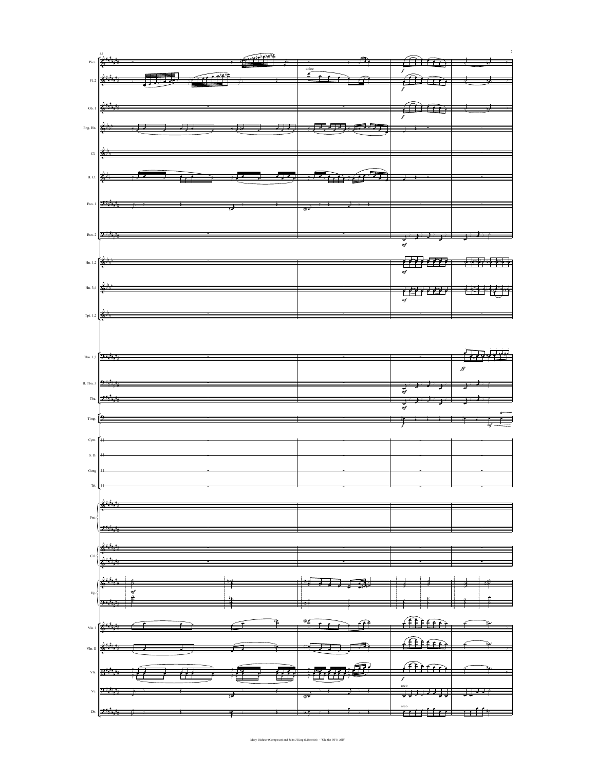|                              | Pice. $\sqrt{\frac{2}{3}+\frac{1}{2}}$                                 | THE ST                                  |                            | $\triangle$           | $\begin{picture}(20,20) \put(0,0){\vector(1,0){10}} \put(15,0){\vector(1,0){10}} \put(15,0){\vector(1,0){10}} \put(15,0){\vector(1,0){10}} \put(15,0){\vector(1,0){10}} \put(15,0){\vector(1,0){10}} \put(15,0){\vector(1,0){10}} \put(15,0){\vector(1,0){10}} \put(15,0){\vector(1,0){10}} \put(15,0){\vector(1,0){10}} \put(15,0){\vector(1,0){10}} \put(15,0){\vector(1$ | ╼       |
|------------------------------|------------------------------------------------------------------------|-----------------------------------------|----------------------------|-----------------------|-----------------------------------------------------------------------------------------------------------------------------------------------------------------------------------------------------------------------------------------------------------------------------------------------------------------------------------------------------------------------------|---------|
|                              |                                                                        |                                         |                            |                       |                                                                                                                                                                                                                                                                                                                                                                             |         |
| $\mathop{\rm Fl}\nolimits.2$ | 用具 在住                                                                  |                                         | فوائد                      | $ \widehat{I}$ $-$    | <b>PA</b>                                                                                                                                                                                                                                                                                                                                                                   |         |
|                              |                                                                        |                                         |                            |                       |                                                                                                                                                                                                                                                                                                                                                                             |         |
|                              |                                                                        |                                         |                            |                       |                                                                                                                                                                                                                                                                                                                                                                             |         |
|                              | Ob. 1 $677$                                                            |                                         |                            |                       |                                                                                                                                                                                                                                                                                                                                                                             |         |
|                              |                                                                        |                                         |                            |                       | $\left 00\right  =$                                                                                                                                                                                                                                                                                                                                                         |         |
| ${\rm Eng.}$ Hn.             |                                                                        |                                         |                            | <u>न, मन, लुक्कन,</u> |                                                                                                                                                                                                                                                                                                                                                                             |         |
|                              | $\mathbb{S}^3$                                                         | , , , ,                                 |                            |                       |                                                                                                                                                                                                                                                                                                                                                                             |         |
|                              |                                                                        |                                         |                            |                       |                                                                                                                                                                                                                                                                                                                                                                             |         |
| $\operatorname{Cl}.$         | $\frac{1}{2}$                                                          |                                         |                            |                       |                                                                                                                                                                                                                                                                                                                                                                             |         |
|                              |                                                                        |                                         |                            |                       |                                                                                                                                                                                                                                                                                                                                                                             |         |
|                              |                                                                        |                                         |                            |                       |                                                                                                                                                                                                                                                                                                                                                                             |         |
|                              | $B$ , Cl. $\left \frac{B}{Q}\right $<br>$\sim$ $\sim$ $\sim$<br>$\sim$ | - गर<br>$\overline{P}$ , $\overline{P}$ | $\mathcal{F}(\mathcal{D})$ |                       | ₹                                                                                                                                                                                                                                                                                                                                                                           |         |
|                              |                                                                        |                                         |                            |                       |                                                                                                                                                                                                                                                                                                                                                                             |         |
| $_{\rm Bsn.}$ 1              | 24.1                                                                   |                                         |                            |                       |                                                                                                                                                                                                                                                                                                                                                                             |         |
|                              | ₹                                                                      |                                         | $\overrightarrow{C}$       |                       |                                                                                                                                                                                                                                                                                                                                                                             |         |
|                              |                                                                        |                                         |                            |                       |                                                                                                                                                                                                                                                                                                                                                                             |         |
|                              |                                                                        |                                         |                            |                       |                                                                                                                                                                                                                                                                                                                                                                             |         |
|                              | $Bsn.2$ $25r$                                                          |                                         |                            |                       | $\frac{1}{\frac{1}{m}}$<br>P<br>≢                                                                                                                                                                                                                                                                                                                                           | Ŧ       |
|                              |                                                                        |                                         |                            |                       |                                                                                                                                                                                                                                                                                                                                                                             |         |
|                              | $\frac{1}{2}$ Hn. 1,2                                                  |                                         |                            |                       |                                                                                                                                                                                                                                                                                                                                                                             |         |
|                              |                                                                        |                                         |                            |                       | $\it mf$                                                                                                                                                                                                                                                                                                                                                                    |         |
|                              |                                                                        |                                         |                            |                       |                                                                                                                                                                                                                                                                                                                                                                             |         |
| Hn. 3,4                      |                                                                        |                                         |                            |                       |                                                                                                                                                                                                                                                                                                                                                                             | ₩       |
|                              |                                                                        |                                         |                            |                       | $\frac{1}{\frac{1}{\frac{1}{2}}\sqrt{1-\frac{1}{2}}\left( \frac{1}{\sqrt{1-\frac{1}{2}}}\right)}$                                                                                                                                                                                                                                                                           |         |
|                              |                                                                        |                                         |                            |                       |                                                                                                                                                                                                                                                                                                                                                                             |         |
| Tpt. 1,2 $\frac{1}{2}$       |                                                                        |                                         |                            |                       |                                                                                                                                                                                                                                                                                                                                                                             |         |
|                              |                                                                        |                                         |                            |                       |                                                                                                                                                                                                                                                                                                                                                                             |         |
|                              |                                                                        |                                         |                            |                       |                                                                                                                                                                                                                                                                                                                                                                             |         |
|                              |                                                                        |                                         |                            |                       |                                                                                                                                                                                                                                                                                                                                                                             |         |
|                              | Tbn. 1,2 2                                                             |                                         |                            |                       |                                                                                                                                                                                                                                                                                                                                                                             |         |
|                              |                                                                        |                                         |                            |                       |                                                                                                                                                                                                                                                                                                                                                                             | $f\!f$  |
|                              | B. Tbn. 3 $\frac{1}{2^{18} \pi^2 g}$                                   |                                         |                            |                       |                                                                                                                                                                                                                                                                                                                                                                             |         |
|                              |                                                                        |                                         |                            |                       | $\frac{1}{\frac{m f}{}}$                                                                                                                                                                                                                                                                                                                                                    |         |
|                              | Tha. $2^{3}$                                                           |                                         |                            |                       | ≢                                                                                                                                                                                                                                                                                                                                                                           |         |
|                              |                                                                        |                                         |                            |                       |                                                                                                                                                                                                                                                                                                                                                                             |         |
| Timp.                        |                                                                        |                                         |                            |                       | Ţ                                                                                                                                                                                                                                                                                                                                                                           | ř       |
|                              |                                                                        |                                         |                            |                       |                                                                                                                                                                                                                                                                                                                                                                             |         |
| Cym.                         |                                                                        |                                         |                            |                       |                                                                                                                                                                                                                                                                                                                                                                             |         |
|                              |                                                                        |                                         |                            |                       |                                                                                                                                                                                                                                                                                                                                                                             |         |
| $\mathbf S.$ D.              |                                                                        |                                         |                            |                       |                                                                                                                                                                                                                                                                                                                                                                             |         |
| $\operatorname{Gong}$        | -#                                                                     |                                         |                            |                       |                                                                                                                                                                                                                                                                                                                                                                             |         |
|                              |                                                                        |                                         |                            |                       |                                                                                                                                                                                                                                                                                                                                                                             |         |
| Tri.                         | H+                                                                     |                                         |                            |                       |                                                                                                                                                                                                                                                                                                                                                                             |         |
|                              | $\mathcal{L}^{\pm\pm}$                                                 |                                         |                            |                       |                                                                                                                                                                                                                                                                                                                                                                             |         |
|                              |                                                                        |                                         |                            |                       |                                                                                                                                                                                                                                                                                                                                                                             |         |
| Pno                          |                                                                        |                                         |                            |                       |                                                                                                                                                                                                                                                                                                                                                                             |         |
|                              | 24.                                                                    |                                         |                            |                       |                                                                                                                                                                                                                                                                                                                                                                             |         |
|                              |                                                                        |                                         |                            |                       |                                                                                                                                                                                                                                                                                                                                                                             |         |
|                              |                                                                        |                                         |                            |                       |                                                                                                                                                                                                                                                                                                                                                                             |         |
| Cel.                         |                                                                        |                                         |                            |                       |                                                                                                                                                                                                                                                                                                                                                                             |         |
|                              |                                                                        |                                         |                            |                       |                                                                                                                                                                                                                                                                                                                                                                             |         |
|                              |                                                                        |                                         | †⊕;                        | 專                     |                                                                                                                                                                                                                                                                                                                                                                             |         |
| Hp.                          |                                                                        |                                         |                            |                       |                                                                                                                                                                                                                                                                                                                                                                             |         |
|                              | $\mathcal{L}$<br>り付け                                                   |                                         |                            |                       |                                                                                                                                                                                                                                                                                                                                                                             |         |
|                              |                                                                        |                                         | ⊕                          |                       |                                                                                                                                                                                                                                                                                                                                                                             |         |
|                              |                                                                        |                                         |                            |                       | <u>ffr</u><br>$f \in \mathbb{R}$                                                                                                                                                                                                                                                                                                                                            |         |
| $\mathbf{V}\mathbf{ln}.$ I   |                                                                        |                                         | e.                         | ≘                     |                                                                                                                                                                                                                                                                                                                                                                             |         |
|                              |                                                                        |                                         |                            |                       | <b>ffi</b><br>تمء                                                                                                                                                                                                                                                                                                                                                           |         |
| $\mathbf{V}\text{ln}.$ II    | $\frac{2}{6}$                                                          | ∍                                       | ⊕≠                         | 角                     |                                                                                                                                                                                                                                                                                                                                                                             |         |
|                              |                                                                        |                                         |                            |                       |                                                                                                                                                                                                                                                                                                                                                                             |         |
| Vla.                         | B**;<br>昼                                                              | æ<br>┹                                  | 2,                         | Í                     | £€<br>$\epsilon$                                                                                                                                                                                                                                                                                                                                                            |         |
|                              |                                                                        |                                         |                            |                       | $\boldsymbol{f}$                                                                                                                                                                                                                                                                                                                                                            |         |
| $\mathrm{Vc.}$               | ジャジ                                                                    |                                         |                            |                       | areo<br>₹                                                                                                                                                                                                                                                                                                                                                                   | Ì       |
|                              | ₹                                                                      |                                         | $\overline{\mathbb{C}}$    |                       |                                                                                                                                                                                                                                                                                                                                                                             |         |
|                              |                                                                        |                                         |                            |                       |                                                                                                                                                                                                                                                                                                                                                                             |         |
| $\mathsf{Db}.$               | 24.,<br>Ŧ                                                              |                                         | الا                        |                       | $\overline{\mathbf{C}}$<br>₹T                                                                                                                                                                                                                                                                                                                                               | rr í fr |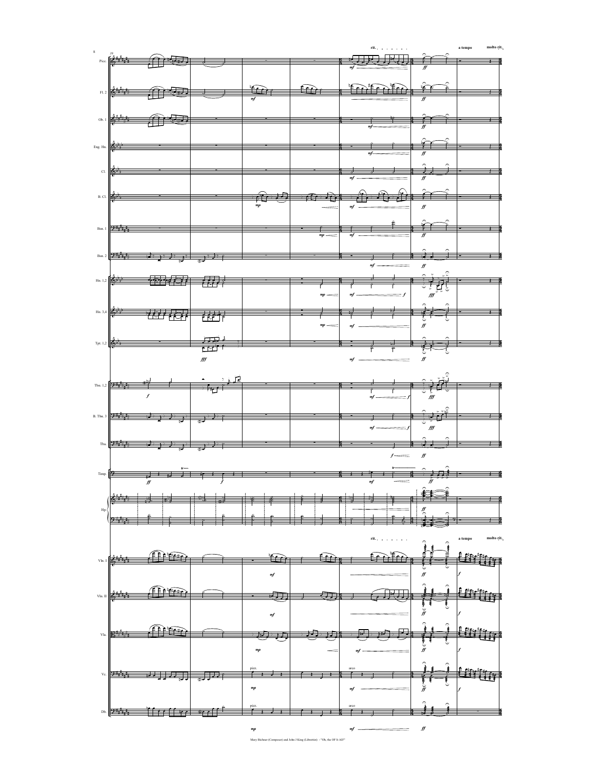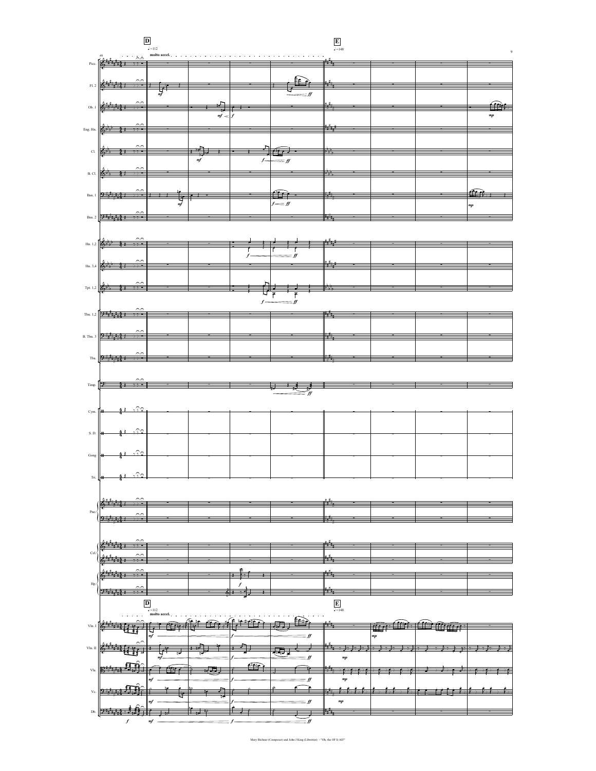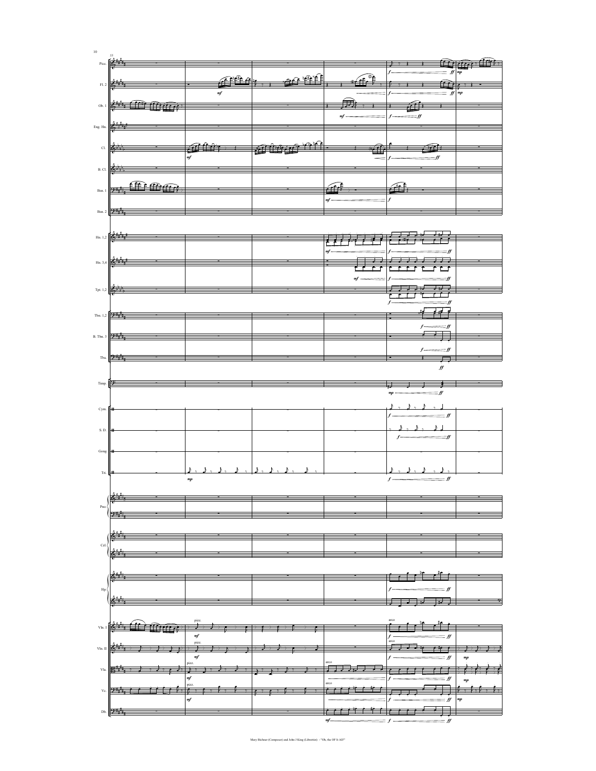| $10\,$                      |                                                         |                                                                              |                                                  |                          |                                                             |            |
|-----------------------------|---------------------------------------------------------|------------------------------------------------------------------------------|--------------------------------------------------|--------------------------|-------------------------------------------------------------|------------|
| Picc.                       |                                                         |                                                                              |                                                  |                          |                                                             |            |
|                             |                                                         | ang pa                                                                       | <u>≉⊕ भ</u> ा€                                   | $\widehat{H}$            |                                                             | mp         |
| $\rm{Fl.}$ 2                |                                                         | mf                                                                           |                                                  |                          | ff                                                          | mp         |
| Ob. $\mathbf l$             | गिर्वको                                                 |                                                                              |                                                  | 男                        | €                                                           |            |
|                             |                                                         |                                                                              |                                                  | m f                      | :ff                                                         |            |
|                             | Eng. Hn. $\frac{2\frac{a}{2}+\frac{b}{2}}{\frac{a}{2}}$ |                                                                              |                                                  |                          |                                                             |            |
|                             |                                                         |                                                                              |                                                  |                          |                                                             |            |
|                             | $C1.$ $\frac{2+1}{5}$                                   | <b>a în</b>                                                                  |                                                  | <u>ली</u>                | €                                                           |            |
|                             |                                                         | $\it mf$                                                                     |                                                  |                          |                                                             |            |
|                             | B. C1.                                                  |                                                                              |                                                  |                          |                                                             |            |
|                             | <u>பிரியி</u>                                           |                                                                              |                                                  | $\widehat{\mathbb{H}}$   | Æ                                                           |            |
|                             | Bsn. 1 $\frac{1}{2\frac{3}{2}}$                         |                                                                              |                                                  |                          |                                                             |            |
|                             |                                                         |                                                                              |                                                  | mf                       |                                                             |            |
|                             | Bsn. 2 2 2 2 2                                          |                                                                              |                                                  |                          |                                                             |            |
|                             |                                                         |                                                                              |                                                  |                          |                                                             |            |
| Hn. $1,2$                   | $\frac{2}{5}$                                           |                                                                              |                                                  |                          |                                                             |            |
|                             |                                                         |                                                                              |                                                  | m f                      |                                                             |            |
|                             | $\frac{257}{5}$                                         |                                                                              |                                                  | $\overline{\phantom{a}}$ |                                                             |            |
|                             |                                                         |                                                                              |                                                  |                          |                                                             |            |
|                             | $T_{\text{pt. 1,2}}$ $\frac{2}{\sqrt{3}}$               |                                                                              |                                                  |                          | <u> J.J.W. J.J</u>                                          |            |
|                             |                                                         |                                                                              |                                                  |                          | ff                                                          |            |
|                             |                                                         |                                                                              |                                                  |                          |                                                             |            |
|                             | Tbn. 1,2 $\frac{1}{2}$                                  |                                                                              |                                                  |                          |                                                             |            |
|                             | B. Tbn. 3 2                                             |                                                                              |                                                  |                          |                                                             |            |
|                             |                                                         |                                                                              |                                                  |                          |                                                             |            |
|                             | Tba. $2.5 + 2.5$                                        |                                                                              |                                                  |                          | $\pmb{\mathcal{B}}$<br>≢                                    |            |
|                             |                                                         |                                                                              |                                                  |                          | $f\hspace{-0.1cm}f$                                         |            |
|                             | ∓                                                       |                                                                              |                                                  |                          |                                                             |            |
| Timp.                       |                                                         |                                                                              |                                                  |                          | mp                                                          |            |
|                             |                                                         |                                                                              |                                                  |                          |                                                             |            |
| Cym.                        | #                                                       |                                                                              |                                                  |                          | $1$ , $1$<br>$=$ ff                                         |            |
|                             |                                                         |                                                                              |                                                  |                          | $\mathbf{A}$ , $\mathbf{A}$ , $\mathbf{A}$                  |            |
| S. D.                       | H                                                       |                                                                              |                                                  |                          | :ff                                                         |            |
| Gong                        |                                                         |                                                                              |                                                  |                          |                                                             |            |
|                             |                                                         |                                                                              |                                                  |                          |                                                             |            |
| Tri.                        | ₩                                                       |                                                                              |                                                  |                          | $\rightarrow$ $\rightarrow$<br>$\mathsf{h}$<br>$\mathbf{h}$ |            |
|                             |                                                         | mp                                                                           |                                                  |                          | $=$ ff                                                      |            |
|                             | 丰                                                       |                                                                              |                                                  |                          |                                                             |            |
| Pno.                        |                                                         |                                                                              |                                                  |                          |                                                             |            |
|                             | كتوا                                                    |                                                                              |                                                  |                          |                                                             |            |
|                             |                                                         |                                                                              |                                                  |                          |                                                             |            |
|                             |                                                         |                                                                              |                                                  |                          |                                                             |            |
| Cel. $\cdot$                | ₩                                                       |                                                                              |                                                  |                          |                                                             |            |
|                             |                                                         |                                                                              |                                                  |                          |                                                             |            |
|                             |                                                         |                                                                              |                                                  |                          |                                                             |            |
| Hp.                         |                                                         |                                                                              |                                                  |                          | ff                                                          |            |
|                             |                                                         |                                                                              |                                                  |                          | ŧ                                                           |            |
|                             |                                                         |                                                                              |                                                  |                          |                                                             |            |
|                             |                                                         | pizz.                                                                        |                                                  |                          | arco                                                        |            |
| $_{\rm Vln.}$               | <u>Frir e</u>                                           | $\it mf$                                                                     |                                                  |                          | $f\hspace{-0.1cm}f$                                         |            |
| $\mathbf{V}\mathbf{ln}.$ II | $\rightarrow$ $\rightarrow$ $\sim$                      | pizz.<br>$\overline{\phantom{a}}$<br>$\rightarrow$                           | ───────────────                                  |                          | arco                                                        | →          |
|                             |                                                         | $\it mf$                                                                     |                                                  |                          | $f\hspace{-0.8mm}f$                                         | mp         |
| $_{\mathrm{Vla.}}$          | 87                                                      | pizz.<br>¥                                                                   |                                                  | $rac{arco}{\sqrt{c}}$    |                                                             | 手          |
|                             |                                                         | $_{mf}$                                                                      |                                                  | arco                     | $f\hspace{-0.8mm}f$                                         | $_{mp}$    |
| $\mathrm{Vc.}$              | フィュー<br>一                                               | pizz<br>$f$ $\rightarrow$ $f$ $\rightarrow$ $f$ $\rightarrow$<br>₩<br>→<br>→ | $16.7\pm7$<br>₹<br>→<br>$\overline{\phantom{a}}$ |                          |                                                             | ₩<br>7 7 P |
|                             |                                                         | mf                                                                           |                                                  |                          | $\dot{J}$                                                   | mp         |
|                             | $Db.$ $2.32$                                            |                                                                              |                                                  |                          |                                                             |            |
|                             |                                                         |                                                                              |                                                  | $^{\rm mf}$              | $\overline{f}$<br>f                                         |            |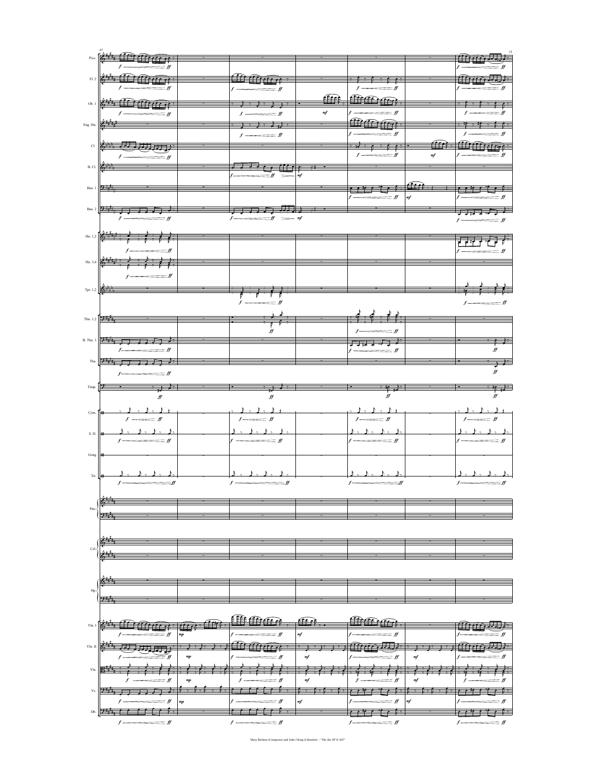|                         | $\mathbf{E}$ and $\mathbf{E}_r$                                                                                                                                                                                                                                                                                                                                                           |              |                                                                                                                                                                                                                                                                  |            |                                                                                                                                                                                                                                                                                                                                                                                                                                                                                                                                                                                      |                 |                                                                                                                                                                                                                                                                                                                                                                                                                                       |
|-------------------------|-------------------------------------------------------------------------------------------------------------------------------------------------------------------------------------------------------------------------------------------------------------------------------------------------------------------------------------------------------------------------------------------|--------------|------------------------------------------------------------------------------------------------------------------------------------------------------------------------------------------------------------------------------------------------------------------|------------|--------------------------------------------------------------------------------------------------------------------------------------------------------------------------------------------------------------------------------------------------------------------------------------------------------------------------------------------------------------------------------------------------------------------------------------------------------------------------------------------------------------------------------------------------------------------------------------|-----------------|---------------------------------------------------------------------------------------------------------------------------------------------------------------------------------------------------------------------------------------------------------------------------------------------------------------------------------------------------------------------------------------------------------------------------------------|
|                         |                                                                                                                                                                                                                                                                                                                                                                                           |              |                                                                                                                                                                                                                                                                  |            |                                                                                                                                                                                                                                                                                                                                                                                                                                                                                                                                                                                      |                 |                                                                                                                                                                                                                                                                                                                                                                                                                                       |
|                         | $\mathbb{R}^2$                                                                                                                                                                                                                                                                                                                                                                            |              | $\frac{m}{r}$                                                                                                                                                                                                                                                    |            |                                                                                                                                                                                                                                                                                                                                                                                                                                                                                                                                                                                      |                 | $\widehat{\mathbb{G}}$ $\widehat{\mathbb{G}}$ $\widehat{\mathbb{G}}$ $\widehat{\mathbb{G}}$                                                                                                                                                                                                                                                                                                                                           |
|                         |                                                                                                                                                                                                                                                                                                                                                                                           |              |                                                                                                                                                                                                                                                                  |            | $f$ -<br>$=$ o                                                                                                                                                                                                                                                                                                                                                                                                                                                                                                                                                                       |                 |                                                                                                                                                                                                                                                                                                                                                                                                                                       |
|                         | 。 <del>群 自由在</del>                                                                                                                                                                                                                                                                                                                                                                        |              |                                                                                                                                                                                                                                                                  | fff,       | <del>ffiffiffiff</del>                                                                                                                                                                                                                                                                                                                                                                                                                                                                                                                                                               |                 |                                                                                                                                                                                                                                                                                                                                                                                                                                       |
|                         | $f \stackrel{\text{---}}{\longrightarrow} f$                                                                                                                                                                                                                                                                                                                                              |              | ית יליל י                                                                                                                                                                                                                                                        |            |                                                                                                                                                                                                                                                                                                                                                                                                                                                                                                                                                                                      |                 | $\overline{\phantom{a}}$ , $\overline{\phantom{a}}$ , $\overline{\phantom{a}}$ , $\overline{\phantom{a}}$ , $\overline{\phantom{a}}$<br>$f -$                                                                                                                                                                                                                                                                                         |
|                         |                                                                                                                                                                                                                                                                                                                                                                                           |              | $f \longrightarrow f$                                                                                                                                                                                                                                            | mf         | $\int \frac{f(x) \, dx}{\sqrt{f(x)} \, dx} \, dx$                                                                                                                                                                                                                                                                                                                                                                                                                                                                                                                                    |                 | $=$ f                                                                                                                                                                                                                                                                                                                                                                                                                                 |
|                         | Eng. Hn. $\frac{1}{\sqrt{2}}$                                                                                                                                                                                                                                                                                                                                                             |              | د لي لي د لي د لي                                                                                                                                                                                                                                                |            |                                                                                                                                                                                                                                                                                                                                                                                                                                                                                                                                                                                      |                 | $\cdot$ ) $\cdot$ ) $\cdot$ ) $\cdot$ ) $\cdot$                                                                                                                                                                                                                                                                                                                                                                                       |
|                         |                                                                                                                                                                                                                                                                                                                                                                                           |              | $f \longrightarrow f$                                                                                                                                                                                                                                            |            |                                                                                                                                                                                                                                                                                                                                                                                                                                                                                                                                                                                      |                 |                                                                                                                                                                                                                                                                                                                                                                                                                                       |
|                         |                                                                                                                                                                                                                                                                                                                                                                                           |              |                                                                                                                                                                                                                                                                  |            | <del>دغ گر د څخه د لوم</del>                                                                                                                                                                                                                                                                                                                                                                                                                                                                                                                                                         |                 | <del>the ling of</del>                                                                                                                                                                                                                                                                                                                                                                                                                |
|                         | $\begin{picture}(120,10) \put(0,0){\line(1,0){10}} \put(15,0){\line(1,0){10}} \put(15,0){\line(1,0){10}} \put(15,0){\line(1,0){10}} \put(15,0){\line(1,0){10}} \put(15,0){\line(1,0){10}} \put(15,0){\line(1,0){10}} \put(15,0){\line(1,0){10}} \put(15,0){\line(1,0){10}} \put(15,0){\line(1,0){10}} \put(15,0){\line(1,0){10}} \put(15,0){\line($                                       |              |                                                                                                                                                                                                                                                                  |            | $f \longrightarrow f$                                                                                                                                                                                                                                                                                                                                                                                                                                                                                                                                                                | $\it mf$        |                                                                                                                                                                                                                                                                                                                                                                                                                                       |
|                         |                                                                                                                                                                                                                                                                                                                                                                                           |              |                                                                                                                                                                                                                                                                  |            |                                                                                                                                                                                                                                                                                                                                                                                                                                                                                                                                                                                      |                 |                                                                                                                                                                                                                                                                                                                                                                                                                                       |
|                         | B. Cl. $\left  \bigoplus_{i=1}^n 1 \right $                                                                                                                                                                                                                                                                                                                                               |              | $\begin{array}{cc} \overline{y} & \overline{y} & \overline{y} & \overline{y} & \overline{y} \\ \overline{y} & \overline{y} & \overline{y} & \overline{y} & \overline{y} \\ \overline{y} & \overline{y} & \overline{y} & \overline{y} & \overline{y} \end{array}$ |            |                                                                                                                                                                                                                                                                                                                                                                                                                                                                                                                                                                                      |                 |                                                                                                                                                                                                                                                                                                                                                                                                                                       |
|                         |                                                                                                                                                                                                                                                                                                                                                                                           |              |                                                                                                                                                                                                                                                                  |            |                                                                                                                                                                                                                                                                                                                                                                                                                                                                                                                                                                                      |                 |                                                                                                                                                                                                                                                                                                                                                                                                                                       |
|                         | Bsn. 1 2 1                                                                                                                                                                                                                                                                                                                                                                                |              |                                                                                                                                                                                                                                                                  |            | ثنتان نتن                                                                                                                                                                                                                                                                                                                                                                                                                                                                                                                                                                            |                 | تا ئىنىشىنى بىرىنى بىرىنى بىرىنى ئىنى بىر<br>ئىنىش بىرىنى بىرىنى بىرىنى ئىنى بىرىنى بىرىنى ئىنى بىرىنى ئىنى بىرىنى بىرىنى ئىنى بىرىنى ئىنى بىرىنى ئىنى بىر                                                                                                                                                                                                                                                                            |
|                         |                                                                                                                                                                                                                                                                                                                                                                                           |              |                                                                                                                                                                                                                                                                  |            | $\frac{1}{f}$ $\frac{1}{f}$                                                                                                                                                                                                                                                                                                                                                                                                                                                                                                                                                          | $\it mf$        | $f \longrightarrow f$                                                                                                                                                                                                                                                                                                                                                                                                                 |
|                         | $Bsn.2$ $2n + 1$                                                                                                                                                                                                                                                                                                                                                                          |              | $\overline{1}$ , $\overline{1}$ , $\overline{1}$ , $\overline{1}$ , $\overline{1}$ , $\overline{1}$ , $\overline{1}$                                                                                                                                             |            |                                                                                                                                                                                                                                                                                                                                                                                                                                                                                                                                                                                      |                 |                                                                                                                                                                                                                                                                                                                                                                                                                                       |
|                         | $\frac{1}{f}$ = $\frac{1}{f}$                                                                                                                                                                                                                                                                                                                                                             |              | $-\pi$ =                                                                                                                                                                                                                                                         |            |                                                                                                                                                                                                                                                                                                                                                                                                                                                                                                                                                                                      |                 | لالا وباديتها<br>$\int$ $\frac{f}{f}$                                                                                                                                                                                                                                                                                                                                                                                                 |
|                         |                                                                                                                                                                                                                                                                                                                                                                                           |              |                                                                                                                                                                                                                                                                  |            |                                                                                                                                                                                                                                                                                                                                                                                                                                                                                                                                                                                      |                 |                                                                                                                                                                                                                                                                                                                                                                                                                                       |
|                         | $\begin{picture}(180,10) \put(0,0){\line(1,0){100}} \put(10,0){\line(1,0){100}} \put(10,0){\line(1,0){100}} \put(10,0){\line(1,0){100}} \put(10,0){\line(1,0){100}} \put(10,0){\line(1,0){100}} \put(10,0){\line(1,0){100}} \put(10,0){\line(1,0){100}} \put(10,0){\line(1,0){100}} \put(10,0){\line(1,0){100}} \put(10,0){\line(1,0){100}}$<br>Hn. 1,2 2                                 |              |                                                                                                                                                                                                                                                                  |            |                                                                                                                                                                                                                                                                                                                                                                                                                                                                                                                                                                                      |                 |                                                                                                                                                                                                                                                                                                                                                                                                                                       |
|                         |                                                                                                                                                                                                                                                                                                                                                                                           |              |                                                                                                                                                                                                                                                                  |            |                                                                                                                                                                                                                                                                                                                                                                                                                                                                                                                                                                                      |                 | चिक्कित है।<br>स्टब्स्                                                                                                                                                                                                                                                                                                                                                                                                                |
|                         |                                                                                                                                                                                                                                                                                                                                                                                           |              |                                                                                                                                                                                                                                                                  |            |                                                                                                                                                                                                                                                                                                                                                                                                                                                                                                                                                                                      |                 |                                                                                                                                                                                                                                                                                                                                                                                                                                       |
|                         | $\frac{1}{2}$ , $\frac{1}{2}$ , $\frac{1}{2}$ , $\frac{1}{2}$<br>Hn. 3,4   6 1 1                                                                                                                                                                                                                                                                                                          |              |                                                                                                                                                                                                                                                                  |            |                                                                                                                                                                                                                                                                                                                                                                                                                                                                                                                                                                                      |                 |                                                                                                                                                                                                                                                                                                                                                                                                                                       |
|                         |                                                                                                                                                                                                                                                                                                                                                                                           |              |                                                                                                                                                                                                                                                                  |            |                                                                                                                                                                                                                                                                                                                                                                                                                                                                                                                                                                                      |                 |                                                                                                                                                                                                                                                                                                                                                                                                                                       |
|                         | $f \longrightarrow f$                                                                                                                                                                                                                                                                                                                                                                     |              |                                                                                                                                                                                                                                                                  |            |                                                                                                                                                                                                                                                                                                                                                                                                                                                                                                                                                                                      |                 |                                                                                                                                                                                                                                                                                                                                                                                                                                       |
|                         | Tpt. 1,2 $\frac{1}{\sqrt{2}}$                                                                                                                                                                                                                                                                                                                                                             |              |                                                                                                                                                                                                                                                                  |            |                                                                                                                                                                                                                                                                                                                                                                                                                                                                                                                                                                                      |                 |                                                                                                                                                                                                                                                                                                                                                                                                                                       |
|                         |                                                                                                                                                                                                                                                                                                                                                                                           |              | <del>है है है है</del>                                                                                                                                                                                                                                           |            |                                                                                                                                                                                                                                                                                                                                                                                                                                                                                                                                                                                      |                 |                                                                                                                                                                                                                                                                                                                                                                                                                                       |
|                         |                                                                                                                                                                                                                                                                                                                                                                                           |              |                                                                                                                                                                                                                                                                  |            |                                                                                                                                                                                                                                                                                                                                                                                                                                                                                                                                                                                      |                 |                                                                                                                                                                                                                                                                                                                                                                                                                                       |
|                         | Tbn. 1,2 2                                                                                                                                                                                                                                                                                                                                                                                |              |                                                                                                                                                                                                                                                                  |            | $\frac{1}{2}$ , $\frac{1}{2}$ , $\frac{1}{2}$ , $\frac{1}{2}$ , $\frac{1}{2}$                                                                                                                                                                                                                                                                                                                                                                                                                                                                                                        |                 |                                                                                                                                                                                                                                                                                                                                                                                                                                       |
|                         |                                                                                                                                                                                                                                                                                                                                                                                           |              | $\frac{\rho}{\rho}$                                                                                                                                                                                                                                              |            |                                                                                                                                                                                                                                                                                                                                                                                                                                                                                                                                                                                      |                 |                                                                                                                                                                                                                                                                                                                                                                                                                                       |
|                         |                                                                                                                                                                                                                                                                                                                                                                                           |              |                                                                                                                                                                                                                                                                  |            | $f \longrightarrow f$                                                                                                                                                                                                                                                                                                                                                                                                                                                                                                                                                                |                 |                                                                                                                                                                                                                                                                                                                                                                                                                                       |
|                         | в тыз <mark>ЭН, градард</mark> а                                                                                                                                                                                                                                                                                                                                                          |              |                                                                                                                                                                                                                                                                  |            | $\begin{array}{c} \overbrace{\phantom{aaaaaa}}^{r} \overbrace{\phantom{aaaaaa}}^{r} \overbrace{\phantom{aaaaaa}}^{r} \overbrace{\phantom{aaaaaa}}^{r} \overbrace{\phantom{aaaaaa}}^{r} \overbrace{\phantom{aaaaaa}}^{r} \overbrace{\phantom{aaaaaa}}^{r} \overbrace{\phantom{aaaaaa}}^{r} \overbrace{\phantom{aaaaaa}}^{r} \overbrace{\phantom{aaaaaa}}^{r} \overbrace{\phantom{aaaaaa}}^{r} \overbrace{\phantom{aaaaaa}}^{r} \overbrace{\phantom{aaaaaa}}^{r} \overbrace{\phantom{aaaaaa}}^{r} \overbrace{\phantom{aaaaaa}}^{r} \overbrace{\phantom{aaaaaa}}^{r} \overbrace{\phant$ |                 |                                                                                                                                                                                                                                                                                                                                                                                                                                       |
|                         | $f \longrightarrow f$                                                                                                                                                                                                                                                                                                                                                                     |              |                                                                                                                                                                                                                                                                  |            |                                                                                                                                                                                                                                                                                                                                                                                                                                                                                                                                                                                      |                 | $\int$                                                                                                                                                                                                                                                                                                                                                                                                                                |
|                         | The $\frac{1}{2}$ $\frac{1}{2}$ $\frac{1}{2}$ $\frac{1}{2}$ $\frac{1}{2}$ $\frac{1}{2}$                                                                                                                                                                                                                                                                                                   |              |                                                                                                                                                                                                                                                                  |            |                                                                                                                                                                                                                                                                                                                                                                                                                                                                                                                                                                                      |                 |                                                                                                                                                                                                                                                                                                                                                                                                                                       |
|                         | $f \xrightarrow{f}$                                                                                                                                                                                                                                                                                                                                                                       |              |                                                                                                                                                                                                                                                                  |            |                                                                                                                                                                                                                                                                                                                                                                                                                                                                                                                                                                                      |                 |                                                                                                                                                                                                                                                                                                                                                                                                                                       |
|                         |                                                                                                                                                                                                                                                                                                                                                                                           |              |                                                                                                                                                                                                                                                                  |            |                                                                                                                                                                                                                                                                                                                                                                                                                                                                                                                                                                                      |                 |                                                                                                                                                                                                                                                                                                                                                                                                                                       |
|                         |                                                                                                                                                                                                                                                                                                                                                                                           |              |                                                                                                                                                                                                                                                                  |            |                                                                                                                                                                                                                                                                                                                                                                                                                                                                                                                                                                                      |                 |                                                                                                                                                                                                                                                                                                                                                                                                                                       |
|                         |                                                                                                                                                                                                                                                                                                                                                                                           |              |                                                                                                                                                                                                                                                                  |            |                                                                                                                                                                                                                                                                                                                                                                                                                                                                                                                                                                                      |                 |                                                                                                                                                                                                                                                                                                                                                                                                                                       |
|                         | $\begin{picture}(150,10) \put(0,0){\vector(1,0){100}} \put(15,0){\vector(1,0){100}} \put(15,0){\vector(1,0){100}} \put(15,0){\vector(1,0){100}} \put(15,0){\vector(1,0){100}} \put(15,0){\vector(1,0){100}} \put(15,0){\vector(1,0){100}} \put(15,0){\vector(1,0){100}} \put(15,0){\vector(1,0){100}} \put(15,0){\vector(1,0){100}} \put(15,0){\vector(1,0){100}}$<br>$f\hspace{-.05cm}f$ |              | —  <del>—</del> — → <sub>∄</sub> ) ♪→                                                                                                                                                                                                                            |            | $\left  \begin{array}{ccc} \cdot & \cdot & \cdot & \cdot \end{array} \right $<br>$\dot{r}$                                                                                                                                                                                                                                                                                                                                                                                                                                                                                           |                 | $\frac{1}{\frac{1}{x}}$                                                                                                                                                                                                                                                                                                                                                                                                               |
|                         |                                                                                                                                                                                                                                                                                                                                                                                           |              |                                                                                                                                                                                                                                                                  |            |                                                                                                                                                                                                                                                                                                                                                                                                                                                                                                                                                                                      |                 |                                                                                                                                                                                                                                                                                                                                                                                                                                       |
|                         |                                                                                                                                                                                                                                                                                                                                                                                           |              | $, +$ $, +$ $, +$ $, +$                                                                                                                                                                                                                                          |            |                                                                                                                                                                                                                                                                                                                                                                                                                                                                                                                                                                                      |                 |                                                                                                                                                                                                                                                                                                                                                                                                                                       |
|                         | $\begin{picture}(150,10) \put(0,0){\vector(1,0){100}} \put(15,0){\vector(1,0){100}} \put(15,0){\vector(1,0){100}} \put(15,0){\vector(1,0){100}} \put(15,0){\vector(1,0){100}} \put(15,0){\vector(1,0){100}} \put(15,0){\vector(1,0){100}} \put(15,0){\vector(1,0){100}} \put(15,0){\vector(1,0){100}} \put(15,0){\vector(1,0){100}} \put(15,0){\vector(1,0){100}}$                        |              | $f \longrightarrow f$                                                                                                                                                                                                                                            |            | $\begin{array}{c}\n\cdot & \rightarrow & \rightarrow & \rightarrow \\ \hline\n\end{array}$                                                                                                                                                                                                                                                                                                                                                                                                                                                                                           |                 | $f \longrightarrow f$                                                                                                                                                                                                                                                                                                                                                                                                                 |
|                         |                                                                                                                                                                                                                                                                                                                                                                                           |              |                                                                                                                                                                                                                                                                  |            | $\Delta$ , $\Delta$ , $\Delta$ , $\Delta$ ,                                                                                                                                                                                                                                                                                                                                                                                                                                                                                                                                          |                 |                                                                                                                                                                                                                                                                                                                                                                                                                                       |
|                         | s. D. $\begin{array}{ccc}\n\bullet & \bullet & \bullet & \bullet & \bullet \\ \bullet & \bullet & \bullet & \bullet & \bullet\n\end{array}$                                                                                                                                                                                                                                               |              | $f \xrightarrow{\qquad \qquad } f \xrightarrow{\qquad \qquad } f$                                                                                                                                                                                                |            | $\frac{1}{f}$ $\frac{1}{f}$                                                                                                                                                                                                                                                                                                                                                                                                                                                                                                                                                          |                 | $\begin{array}{c}\n\begin{array}{ccc}\n\downarrow \\ \downarrow \\ \uparrow\n\end{array} & \begin{array}{ccc}\n\downarrow \\ \downarrow \\ \downarrow\n\end{array} & \begin{array}{ccc}\n\downarrow \\ \downarrow \\ \downarrow\n\end{array} & \begin{array}{ccc}\n\downarrow \\ \downarrow \\ \downarrow\n\end{array} & \begin{array}{ccc}\n\downarrow \\ \downarrow \\ \downarrow\n\end{array} \end{array}$                         |
|                         |                                                                                                                                                                                                                                                                                                                                                                                           |              |                                                                                                                                                                                                                                                                  |            |                                                                                                                                                                                                                                                                                                                                                                                                                                                                                                                                                                                      |                 |                                                                                                                                                                                                                                                                                                                                                                                                                                       |
|                         |                                                                                                                                                                                                                                                                                                                                                                                           |              |                                                                                                                                                                                                                                                                  |            |                                                                                                                                                                                                                                                                                                                                                                                                                                                                                                                                                                                      |                 |                                                                                                                                                                                                                                                                                                                                                                                                                                       |
|                         |                                                                                                                                                                                                                                                                                                                                                                                           |              |                                                                                                                                                                                                                                                                  |            |                                                                                                                                                                                                                                                                                                                                                                                                                                                                                                                                                                                      |                 |                                                                                                                                                                                                                                                                                                                                                                                                                                       |
|                         | $\rightarrow$ $\rightarrow$ $\rightarrow$ $\rightarrow$ $\rightarrow$<br>™. <b> +</b>                                                                                                                                                                                                                                                                                                     |              | $\mathcal{L} \rightarrow \mathcal{L} \rightarrow \mathcal{L} \rightarrow \mathcal{L} \rightarrow$                                                                                                                                                                |            | $\begin{array}{ccccccccc}\n\mathbf{1} & \mathbf{1} & \mathbf{1} & \mathbf{1} & \mathbf{1} & \mathbf{1} & \mathbf{1} & \mathbf{1} & \mathbf{1} & \mathbf{1} & \mathbf{1} & \mathbf{1} & \mathbf{1} & \mathbf{1} & \mathbf{1} & \mathbf{1} & \mathbf{1} & \mathbf{1} & \mathbf{1} & \mathbf{1} & \mathbf{1} & \mathbf{1} & \mathbf{1} & \mathbf{1} & \mathbf{1} & \mathbf{1} & \mathbf{1} & \mathbf{1} & \mathbf{1} & \mathbf{1} &$                                                                                                                                                    |                 | $\begin{array}{cccccccccccccc} \mathbf{0} & \mathbf{0} & \mathbf{0} & \mathbf{0} & \mathbf{0} & \mathbf{0} & \mathbf{0} & \mathbf{0} & \mathbf{0} & \mathbf{0} & \mathbf{0} & \mathbf{0} & \mathbf{0} & \mathbf{0} & \mathbf{0} & \mathbf{0} & \mathbf{0} & \mathbf{0} & \mathbf{0} & \mathbf{0} & \mathbf{0} & \mathbf{0} & \mathbf{0} & \mathbf{0} & \mathbf{0} & \mathbf{0} & \mathbf{0} & \mathbf{0} & \mathbf{0} & \mathbf{0} &$ |
|                         | $\equiv$ ff<br>$f -$                                                                                                                                                                                                                                                                                                                                                                      |              | $=$ ff<br>$f -$<br>the contract of the contract of                                                                                                                                                                                                               |            | $\equiv$ ff<br>$f -$                                                                                                                                                                                                                                                                                                                                                                                                                                                                                                                                                                 |                 | $=$ ff<br>$f -$                                                                                                                                                                                                                                                                                                                                                                                                                       |
|                         |                                                                                                                                                                                                                                                                                                                                                                                           |              |                                                                                                                                                                                                                                                                  |            |                                                                                                                                                                                                                                                                                                                                                                                                                                                                                                                                                                                      |                 |                                                                                                                                                                                                                                                                                                                                                                                                                                       |
|                         |                                                                                                                                                                                                                                                                                                                                                                                           |              |                                                                                                                                                                                                                                                                  |            |                                                                                                                                                                                                                                                                                                                                                                                                                                                                                                                                                                                      |                 |                                                                                                                                                                                                                                                                                                                                                                                                                                       |
|                         |                                                                                                                                                                                                                                                                                                                                                                                           |              |                                                                                                                                                                                                                                                                  |            |                                                                                                                                                                                                                                                                                                                                                                                                                                                                                                                                                                                      |                 |                                                                                                                                                                                                                                                                                                                                                                                                                                       |
|                         |                                                                                                                                                                                                                                                                                                                                                                                           |              |                                                                                                                                                                                                                                                                  |            |                                                                                                                                                                                                                                                                                                                                                                                                                                                                                                                                                                                      |                 |                                                                                                                                                                                                                                                                                                                                                                                                                                       |
|                         |                                                                                                                                                                                                                                                                                                                                                                                           |              |                                                                                                                                                                                                                                                                  |            |                                                                                                                                                                                                                                                                                                                                                                                                                                                                                                                                                                                      |                 |                                                                                                                                                                                                                                                                                                                                                                                                                                       |
|                         |                                                                                                                                                                                                                                                                                                                                                                                           |              |                                                                                                                                                                                                                                                                  |            |                                                                                                                                                                                                                                                                                                                                                                                                                                                                                                                                                                                      |                 |                                                                                                                                                                                                                                                                                                                                                                                                                                       |
| Cel.                    |                                                                                                                                                                                                                                                                                                                                                                                           |              |                                                                                                                                                                                                                                                                  |            |                                                                                                                                                                                                                                                                                                                                                                                                                                                                                                                                                                                      |                 |                                                                                                                                                                                                                                                                                                                                                                                                                                       |
|                         |                                                                                                                                                                                                                                                                                                                                                                                           |              |                                                                                                                                                                                                                                                                  |            |                                                                                                                                                                                                                                                                                                                                                                                                                                                                                                                                                                                      |                 |                                                                                                                                                                                                                                                                                                                                                                                                                                       |
|                         |                                                                                                                                                                                                                                                                                                                                                                                           |              |                                                                                                                                                                                                                                                                  |            |                                                                                                                                                                                                                                                                                                                                                                                                                                                                                                                                                                                      |                 |                                                                                                                                                                                                                                                                                                                                                                                                                                       |
|                         |                                                                                                                                                                                                                                                                                                                                                                                           |              |                                                                                                                                                                                                                                                                  |            |                                                                                                                                                                                                                                                                                                                                                                                                                                                                                                                                                                                      |                 |                                                                                                                                                                                                                                                                                                                                                                                                                                       |
| Hr                      |                                                                                                                                                                                                                                                                                                                                                                                           |              |                                                                                                                                                                                                                                                                  |            |                                                                                                                                                                                                                                                                                                                                                                                                                                                                                                                                                                                      |                 |                                                                                                                                                                                                                                                                                                                                                                                                                                       |
|                         |                                                                                                                                                                                                                                                                                                                                                                                           |              |                                                                                                                                                                                                                                                                  |            |                                                                                                                                                                                                                                                                                                                                                                                                                                                                                                                                                                                      |                 |                                                                                                                                                                                                                                                                                                                                                                                                                                       |
|                         |                                                                                                                                                                                                                                                                                                                                                                                           |              |                                                                                                                                                                                                                                                                  |            |                                                                                                                                                                                                                                                                                                                                                                                                                                                                                                                                                                                      |                 |                                                                                                                                                                                                                                                                                                                                                                                                                                       |
|                         |                                                                                                                                                                                                                                                                                                                                                                                           |              |                                                                                                                                                                                                                                                                  |            |                                                                                                                                                                                                                                                                                                                                                                                                                                                                                                                                                                                      |                 |                                                                                                                                                                                                                                                                                                                                                                                                                                       |
| Vln.                    |                                                                                                                                                                                                                                                                                                                                                                                           |              |                                                                                                                                                                                                                                                                  |            |                                                                                                                                                                                                                                                                                                                                                                                                                                                                                                                                                                                      |                 |                                                                                                                                                                                                                                                                                                                                                                                                                                       |
|                         |                                                                                                                                                                                                                                                                                                                                                                                           |              |                                                                                                                                                                                                                                                                  | mf         |                                                                                                                                                                                                                                                                                                                                                                                                                                                                                                                                                                                      |                 |                                                                                                                                                                                                                                                                                                                                                                                                                                       |
|                         |                                                                                                                                                                                                                                                                                                                                                                                           |              |                                                                                                                                                                                                                                                                  |            |                                                                                                                                                                                                                                                                                                                                                                                                                                                                                                                                                                                      |                 |                                                                                                                                                                                                                                                                                                                                                                                                                                       |
| $Vln.$ II               |                                                                                                                                                                                                                                                                                                                                                                                           |              |                                                                                                                                                                                                                                                                  |            |                                                                                                                                                                                                                                                                                                                                                                                                                                                                                                                                                                                      |                 |                                                                                                                                                                                                                                                                                                                                                                                                                                       |
|                         |                                                                                                                                                                                                                                                                                                                                                                                           |              |                                                                                                                                                                                                                                                                  |            |                                                                                                                                                                                                                                                                                                                                                                                                                                                                                                                                                                                      |                 |                                                                                                                                                                                                                                                                                                                                                                                                                                       |
| Vla.                    |                                                                                                                                                                                                                                                                                                                                                                                           |              |                                                                                                                                                                                                                                                                  |            |                                                                                                                                                                                                                                                                                                                                                                                                                                                                                                                                                                                      |                 |                                                                                                                                                                                                                                                                                                                                                                                                                                       |
|                         |                                                                                                                                                                                                                                                                                                                                                                                           |              |                                                                                                                                                                                                                                                                  | m f        |                                                                                                                                                                                                                                                                                                                                                                                                                                                                                                                                                                                      |                 |                                                                                                                                                                                                                                                                                                                                                                                                                                       |
| $\mathbf{V}\mathbf{c}.$ |                                                                                                                                                                                                                                                                                                                                                                                           | <del>₽</del> |                                                                                                                                                                                                                                                                  | $\sqrt{2}$ | ÷                                                                                                                                                                                                                                                                                                                                                                                                                                                                                                                                                                                    | +<br>$\sqrt{2}$ |                                                                                                                                                                                                                                                                                                                                                                                                                                       |
|                         |                                                                                                                                                                                                                                                                                                                                                                                           |              |                                                                                                                                                                                                                                                                  |            |                                                                                                                                                                                                                                                                                                                                                                                                                                                                                                                                                                                      |                 |                                                                                                                                                                                                                                                                                                                                                                                                                                       |
|                         |                                                                                                                                                                                                                                                                                                                                                                                           |              |                                                                                                                                                                                                                                                                  | mf         |                                                                                                                                                                                                                                                                                                                                                                                                                                                                                                                                                                                      | mf              |                                                                                                                                                                                                                                                                                                                                                                                                                                       |
| Db.                     |                                                                                                                                                                                                                                                                                                                                                                                           |              |                                                                                                                                                                                                                                                                  |            |                                                                                                                                                                                                                                                                                                                                                                                                                                                                                                                                                                                      |                 |                                                                                                                                                                                                                                                                                                                                                                                                                                       |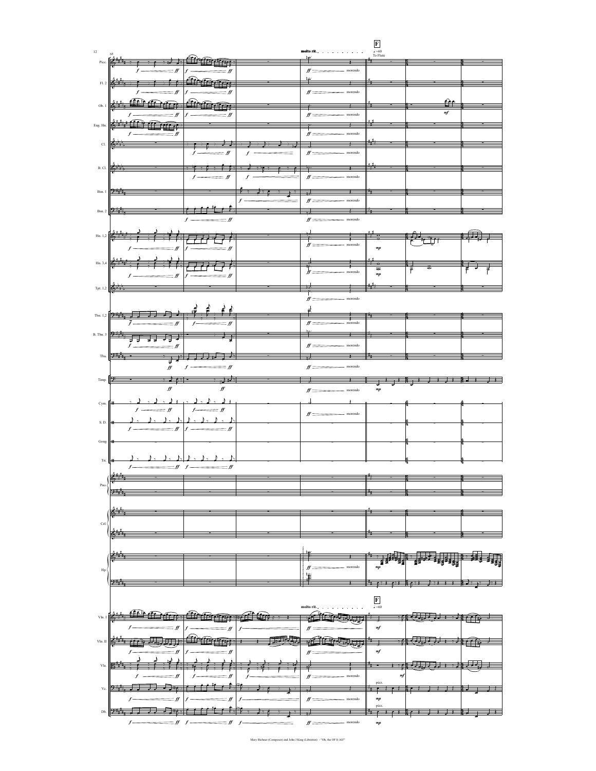|                                         |                                                                                                                          |                                              | molto rit                                           | $\frac{1}{10}$ =60<br>To Flute |                                         |                         |
|-----------------------------------------|--------------------------------------------------------------------------------------------------------------------------|----------------------------------------------|-----------------------------------------------------|--------------------------------|-----------------------------------------|-------------------------|
| Picc.                                   | $\overline{\cdot}$ , $\overline{\cdot}$ , $\overline{\cdot}$ , $\overline{\cdot}$ , $\overline{\cdot}$                   |                                              | ≢                                                   |                                |                                         |                         |
|                                         | $=$ f<br>$f -$<br>$=$ ff                                                                                                 |                                              | morendo<br>$\sqrt{x}$ $\equiv$                      |                                |                                         |                         |
| FL.2                                    | <u>in Arm</u><br>$^{\sharp_{\sharp}\sharp_{\sharp}}$ , $\mathfrak{g}$ , $\mathfrak{g}$ , $\mathfrak{p}$ $\mathfrak{g}$ , |                                              | $\overline{\phantom{a}}$                            |                                |                                         |                         |
|                                         | $=$ ff<br>$\boldsymbol{f}$                                                                                               |                                              | $\textit{f}$ $\equiv$<br>- morendo                  |                                |                                         |                         |
| Ob. $1$                                 | $\oplus$ and $\oplus$<br><del>the control</del>                                                                          |                                              | $\rho$ .                                            |                                | ਸਿ                                      |                         |
|                                         | $\hat{y}$<br>f f                                                                                                         |                                              | $f f =$<br>$-$ morendo                              |                                | mf                                      |                         |
|                                         | Eng. Ha. <b>Eng. Property</b>                                                                                            |                                              | ⇉                                                   |                                |                                         |                         |
|                                         |                                                                                                                          |                                              | $\dot{F} =$<br>$-$ morendo                          |                                |                                         |                         |
| $\mathop{\rm Cl}\nolimits.$             |                                                                                                                          |                                              |                                                     |                                |                                         |                         |
|                                         | $=$ ff                                                                                                                   |                                              | $\mathscr{I} =$<br>morendo                          |                                |                                         |                         |
|                                         |                                                                                                                          |                                              |                                                     |                                |                                         |                         |
|                                         | B. Cl. $\sqrt{2}$                                                                                                        | د <u>م د</u> مرد ( د ارو فر و                | $\overline{\phantom{a}}$<br>- morendo               |                                |                                         |                         |
|                                         | $f -$<br>$=$ ff                                                                                                          | $\boldsymbol{f}$                             | $r =$                                               |                                |                                         |                         |
|                                         | Bsn. 1 2 2                                                                                                               | $\mathbb{P}$ , $\mathbb{P}$ , $\mathfrak{g}$ | - 1                                                 |                                |                                         |                         |
|                                         |                                                                                                                          | $f -$                                        | $f =$<br>$-$ morendo                                |                                |                                         |                         |
|                                         | التسائل المنازع<br>Bsn. 2 $9.5.5$                                                                                        |                                              |                                                     |                                |                                         |                         |
|                                         | $f \longrightarrow f$                                                                                                    |                                              | $f f$ morendo                                       |                                |                                         |                         |
|                                         | Hn. 1,2 6 1 2                                                                                                            |                                              |                                                     | ے "                            |                                         |                         |
|                                         |                                                                                                                          |                                              | $\frac{1}{f}$<br>- morendo                          |                                |                                         |                         |
|                                         | $\frac{1}{f}$<br>$=$ ff<br>$f -$                                                                                         |                                              |                                                     | $\mathfrak{m}p$                |                                         |                         |
| Hn. 3,4                                 | $\overline{p}$ ; $\overline{p}$ ; $\overline{p}$                                                                         |                                              | $\overline{\phantom{a}}$                            | $\overline{\mathbf{c}}$        |                                         |                         |
|                                         | $f \xrightarrow{f}$<br>$\mathcal{F}$ —<br>$-$ ff                                                                         |                                              | $r =$<br>$-$ morendo                                | mp                             | 콯                                       |                         |
|                                         |                                                                                                                          |                                              |                                                     |                                |                                         |                         |
|                                         | Tpt. 1,2 $\left(6\right)^{3/2}$ ,                                                                                        |                                              | <u>)</u><br> -<br> -                                |                                |                                         |                         |
|                                         |                                                                                                                          |                                              | $f =$<br>$-$ morendo                                |                                |                                         |                         |
|                                         | The 1,2 $\frac{1}{2}$ $\frac{1}{2}$ $\frac{1}{2}$ $\frac{1}{2}$ $\frac{1}{2}$ $\frac{1}{2}$ $\frac{1}{2}$ $\frac{1}{2}$  |                                              |                                                     |                                |                                         |                         |
|                                         | $=$ ff<br>$\boldsymbol{\mathcal{B}}$                                                                                     |                                              | $\mathscr{I} =$<br>morendo                          |                                |                                         |                         |
| B. Tbn. 3 $2^{\frac{1}{2}+\frac{1}{2}}$ |                                                                                                                          |                                              | ⇉                                                   |                                |                                         |                         |
|                                         | <del>हा हा हा थ</del><br>$-$ ff                                                                                          |                                              | $r =$<br>morendo                                    |                                |                                         |                         |
|                                         | Tba. $2.5$<br><u>के प्राथमिक प</u>                                                                                       |                                              |                                                     |                                |                                         |                         |
|                                         | $\bar{f}$<br>$f -$<br>$f\hspace{-0.8mm}f$                                                                                |                                              | $\mathscr{I}$ $\overline{\phantom{I}}$<br>- morendo |                                |                                         |                         |
|                                         |                                                                                                                          |                                              |                                                     |                                |                                         |                         |
| Time.                                   | $f\hspace{-0.8mm}f$<br>$f\hspace{-0.1cm}f$                                                                               |                                              | ∓<br>morendo                                        | <del>, : , : %, : J</del>      |                                         | $\frac{4}{3}$<br>=      |
|                                         |                                                                                                                          |                                              | $\mathscr{I} =$                                     | $_{\mathfrak{m}p}$             |                                         |                         |
|                                         | $=$ ff<br>$f \longrightarrow f$<br>$f -$                                                                                 |                                              | $\cdot$                                             |                                |                                         |                         |
|                                         | $\Delta$ , $\Delta$ , $\Delta$ , $\Delta$ , $\Delta$ , $\Delta$ , $\Delta$ , $\Delta$ , $\Delta$                         |                                              | $\mathscr{I}$ $=$<br>$-$ morendo                    |                                |                                         |                         |
| S. D.                                   | $\blacksquare$<br>$f \longrightarrow f$ $f \longrightarrow f$                                                            |                                              |                                                     |                                |                                         |                         |
| $\operatorname{Gong}$                   | #                                                                                                                        |                                              |                                                     |                                |                                         |                         |
|                                         |                                                                                                                          |                                              |                                                     |                                |                                         |                         |
|                                         | $\Delta$ , $\Delta$ , $\Delta$ , $\Delta$ , $\Delta$ , $\Delta$ , $\Delta$ , $\Delta$<br>Tri. $H$                        |                                              |                                                     |                                |                                         |                         |
|                                         | $f \longrightarrow f$ $f \longrightarrow f$                                                                              |                                              |                                                     |                                |                                         |                         |
|                                         |                                                                                                                          |                                              |                                                     |                                |                                         |                         |
| Pno                                     | 945                                                                                                                      |                                              |                                                     |                                |                                         |                         |
|                                         |                                                                                                                          |                                              |                                                     |                                |                                         |                         |
|                                         |                                                                                                                          |                                              |                                                     |                                |                                         |                         |
| Cel                                     |                                                                                                                          |                                              |                                                     |                                |                                         |                         |
|                                         |                                                                                                                          |                                              |                                                     |                                |                                         |                         |
|                                         |                                                                                                                          |                                              |                                                     |                                |                                         |                         |
|                                         |                                                                                                                          |                                              |                                                     |                                |                                         |                         |
|                                         |                                                                                                                          |                                              |                                                     |                                |                                         |                         |
| Hp                                      |                                                                                                                          |                                              | morendo<br>∬<br>雀                                   |                                |                                         |                         |
|                                         |                                                                                                                          |                                              |                                                     |                                | $\overline{ }$<br>₹<br>$\mathbf{z}_0$ : | ∦⊅                      |
|                                         |                                                                                                                          |                                              |                                                     |                                |                                         |                         |
|                                         |                                                                                                                          |                                              | molto rit<br>$\sim$                                 | $\mathbf F$<br>$=60$           |                                         |                         |
| Vln.                                    | .<br>Ffireireset<br>ᆎ                                                                                                    |                                              |                                                     |                                | रम्पर<br>≠                              | r fa                    |
|                                         |                                                                                                                          |                                              | ∬                                                   | $\it mf$                       |                                         |                         |
|                                         |                                                                                                                          |                                              |                                                     |                                |                                         |                         |
| Vln. II                                 |                                                                                                                          | के                                           | ₹.                                                  |                                |                                         |                         |
|                                         |                                                                                                                          |                                              | $f\hspace{-0.1cm}f$ :                               | m f                            |                                         |                         |
| Vla.                                    |                                                                                                                          |                                              |                                                     |                                | , , , , , , , ,                         |                         |
|                                         | ∯                                                                                                                        |                                              | $f f$ :<br>morendo                                  |                                |                                         |                         |
| Ve.                                     | うちち                                                                                                                      |                                              |                                                     | pizz                           |                                         | ≢                       |
|                                         |                                                                                                                          |                                              | ∯<br>morendo                                        | mp                             |                                         |                         |
|                                         |                                                                                                                          |                                              |                                                     | pizz                           |                                         |                         |
|                                         | Db. $24.$<br>≠<br>地                                                                                                      | ⊉                                            |                                                     | ₹                              |                                         | $\overline{1}$<br>$\pm$ |
|                                         |                                                                                                                          |                                              | morendo<br>ff                                       | $m$ $p$                        |                                         |                         |

**F**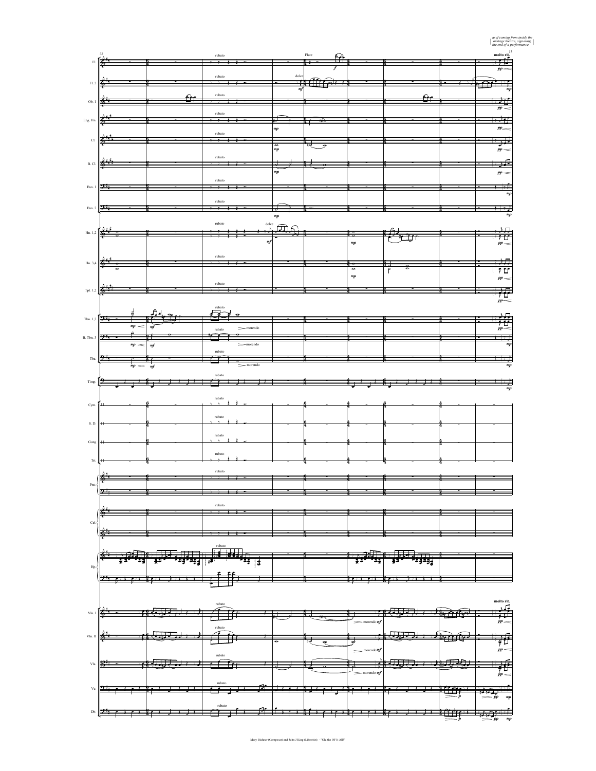R

|                     |                           |                                                                                                                                                                                                                                                                                                                                                                                                                                                                                                                     |                                          |                             | Flute<br>$\overline{6}$        |                          |                                                                     |                                                    | molto ri                                                                                                        |
|---------------------|---------------------------|---------------------------------------------------------------------------------------------------------------------------------------------------------------------------------------------------------------------------------------------------------------------------------------------------------------------------------------------------------------------------------------------------------------------------------------------------------------------------------------------------------------------|------------------------------------------|-----------------------------|--------------------------------|--------------------------|---------------------------------------------------------------------|----------------------------------------------------|-----------------------------------------------------------------------------------------------------------------|
| $\rm{Fl}$           |                           |                                                                                                                                                                                                                                                                                                                                                                                                                                                                                                                     |                                          |                             |                                |                          |                                                                     |                                                    | 垂<br>$_{pp}$                                                                                                    |
|                     |                           |                                                                                                                                                                                                                                                                                                                                                                                                                                                                                                                     | rubato                                   | dolo                        |                                |                          |                                                                     |                                                    |                                                                                                                 |
| FL.2                |                           |                                                                                                                                                                                                                                                                                                                                                                                                                                                                                                                     |                                          |                             |                                |                          |                                                                     | - 72                                               | تبع<br>$\rightarrow$ f                                                                                          |
|                     |                           |                                                                                                                                                                                                                                                                                                                                                                                                                                                                                                                     | rubat                                    |                             |                                |                          |                                                                     |                                                    | mp                                                                                                              |
| Ob.1                |                           | ਜ਼੍ਰਿ                                                                                                                                                                                                                                                                                                                                                                                                                                                                                                               |                                          |                             |                                |                          | Ê                                                                   |                                                    | ╩⋢                                                                                                              |
|                     |                           |                                                                                                                                                                                                                                                                                                                                                                                                                                                                                                                     | rubato                                   |                             |                                |                          |                                                                     |                                                    | $_{\it PP}$                                                                                                     |
| Eng. Hn.            |                           |                                                                                                                                                                                                                                                                                                                                                                                                                                                                                                                     |                                          |                             | ⊟                              |                          |                                                                     |                                                    | 4⊈                                                                                                              |
|                     |                           |                                                                                                                                                                                                                                                                                                                                                                                                                                                                                                                     |                                          | mp                          |                                |                          |                                                                     |                                                    | pp                                                                                                              |
|                     |                           |                                                                                                                                                                                                                                                                                                                                                                                                                                                                                                                     | rubate                                   |                             |                                |                          |                                                                     |                                                    |                                                                                                                 |
| $\operatorname{Cl}$ |                           |                                                                                                                                                                                                                                                                                                                                                                                                                                                                                                                     |                                          | ÷                           | $\mathbf{\overline{v}}$        |                          |                                                                     |                                                    | 尹                                                                                                               |
|                     |                           |                                                                                                                                                                                                                                                                                                                                                                                                                                                                                                                     |                                          | mp                          |                                |                          |                                                                     |                                                    | $pp =$                                                                                                          |
| B.Cl.               |                           |                                                                                                                                                                                                                                                                                                                                                                                                                                                                                                                     | rubato                                   |                             |                                |                          |                                                                     |                                                    | لتكوع                                                                                                           |
|                     |                           |                                                                                                                                                                                                                                                                                                                                                                                                                                                                                                                     |                                          | mp                          |                                |                          |                                                                     |                                                    | $pp =$                                                                                                          |
|                     |                           |                                                                                                                                                                                                                                                                                                                                                                                                                                                                                                                     | rubato                                   |                             |                                |                          |                                                                     |                                                    |                                                                                                                 |
| $_{\rm Bsn.}$       |                           |                                                                                                                                                                                                                                                                                                                                                                                                                                                                                                                     |                                          |                             |                                |                          |                                                                     |                                                    | †∗P                                                                                                             |
|                     |                           |                                                                                                                                                                                                                                                                                                                                                                                                                                                                                                                     |                                          |                             |                                |                          |                                                                     |                                                    | $_{\scriptstyle mp}$                                                                                            |
|                     |                           |                                                                                                                                                                                                                                                                                                                                                                                                                                                                                                                     | rubato                                   |                             |                                |                          |                                                                     |                                                    |                                                                                                                 |
| Bsn. 2              |                           |                                                                                                                                                                                                                                                                                                                                                                                                                                                                                                                     |                                          |                             |                                |                          |                                                                     |                                                    | $_{\mathit{mp}}$                                                                                                |
|                     |                           |                                                                                                                                                                                                                                                                                                                                                                                                                                                                                                                     | rubato                                   | $_{\mathfrak{m}p}$<br>dolce |                                |                          |                                                                     |                                                    |                                                                                                                 |
| Hn. 1,2             |                           |                                                                                                                                                                                                                                                                                                                                                                                                                                                                                                                     |                                          | يرك                         |                                | $\overline{\phantom{a}}$ |                                                                     |                                                    |                                                                                                                 |
|                     |                           |                                                                                                                                                                                                                                                                                                                                                                                                                                                                                                                     |                                          | m)                          |                                |                          |                                                                     |                                                    | 禮                                                                                                               |
|                     |                           |                                                                                                                                                                                                                                                                                                                                                                                                                                                                                                                     |                                          |                             |                                | $_{mp}$                  |                                                                     |                                                    | $pp =$                                                                                                          |
|                     |                           |                                                                                                                                                                                                                                                                                                                                                                                                                                                                                                                     | rubato                                   |                             |                                |                          |                                                                     |                                                    |                                                                                                                 |
| Hn. 3,4             |                           |                                                                                                                                                                                                                                                                                                                                                                                                                                                                                                                     |                                          |                             |                                | $\circ$                  |                                                                     |                                                    | <u>эл</u>                                                                                                       |
|                     |                           |                                                                                                                                                                                                                                                                                                                                                                                                                                                                                                                     |                                          |                             |                                | ≖                        |                                                                     |                                                    | $\overline{r}$                                                                                                  |
|                     |                           |                                                                                                                                                                                                                                                                                                                                                                                                                                                                                                                     |                                          |                             |                                | $_{\it mp}$              |                                                                     |                                                    | $PP \rightleftharpoons$                                                                                         |
| Tpt. 1,2            |                           |                                                                                                                                                                                                                                                                                                                                                                                                                                                                                                                     | rubato                                   |                             |                                |                          |                                                                     |                                                    |                                                                                                                 |
|                     |                           |                                                                                                                                                                                                                                                                                                                                                                                                                                                                                                                     |                                          |                             |                                |                          |                                                                     |                                                    | 帮                                                                                                               |
|                     |                           |                                                                                                                                                                                                                                                                                                                                                                                                                                                                                                                     | rubato                                   |                             |                                |                          |                                                                     |                                                    | $pp$ -                                                                                                          |
|                     |                           |                                                                                                                                                                                                                                                                                                                                                                                                                                                                                                                     |                                          |                             |                                |                          |                                                                     |                                                    | $\frac{1}{2}$                                                                                                   |
| Tbn. 1,2            |                           |                                                                                                                                                                                                                                                                                                                                                                                                                                                                                                                     |                                          |                             |                                |                          |                                                                     |                                                    | $\frac{\partial \; \mathbf{C}}{\partial p}$                                                                     |
|                     |                           |                                                                                                                                                                                                                                                                                                                                                                                                                                                                                                                     | - morendo<br>rubato                      |                             |                                |                          |                                                                     |                                                    |                                                                                                                 |
| <b>B.</b> Tbn. 3    | y4                        |                                                                                                                                                                                                                                                                                                                                                                                                                                                                                                                     |                                          |                             |                                |                          |                                                                     |                                                    | ≖                                                                                                               |
|                     | mp                        | $\it mf$                                                                                                                                                                                                                                                                                                                                                                                                                                                                                                            | -morendo                                 |                             |                                |                          |                                                                     |                                                    | $_{\scriptstyle mp}$                                                                                            |
|                     |                           |                                                                                                                                                                                                                                                                                                                                                                                                                                                                                                                     | rubato                                   |                             |                                |                          |                                                                     |                                                    |                                                                                                                 |
| Tba.                | mр                        |                                                                                                                                                                                                                                                                                                                                                                                                                                                                                                                     | - morendo                                |                             |                                |                          |                                                                     |                                                    | $_{\mathit{mp}}$                                                                                                |
|                     |                           | $_{mf}$                                                                                                                                                                                                                                                                                                                                                                                                                                                                                                             |                                          |                             |                                |                          |                                                                     |                                                    |                                                                                                                 |
| Timp.               |                           |                                                                                                                                                                                                                                                                                                                                                                                                                                                                                                                     | rubato<br>∍                              |                             |                                |                          |                                                                     |                                                    |                                                                                                                 |
|                     |                           |                                                                                                                                                                                                                                                                                                                                                                                                                                                                                                                     |                                          |                             |                                | " ⊺<br>⇉                 |                                                                     |                                                    | 尹<br>$_{\mathit{mp}}$                                                                                           |
|                     |                           |                                                                                                                                                                                                                                                                                                                                                                                                                                                                                                                     | rubato                                   |                             |                                |                          |                                                                     |                                                    |                                                                                                                 |
| Cym.                |                           |                                                                                                                                                                                                                                                                                                                                                                                                                                                                                                                     |                                          |                             |                                |                          |                                                                     |                                                    |                                                                                                                 |
|                     |                           |                                                                                                                                                                                                                                                                                                                                                                                                                                                                                                                     |                                          |                             |                                |                          |                                                                     |                                                    |                                                                                                                 |
| S. D.               |                           |                                                                                                                                                                                                                                                                                                                                                                                                                                                                                                                     | rubato                                   |                             |                                |                          |                                                                     |                                                    |                                                                                                                 |
|                     |                           |                                                                                                                                                                                                                                                                                                                                                                                                                                                                                                                     |                                          |                             |                                |                          |                                                                     |                                                    |                                                                                                                 |
|                     |                           |                                                                                                                                                                                                                                                                                                                                                                                                                                                                                                                     | rubato<br>$\bullet_i$                    |                             |                                |                          |                                                                     |                                                    |                                                                                                                 |
| Gong                |                           |                                                                                                                                                                                                                                                                                                                                                                                                                                                                                                                     |                                          |                             |                                |                          |                                                                     |                                                    |                                                                                                                 |
|                     |                           |                                                                                                                                                                                                                                                                                                                                                                                                                                                                                                                     | rubato                                   |                             |                                |                          |                                                                     |                                                    |                                                                                                                 |
| Tri.                |                           |                                                                                                                                                                                                                                                                                                                                                                                                                                                                                                                     |                                          |                             |                                |                          |                                                                     |                                                    |                                                                                                                 |
|                     |                           |                                                                                                                                                                                                                                                                                                                                                                                                                                                                                                                     | rubato                                   |                             |                                |                          |                                                                     |                                                    |                                                                                                                 |
|                     |                           |                                                                                                                                                                                                                                                                                                                                                                                                                                                                                                                     |                                          |                             |                                |                          |                                                                     |                                                    |                                                                                                                 |
| Pno.                | (三                        |                                                                                                                                                                                                                                                                                                                                                                                                                                                                                                                     |                                          |                             |                                |                          |                                                                     |                                                    |                                                                                                                 |
|                     |                           |                                                                                                                                                                                                                                                                                                                                                                                                                                                                                                                     |                                          |                             |                                |                          |                                                                     |                                                    |                                                                                                                 |
|                     |                           |                                                                                                                                                                                                                                                                                                                                                                                                                                                                                                                     | rubato                                   |                             |                                |                          |                                                                     |                                                    |                                                                                                                 |
|                     | 岸                         |                                                                                                                                                                                                                                                                                                                                                                                                                                                                                                                     |                                          |                             |                                |                          |                                                                     |                                                    |                                                                                                                 |
| $_{\rm Cel.}$       |                           |                                                                                                                                                                                                                                                                                                                                                                                                                                                                                                                     |                                          |                             |                                |                          |                                                                     |                                                    |                                                                                                                 |
|                     |                           |                                                                                                                                                                                                                                                                                                                                                                                                                                                                                                                     |                                          |                             |                                |                          |                                                                     |                                                    |                                                                                                                 |
|                     |                           |                                                                                                                                                                                                                                                                                                                                                                                                                                                                                                                     |                                          |                             |                                |                          |                                                                     |                                                    |                                                                                                                 |
|                     |                           |                                                                                                                                                                                                                                                                                                                                                                                                                                                                                                                     | rubate<br>$\mathbb{Z}$                   |                             |                                |                          |                                                                     |                                                    |                                                                                                                 |
|                     |                           | $\overline{\mathfrak{ss}^{\prime}_{\mathfrak{s}}\mathfrak{ss}_{\mathfrak{s}_{\mathfrak{s}}^{\prime}}}$                                                                                                                                                                                                                                                                                                                                                                                                              | $\frac{1}{\sqrt{2}}$                     |                             |                                | $\sqrt{m_{\tilde{i}}^2}$ | 3 <sup>3995</sup> 95353                                             |                                                    |                                                                                                                 |
| Hp.                 |                           |                                                                                                                                                                                                                                                                                                                                                                                                                                                                                                                     |                                          | ड़ि                         |                                |                          |                                                                     |                                                    |                                                                                                                 |
|                     |                           |                                                                                                                                                                                                                                                                                                                                                                                                                                                                                                                     |                                          |                             |                                |                          |                                                                     |                                                    |                                                                                                                 |
|                     | ₽                         |                                                                                                                                                                                                                                                                                                                                                                                                                                                                                                                     |                                          |                             |                                | 767 Հ                    |                                                                     |                                                    |                                                                                                                 |
|                     |                           |                                                                                                                                                                                                                                                                                                                                                                                                                                                                                                                     |                                          |                             |                                |                          |                                                                     |                                                    |                                                                                                                 |
|                     |                           |                                                                                                                                                                                                                                                                                                                                                                                                                                                                                                                     |                                          |                             |                                |                          |                                                                     |                                                    | $% \left\vert \left( \mathbf{1}_{1},\mathbf{1}_{2},\mathbf{1}_{2},\mathbf{1}_{2}\right) \right\vert$ molto rit. |
|                     |                           |                                                                                                                                                                                                                                                                                                                                                                                                                                                                                                                     | $\overbrace{\phantom{a}}^{\text{nbato}}$ |                             |                                |                          |                                                                     |                                                    | $\frac{1}{p}$                                                                                                   |
| $V\!$ In. I         | 6                         | $\frac{1}{2}$<br>⇉<br>≖                                                                                                                                                                                                                                                                                                                                                                                                                                                                                             |                                          |                             | क्रि                           | ∓                        | ₹                                                                   | $\mathcal{L}$ ) in the first part of $\mathcal{L}$ |                                                                                                                 |
|                     |                           |                                                                                                                                                                                                                                                                                                                                                                                                                                                                                                                     |                                          |                             |                                |                          |                                                                     |                                                    |                                                                                                                 |
|                     |                           |                                                                                                                                                                                                                                                                                                                                                                                                                                                                                                                     | rubato                                   |                             |                                |                          |                                                                     |                                                    |                                                                                                                 |
| Vln. II             | 6                         | $\mathbb{E}\left\{ \mathbf{1},\mathbf{1}\right\} \rightarrow\mathbb{E}\left\{ \mathbf{1},\mathbf{1}\right\} \rightarrow\mathbb{E}\left\{ \mathbf{1},\mathbf{1}\right\} \rightarrow\mathbb{E}\left\{ \mathbf{1},\mathbf{1}\right\} \rightarrow\mathbb{E}\left\{ \mathbf{1},\mathbf{1}\right\} \rightarrow\mathbb{E}\left\{ \mathbf{1},\mathbf{1}\right\} \rightarrow\mathbb{E}\left\{ \mathbf{1},\mathbf{1}\right\} \rightarrow\mathbb{E}\left\{ \mathbf{1},\mathbf{1}\right\} \rightarrow\mathbb{E}\left\{ \mathbf$ |                                          | ᇹ                           |                                |                          | · <del>시키 : 가</del> 요?                                              |                                                    | $\frac{1}{\frac{1}{p}}$                                                                                         |
|                     |                           |                                                                                                                                                                                                                                                                                                                                                                                                                                                                                                                     |                                          |                             |                                | .morendom                |                                                                     |                                                    |                                                                                                                 |
|                     |                           |                                                                                                                                                                                                                                                                                                                                                                                                                                                                                                                     | rubato                                   |                             |                                |                          |                                                                     |                                                    |                                                                                                                 |
| Vla.                | $\mathbb{B}^{\mathbb{Z}}$ | → (2,000 × )                                                                                                                                                                                                                                                                                                                                                                                                                                                                                                        | $\overline{\phantom{0}}$                 |                             |                                |                          | <b>J.J.J.</b> 1 2 1 1 2 2 2 2                                       |                                                    |                                                                                                                 |
|                     |                           |                                                                                                                                                                                                                                                                                                                                                                                                                                                                                                                     |                                          |                             |                                | morendo mf               |                                                                     |                                                    | $\frac{1}{p}$                                                                                                   |
|                     |                           |                                                                                                                                                                                                                                                                                                                                                                                                                                                                                                                     |                                          |                             |                                |                          |                                                                     |                                                    |                                                                                                                 |
|                     |                           |                                                                                                                                                                                                                                                                                                                                                                                                                                                                                                                     |                                          |                             |                                |                          |                                                                     |                                                    |                                                                                                                 |
| Vc.                 |                           |                                                                                                                                                                                                                                                                                                                                                                                                                                                                                                                     | rubato<br>⇉<br>Ψ                         | 乎                           |                                |                          | $\frac{1}{2}$ and $\frac{1}{2}$ and $\frac{1}{2}$ and $\frac{1}{2}$ |                                                    |                                                                                                                 |
|                     |                           |                                                                                                                                                                                                                                                                                                                                                                                                                                                                                                                     |                                          | $\frac{1}{2}$               | <u> XJ 2 p 2 j 2 2 p 2 p 2</u> |                          |                                                                     | $\prod_{p}$                                        | <del>ا</del> ≠ا∗ر⊏ب<br>$_{\boldsymbol{m} \boldsymbol{p}}$<br>$ pp$                                              |
|                     |                           |                                                                                                                                                                                                                                                                                                                                                                                                                                                                                                                     | rubato                                   |                             |                                |                          |                                                                     |                                                    |                                                                                                                 |
| Db.                 | 2*<br>Ŧ<br>Ŧ              | ∦r                                                                                                                                                                                                                                                                                                                                                                                                                                                                                                                  | ⇞                                        | 乒<br>╩<br>Ŧ<br>∓<br>¥       | $\frac{1}{2}$<br>₹<br>Ŧ<br>Ŧ   | ≠≵∤<br>z                 | ∦r<br>₹<br>∓<br>≠                                                   | <u> i Cre</u>                                      | $\overline{\mathbb{F}_p}$<br>╩<br>$\mathfrak{m}p$                                                               |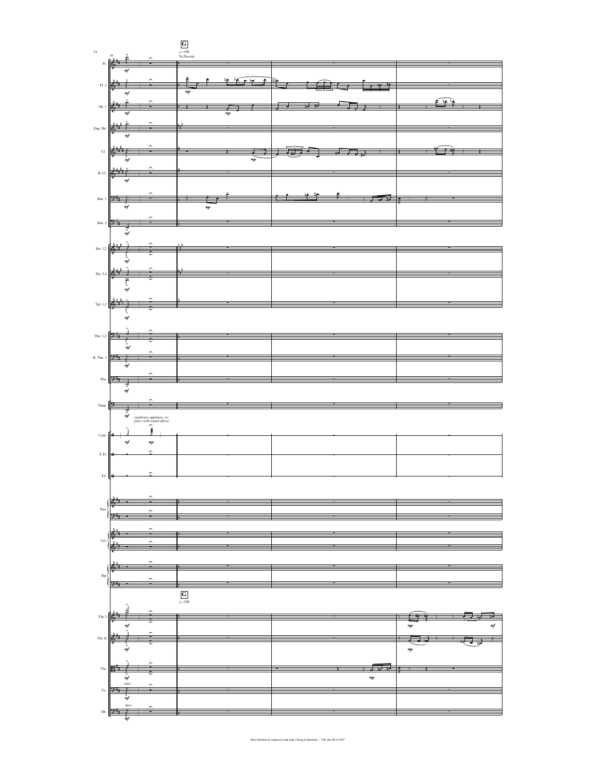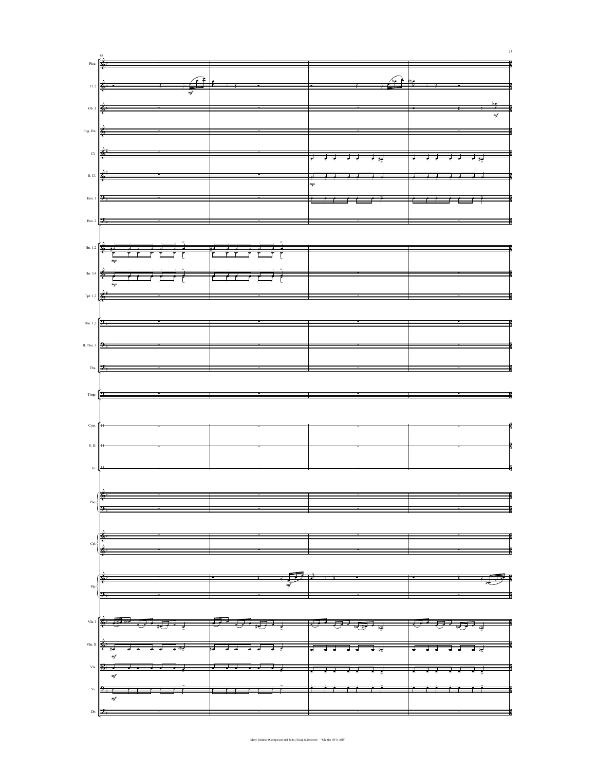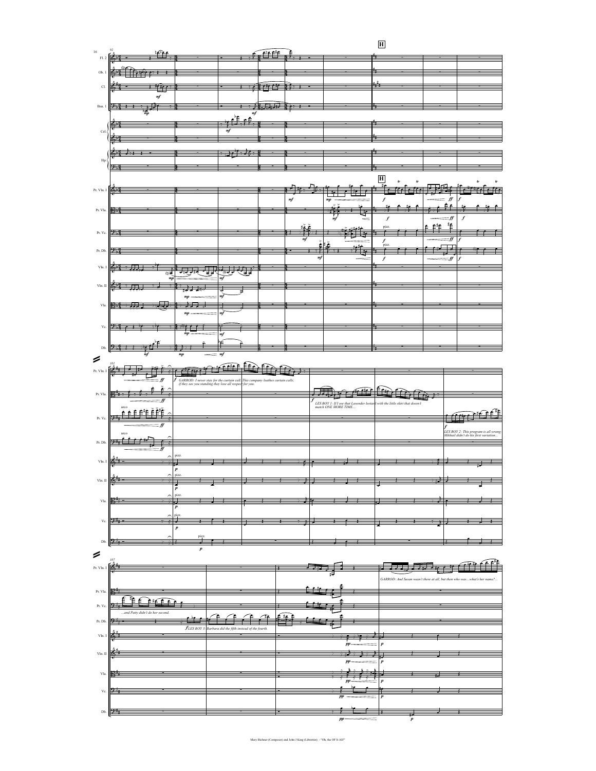| 16<br>F1.2               | 92<br>垂<br>Ç,<br>$\overline{\mathbf{v}}$ |                                                                                                                                           |                                                           |             | 华望                  |                           |                                    |                          |                                                                                                  |         |                  |                                                                                |
|--------------------------|------------------------------------------|-------------------------------------------------------------------------------------------------------------------------------------------|-----------------------------------------------------------|-------------|---------------------|---------------------------|------------------------------------|--------------------------|--------------------------------------------------------------------------------------------------|---------|------------------|--------------------------------------------------------------------------------|
|                          |                                          |                                                                                                                                           |                                                           |             |                     |                           |                                    |                          |                                                                                                  |         |                  |                                                                                |
| Ob.                      | 牵<br>محتقم                               |                                                                                                                                           |                                                           |             |                     |                           |                                    |                          |                                                                                                  |         |                  |                                                                                |
| Cl.                      | 6<br>₩<br>₹                              |                                                                                                                                           |                                                           | Ē           | ٣Ű                  |                           |                                    |                          | - 1                                                                                              |         |                  |                                                                                |
|                          | mf                                       |                                                                                                                                           |                                                           |             |                     |                           |                                    |                          |                                                                                                  |         |                  |                                                                                |
| Bsn. 1                   | <u>Эх</u><br>3                           |                                                                                                                                           |                                                           | Ŧ           | لعة لمولدة المرة ال | 石                         |                                    |                          |                                                                                                  |         |                  |                                                                                |
|                          | тp                                       |                                                                                                                                           | ₫                                                         | mf<br>्र रि |                     |                           |                                    |                          |                                                                                                  |         |                  |                                                                                |
| Cel.                     | 6                                        |                                                                                                                                           | mf                                                        |             |                     |                           |                                    |                          |                                                                                                  |         |                  |                                                                                |
|                          | 6                                        |                                                                                                                                           |                                                           |             |                     |                           |                                    |                          |                                                                                                  |         |                  |                                                                                |
|                          | 傘                                        |                                                                                                                                           |                                                           |             |                     |                           |                                    |                          |                                                                                                  |         |                  |                                                                                |
| Hp.                      |                                          |                                                                                                                                           |                                                           |             |                     |                           |                                    |                          |                                                                                                  |         |                  |                                                                                |
|                          | 芝                                        |                                                                                                                                           |                                                           |             |                     |                           |                                    |                          |                                                                                                  |         |                  |                                                                                |
|                          |                                          |                                                                                                                                           |                                                           |             |                     |                           |                                    |                          | $\mathbf{H}$                                                                                     | tr      |                  |                                                                                |
| Pr. Vln. I               | 6                                        |                                                                                                                                           |                                                           |             |                     |                           |                                    |                          | frei<br>÷                                                                                        | معتصم   |                  | - <sup>©re</sup> ®r -<br>r fr                                                  |
|                          |                                          |                                                                                                                                           |                                                           |             |                     | mf                        | $_{\boldsymbol{m} \boldsymbol{p}}$ |                          | f                                                                                                |         | ff<br>Ė          |                                                                                |
| Pr. Vla.                 | 84                                       |                                                                                                                                           |                                                           |             |                     |                           | mj                                 | Ŧ                        | f                                                                                                |         | fi               | ⊶<br>J                                                                         |
|                          |                                          |                                                                                                                                           |                                                           |             |                     |                           |                                    |                          | pizz                                                                                             | 壬午<br>r | 牦                |                                                                                |
| Pr. Vc                   | 25,                                      |                                                                                                                                           |                                                           |             |                     | $\frac{1}{2}$<br>$\it mf$ |                                    |                          |                                                                                                  |         | ∯                |                                                                                |
| Pr. Db.                  | 2                                        |                                                                                                                                           |                                                           |             |                     |                           |                                    | ولأحد                    | f<br>pizz                                                                                        |         |                  |                                                                                |
|                          |                                          |                                                                                                                                           |                                                           |             |                     | my                        |                                    |                          | f                                                                                                |         | $\exists f$<br>1 |                                                                                |
| $Vln.$ I                 | ه<br>,,,                                 | मु<br>जनगर                                                                                                                                |                                                           |             |                     |                           |                                    |                          |                                                                                                  |         |                  |                                                                                |
|                          | $\phi$<br>$_{mp}$                        |                                                                                                                                           | mJ                                                        |             |                     |                           |                                    |                          |                                                                                                  |         |                  |                                                                                |
| Vln. $\Pi$               | 6                                        | ਦਾ<br>sting                                                                                                                               |                                                           |             |                     |                           |                                    |                          |                                                                                                  |         |                  |                                                                                |
|                          |                                          | mp                                                                                                                                        | mf                                                        |             |                     |                           |                                    |                          |                                                                                                  |         |                  |                                                                                |
| Vla.                     | د لو لودا<br>≖                           | $_{\mathit{mp}}$                                                                                                                          | mJ                                                        |             |                     |                           |                                    |                          |                                                                                                  |         |                  |                                                                                |
|                          |                                          | فتللد                                                                                                                                     |                                                           |             |                     |                           |                                    |                          |                                                                                                  |         |                  |                                                                                |
| $\rm{Vc}$                | <del>2 х</del>                           | mp                                                                                                                                        | mf                                                        |             |                     |                           |                                    |                          |                                                                                                  |         |                  |                                                                                |
| ${\rm Db}$               | $9.1 +$<br>- 24                          | $\rightarrow$                                                                                                                             |                                                           |             |                     |                           |                                    |                          |                                                                                                  |         |                  |                                                                                |
|                          | m)                                       | $_{mp}$                                                                                                                                   | mj                                                        |             |                     |                           |                                    |                          |                                                                                                  |         |                  |                                                                                |
| <b>&gt;</b>              |                                          |                                                                                                                                           | ēte                                                       | £,          |                     |                           |                                    |                          |                                                                                                  |         |                  |                                                                                |
| Pr. Vln. 1               | 6<br>f)                                  | فعواهما الأمر                                                                                                                             |                                                           |             | ┍                   | جڪ                        |                                    |                          |                                                                                                  |         |                  |                                                                                |
|                          |                                          | $GARROD$ : I never stay for the curtain call. This company loathes curtain calls; if they see you standing they lose all respect for you. |                                                           |             |                     |                           |                                    | $\epsilon$ of $\epsilon$ | £⊭                                                                                               |         |                  |                                                                                |
| Pr. Vla.                 | $B^+$<br>∯                               |                                                                                                                                           |                                                           |             |                     |                           | ت روانه                            |                          |                                                                                                  | f.      |                  |                                                                                |
|                          | arco<br>鳝                                |                                                                                                                                           |                                                           |             |                     |                           |                                    |                          | LES BOY 1: If I see that Lavender leotard with the little skirt that doesn't match ONE MORE TIME |         |                  | ∯                                                                              |
| Pr. Vc.                  | 21                                       |                                                                                                                                           |                                                           |             |                     |                           |                                    |                          |                                                                                                  |         |                  |                                                                                |
|                          | $\cdot$ ff<br>arco                       |                                                                                                                                           |                                                           |             |                     |                           |                                    |                          |                                                                                                  |         |                  | LES BOY 2: This program is all wrong.<br>Mikhail didn't do his first variation |
| Pr. Db.                  | ⊋<br>₹                                   |                                                                                                                                           |                                                           |             |                     |                           |                                    |                          |                                                                                                  |         |                  |                                                                                |
|                          | ℋ<br>$\hat{ }$                           | pizz.                                                                                                                                     |                                                           |             |                     |                           |                                    |                          |                                                                                                  |         |                  |                                                                                |
| $\mathbf{V}\mathbf{ln}.$ | ₹                                        |                                                                                                                                           |                                                           |             |                     | $\overline{\phantom{a}}$  |                                    |                          |                                                                                                  |         |                  |                                                                                |
|                          | c                                        | $\boldsymbol{p}$<br>pizz.                                                                                                                 |                                                           |             |                     |                           |                                    |                          |                                                                                                  |         |                  |                                                                                |
| Vln. $\rm II$            | 棒                                        | $\tilde{p}$                                                                                                                               |                                                           |             |                     | J                         |                                    |                          |                                                                                                  | ₽       |                  | ₹<br>₹                                                                         |
|                          | c                                        | pizz.                                                                                                                                     |                                                           |             |                     |                           |                                    |                          |                                                                                                  |         |                  |                                                                                |
| Vla.                     | 빠                                        | $\boldsymbol{p}$                                                                                                                          |                                                           |             |                     |                           |                                    |                          |                                                                                                  |         |                  |                                                                                |
| $\rm{Vc}$                | c<br>92                                  | pizz<br>≂                                                                                                                                 |                                                           |             |                     |                           |                                    |                          |                                                                                                  |         |                  |                                                                                |
|                          |                                          | $\boldsymbol{p}$                                                                                                                          |                                                           |             |                     |                           |                                    |                          |                                                                                                  |         |                  |                                                                                |
| Db.                      | c<br>ئۇ                                  | pizz<br>≭ الا                                                                                                                             |                                                           |             |                     |                           |                                    |                          |                                                                                                  |         |                  |                                                                                |
|                          |                                          | $\boldsymbol{p}$                                                                                                                          |                                                           |             |                     |                           |                                    |                          |                                                                                                  |         |                  |                                                                                |
| <b>&gt;</b>              | 107                                      |                                                                                                                                           |                                                           |             |                     |                           |                                    |                          |                                                                                                  |         |                  |                                                                                |
| Pr. Vln. I               | 香                                        |                                                                                                                                           |                                                           |             |                     | ان و آه                   |                                    |                          | $\overline{\phantom{a}}$                                                                         | . .     |                  |                                                                                |
|                          |                                          |                                                                                                                                           |                                                           |             |                     |                           |                                    |                          |                                                                                                  |         |                  | GARROD: And Susan wasn't there at all, but then who was  what's her name?.     |
| Pr. Vla.                 | <u>∦≩≔</u>                               |                                                                                                                                           |                                                           |             |                     |                           |                                    |                          |                                                                                                  |         |                  |                                                                                |
| Pr. Ve.                  |                                          |                                                                                                                                           |                                                           |             |                     |                           |                                    |                          |                                                                                                  |         |                  |                                                                                |
|                          | and Patty didn't do her second.          |                                                                                                                                           |                                                           |             |                     | 埑                         |                                    |                          |                                                                                                  |         |                  |                                                                                |
| Pr. Db.                  | ₽                                        |                                                                                                                                           | f LES BOY 3: Barbara did the fifth instead of the fourth. |             |                     |                           |                                    |                          |                                                                                                  |         |                  |                                                                                |
| Vln.1                    | 6                                        |                                                                                                                                           |                                                           |             |                     |                           |                                    | Z                        |                                                                                                  |         |                  |                                                                                |
|                          |                                          |                                                                                                                                           |                                                           |             |                     |                           |                                    | $_{PP}$                  | $\boldsymbol{p}$                                                                                 |         |                  |                                                                                |
| Vln. $\Pi$               | ♦                                        |                                                                                                                                           |                                                           |             |                     |                           |                                    | 큩                        |                                                                                                  |         |                  |                                                                                |
|                          |                                          |                                                                                                                                           |                                                           |             |                     |                           |                                    | $_{pp}$                  | $\boldsymbol{p}$                                                                                 |         |                  |                                                                                |
| Vla.                     | 83                                       |                                                                                                                                           |                                                           |             |                     |                           |                                    | ŧ<br>$_{pp}$             | $\boldsymbol{p}$                                                                                 |         |                  |                                                                                |
| Ve.                      | ř                                        |                                                                                                                                           |                                                           |             |                     |                           |                                    |                          |                                                                                                  |         |                  |                                                                                |
|                          |                                          |                                                                                                                                           |                                                           |             |                     |                           | pp                                 |                          | $\overline{p}$                                                                                   |         |                  |                                                                                |
|                          | Db. $\boxed{\frac{1}{2}}$                |                                                                                                                                           |                                                           |             |                     |                           | ₽                                  |                          |                                                                                                  |         |                  |                                                                                |
|                          |                                          |                                                                                                                                           |                                                           |             |                     |                           | pp                                 |                          |                                                                                                  |         |                  |                                                                                |

Mary Bichner (Composer) and John J King (Librettist) - "Oh, the OF It All!"

**H**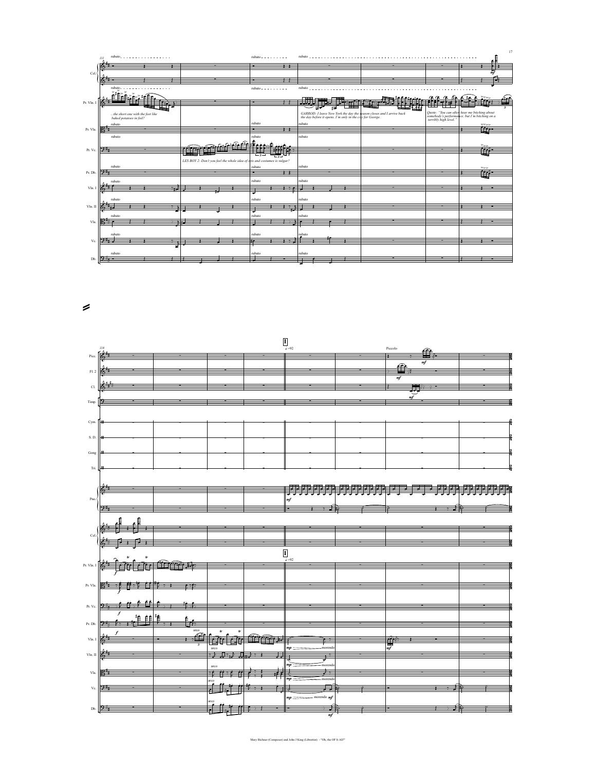|            | III  | rubato.                           |                                                                          | rubato      | rubato $\ldots$ , $\ldots$ , $\ldots$ , $\ldots$ , $\ldots$                                                                            |                   |                                                                                        | 17<br>ءِ<br>آه |
|------------|------|-----------------------------------|--------------------------------------------------------------------------|-------------|----------------------------------------------------------------------------------------------------------------------------------------|-------------------|----------------------------------------------------------------------------------------|----------------|
| Cel.       |      |                                   |                                                                          |             |                                                                                                                                        |                   | mt                                                                                     | ₹              |
|            | R    | rubato.                           |                                                                          | rubato.     | rubato                                                                                                                                 |                   |                                                                                        | ┙              |
| Pr. Vln. I |      |                                   |                                                                          |             |                                                                                                                                        | everle Correspond |                                                                                        |                |
|            |      | the short one with the feet like  |                                                                          |             | ⇉<br>GARROD: I leave New York the day the season closes and I arrive back<br>the day before it opens. I'm only in the city for George. |                   | Quote: "You can often hear me bitching about                                           |                |
| Pr. Vla.   | 膠生   | baked potatoes in foil?<br>rubato |                                                                          | rubato      | rubato                                                                                                                                 |                   | somebody's performance, but I'm bitching on a<br>terribly high level."<br>$+ - -$<br>÷ |                |
|            |      | rubato                            |                                                                          | rubato      | rubato                                                                                                                                 |                   |                                                                                        |                |
| Pr. Vc.    | - 12 |                                   |                                                                          | – ج —       |                                                                                                                                        |                   | ---<br>Ŧ                                                                               |                |
|            |      | rubato                            | LES BOY 2: Don't you feel the whole idea of sets and costumes is vulgar? | rubato      | rubato                                                                                                                                 |                   |                                                                                        |                |
| Pr. Db.    |      | rubato                            |                                                                          | rubato      | rubato                                                                                                                                 |                   |                                                                                        |                |
| Vln. I     |      |                                   |                                                                          |             |                                                                                                                                        |                   |                                                                                        |                |
| Vln. II    |      | rubato                            |                                                                          | rubato<br>▾ | rubato                                                                                                                                 |                   |                                                                                        |                |
| Vla.       |      | rubato                            |                                                                          | rubato      | rubato                                                                                                                                 |                   |                                                                                        |                |
|            |      | rubato                            |                                                                          | rubato      | rubato                                                                                                                                 |                   |                                                                                        |                |
| Vc.        |      |                                   |                                                                          |             |                                                                                                                                        |                   |                                                                                        |                |
| Db.        |      | rubato                            |                                                                          | rubato      | rubato                                                                                                                                 |                   |                                                                                        |                |

=



ner (Composer) and John J King (Librettist) - "Oh, the OF It All!"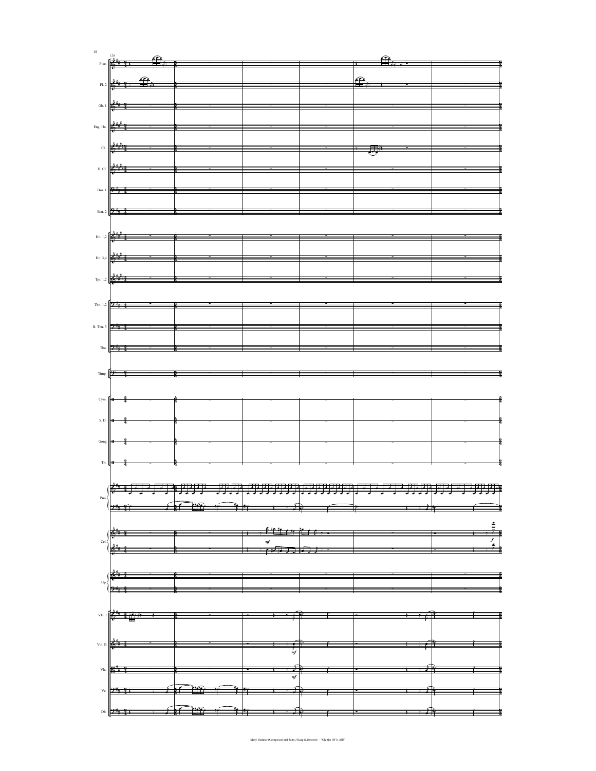|                       | Pice.                                                         | $\mathbf{f}_k$ |                     |                          |   | £ |                  |
|-----------------------|---------------------------------------------------------------|----------------|---------------------|--------------------------|---|---|------------------|
|                       |                                                               |                |                     |                          |   |   |                  |
|                       | FI. 2 $\frac{2}{6}$ $\frac{1}{4}$ $\frac{1}{2}$ $\frac{1}{2}$ | €              |                     |                          |   | £ |                  |
|                       |                                                               |                |                     |                          |   |   |                  |
|                       | Ob. 1 $\frac{27}{9}$                                          |                |                     |                          |   |   |                  |
|                       |                                                               |                |                     |                          |   |   |                  |
| Eng. Hn.              | $\frac{2\pi}{5}$                                              |                |                     |                          |   |   |                  |
|                       |                                                               |                |                     |                          |   |   |                  |
|                       | $C1$ $677$                                                    |                |                     |                          |   |   |                  |
|                       |                                                               |                |                     |                          |   | ₹ |                  |
|                       | <b>B. Cl.</b> $6772$                                          |                |                     |                          |   |   |                  |
|                       |                                                               |                |                     |                          |   |   |                  |
| Bsn. 1                | بتر                                                           |                |                     |                          |   |   |                  |
|                       |                                                               |                |                     |                          |   |   |                  |
| Bsn. 2                | 24.3                                                          |                |                     |                          |   |   |                  |
|                       |                                                               |                |                     |                          |   |   |                  |
|                       | Hn. 1, 2                                                      |                |                     |                          |   |   |                  |
|                       |                                                               |                |                     |                          |   |   |                  |
|                       | $\frac{27}{6}$                                                |                | Ξ                   |                          |   |   |                  |
|                       |                                                               |                |                     |                          |   |   |                  |
|                       | Tpt. 1,2 $\frac{24442}{5}$                                    |                |                     |                          |   |   |                  |
|                       |                                                               |                |                     |                          |   |   |                  |
|                       | Tbn. 1,2 $\frac{1}{2}$                                        |                |                     |                          |   |   |                  |
|                       |                                                               |                |                     |                          |   |   |                  |
|                       | B. Tbn. 3 $9.5 - 2$                                           |                |                     |                          |   |   |                  |
|                       |                                                               |                |                     |                          |   |   |                  |
|                       | Tba. $24$                                                     |                |                     |                          |   |   |                  |
|                       |                                                               |                |                     |                          |   |   |                  |
|                       | Timp.                                                         |                |                     |                          |   |   |                  |
|                       |                                                               |                |                     |                          |   |   |                  |
|                       |                                                               |                |                     |                          |   |   |                  |
| $_{\rm Cym.}$         | ĪШ                                                            |                |                     |                          |   |   |                  |
| $\mathbf S.$ D.       |                                                               |                |                     |                          |   |   |                  |
|                       |                                                               |                |                     |                          |   |   |                  |
| $\operatorname{Gong}$ | #                                                             |                |                     |                          |   |   |                  |
|                       |                                                               |                |                     |                          |   |   |                  |
| Tri.                  |                                                               |                |                     |                          |   |   |                  |
|                       |                                                               |                |                     |                          |   |   |                  |
|                       | $\frac{2}{5}$                                                 |                |                     |                          |   |   |                  |
| Pno.                  | ≞                                                             | ₹<br>Ţ         | *,*,*,*,*,*<br>≢≸≑‡ |                          |   |   |                  |
|                       | うち                                                            |                |                     |                          |   |   |                  |
|                       |                                                               |                |                     |                          |   |   |                  |
|                       |                                                               |                |                     | <u>fitt er it f</u>      | ₹ |   | f<br>Ti          |
| $_{\rm Cel.}$         |                                                               |                |                     |                          |   |   | $\frac{f}{\Phi}$ |
|                       | 俸                                                             |                |                     |                          |   |   |                  |
|                       |                                                               |                |                     |                          |   |   |                  |
| Hp.                   | 儚                                                             |                |                     |                          |   |   |                  |
|                       | (∋≛                                                           |                |                     |                          |   |   |                  |
|                       |                                                               |                |                     |                          |   |   |                  |
| $V\!$ In. I           | ا≴أ                                                           | $3 \cdot r$    |                     | Ŧ                        | 亊 |   | 輩                |
|                       |                                                               |                |                     |                          |   |   |                  |
|                       |                                                               |                |                     |                          |   |   |                  |
| Vln. $\rm II$         |                                                               |                |                     | F<br>W                   |   |   |                  |
|                       |                                                               |                |                     |                          |   |   |                  |
| Vla.                  | $\mathbb{B}$ : $\hat{i}$                                      |                |                     | $\overline{\phantom{a}}$ |   |   | 耊                |
|                       |                                                               |                |                     | $\it mf$                 |   |   |                  |
|                       | $v_c$ $\frac{1}{2}$ $\frac{1}{2}$ $\frac{1}{2}$ $\frac{1}{2}$ |                | ŦŦ                  | h.                       |   |   | ₹                |
|                       |                                                               |                |                     |                          |   |   |                  |
|                       | Db. $2^{\frac{1}{2}}$ $\frac{2}{4}$ $\frac{1}{4}$             | £ ∦            | ÈÊ<br>ै श<br>¥      | 垂<br>₹                   |   | 珥 | 茎                |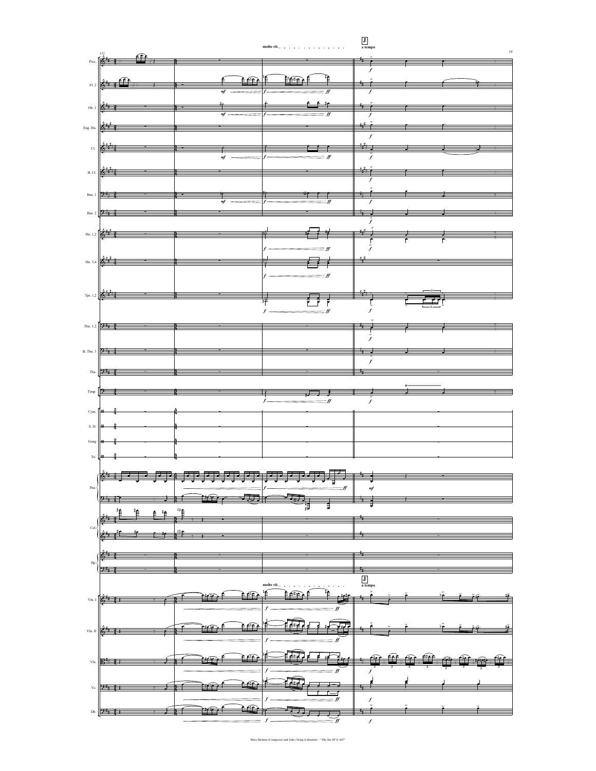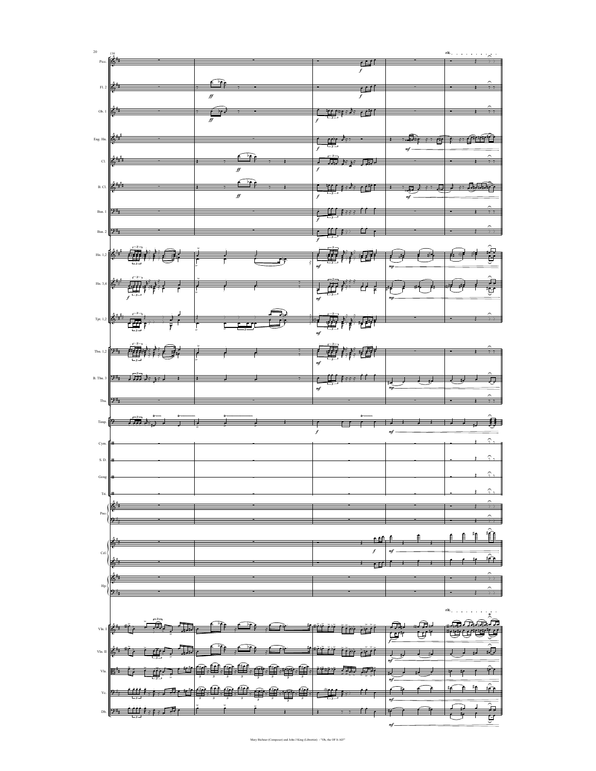| 20                              | 136                    |                                                                                                                                                                                          |                                     |                                |               |                                                                                                                                                                                                                                                                                                                                                     |   |                             |
|---------------------------------|------------------------|------------------------------------------------------------------------------------------------------------------------------------------------------------------------------------------|-------------------------------------|--------------------------------|---------------|-----------------------------------------------------------------------------------------------------------------------------------------------------------------------------------------------------------------------------------------------------------------------------------------------------------------------------------------------------|---|-----------------------------|
| Picc.                           |                        |                                                                                                                                                                                          |                                     |                                |               |                                                                                                                                                                                                                                                                                                                                                     |   |                             |
|                                 |                        |                                                                                                                                                                                          |                                     |                                |               |                                                                                                                                                                                                                                                                                                                                                     |   |                             |
| $\rm{Fl.}$ 2                    |                        |                                                                                                                                                                                          |                                     |                                |               |                                                                                                                                                                                                                                                                                                                                                     |   |                             |
|                                 |                        | $f\hspace{-0.1cm}f$                                                                                                                                                                      |                                     |                                | ा             |                                                                                                                                                                                                                                                                                                                                                     |   |                             |
|                                 |                        |                                                                                                                                                                                          |                                     |                                |               |                                                                                                                                                                                                                                                                                                                                                     |   |                             |
| Ob.1                            |                        | $f\hspace{-0.1cm}f$                                                                                                                                                                      |                                     | $\frac{1}{f}$                  |               |                                                                                                                                                                                                                                                                                                                                                     |   |                             |
|                                 |                        |                                                                                                                                                                                          |                                     |                                |               |                                                                                                                                                                                                                                                                                                                                                     |   |                             |
| Eng. Hn.                        |                        |                                                                                                                                                                                          |                                     | ₩                              |               | 兵                                                                                                                                                                                                                                                                                                                                                   | 鼀 | ₫É                          |
|                                 |                        |                                                                                                                                                                                          |                                     |                                |               |                                                                                                                                                                                                                                                                                                                                                     |   |                             |
|                                 | $C1$ $\frac{1}{2}$     |                                                                                                                                                                                          |                                     | ਰ                              | 原             |                                                                                                                                                                                                                                                                                                                                                     |   |                             |
|                                 |                        | $f\hspace{-0.1cm}f$                                                                                                                                                                      |                                     |                                |               |                                                                                                                                                                                                                                                                                                                                                     |   |                             |
| $\, {\bf B}.\, {\bf C} {\bf L}$ |                        |                                                                                                                                                                                          |                                     |                                |               |                                                                                                                                                                                                                                                                                                                                                     |   |                             |
|                                 |                        | $f\hspace{-0.1cm}f$                                                                                                                                                                      |                                     | Ļ                              |               | 显大<br>mf                                                                                                                                                                                                                                                                                                                                            |   |                             |
|                                 |                        |                                                                                                                                                                                          |                                     |                                |               |                                                                                                                                                                                                                                                                                                                                                     |   |                             |
| Bsn. 1                          |                        |                                                                                                                                                                                          |                                     | U,                             |               |                                                                                                                                                                                                                                                                                                                                                     |   |                             |
|                                 |                        |                                                                                                                                                                                          |                                     |                                |               |                                                                                                                                                                                                                                                                                                                                                     |   |                             |
| Bsn. 2                          |                        |                                                                                                                                                                                          |                                     |                                |               |                                                                                                                                                                                                                                                                                                                                                     |   |                             |
|                                 |                        |                                                                                                                                                                                          |                                     |                                |               |                                                                                                                                                                                                                                                                                                                                                     |   |                             |
| $\frac{Hn. 1, 2}{2}$            | 舉                      |                                                                                                                                                                                          | $\overline{\overline{\mathcal{P}}}$ | 重勝隊種                           |               |                                                                                                                                                                                                                                                                                                                                                     |   | ia<br>U                     |
|                                 |                        |                                                                                                                                                                                          |                                     |                                |               | $_{\boldsymbol{m} \boldsymbol{p}}$                                                                                                                                                                                                                                                                                                                  |   |                             |
|                                 |                        |                                                                                                                                                                                          |                                     |                                |               |                                                                                                                                                                                                                                                                                                                                                     |   |                             |
|                                 | Hn 3,4 $\frac{2+1}{2}$ |                                                                                                                                                                                          | ┮                                   | $\frac{1}{\sqrt{\frac{1}{n}}}$ | $\frac{4}{5}$ | $\begin{picture}(220,20) \put(0,0){\line(1,0){10}} \put(15,0){\line(1,0){10}} \put(15,0){\line(1,0){10}} \put(15,0){\line(1,0){10}} \put(15,0){\line(1,0){10}} \put(15,0){\line(1,0){10}} \put(15,0){\line(1,0){10}} \put(15,0){\line(1,0){10}} \put(15,0){\line(1,0){10}} \put(15,0){\line(1,0){10}} \put(15,0){\line(1,0){10}} \put(15,0){\line($ |   | हि<br>尹                     |
|                                 |                        |                                                                                                                                                                                          |                                     |                                |               |                                                                                                                                                                                                                                                                                                                                                     |   |                             |
|                                 | $\frac{2}{\sqrt{2}}$   |                                                                                                                                                                                          |                                     |                                |               |                                                                                                                                                                                                                                                                                                                                                     |   |                             |
| Tpt. 1,2                        |                        | <u>ر کرنے کے لئے کا مختلف کے لئے جواب</u> ے کے لئے ان کے لئے جاتا ہے۔<br>پاکستان کے لئے کہا کہ ان کے لئے کا مختلف کے لئے کا مختلف کے لئے کا کہنا ہے کہ ان کا مختلف کے لئے کہا کہ ان کا ک |                                     |                                |               |                                                                                                                                                                                                                                                                                                                                                     |   |                             |
|                                 |                        |                                                                                                                                                                                          |                                     |                                |               |                                                                                                                                                                                                                                                                                                                                                     |   |                             |
|                                 | Ø                      |                                                                                                                                                                                          |                                     |                                |               |                                                                                                                                                                                                                                                                                                                                                     |   |                             |
| Tbn. 1,2                        |                        |                                                                                                                                                                                          |                                     | $\Box$                         | 稥             |                                                                                                                                                                                                                                                                                                                                                     |   |                             |
|                                 |                        |                                                                                                                                                                                          |                                     |                                |               |                                                                                                                                                                                                                                                                                                                                                     |   |                             |
| $\, {\bf B}.$ Tbn. $3$          | <u> П. на п</u>        |                                                                                                                                                                                          |                                     |                                |               |                                                                                                                                                                                                                                                                                                                                                     |   |                             |
|                                 |                        |                                                                                                                                                                                          |                                     | $_{mf}$                        |               | 天神                                                                                                                                                                                                                                                                                                                                                  |   |                             |
|                                 | Tba. $\frac{1}{2}$     |                                                                                                                                                                                          |                                     |                                |               |                                                                                                                                                                                                                                                                                                                                                     |   |                             |
|                                 |                        |                                                                                                                                                                                          |                                     |                                |               |                                                                                                                                                                                                                                                                                                                                                     |   |                             |
| Timp.                           |                        |                                                                                                                                                                                          |                                     |                                |               |                                                                                                                                                                                                                                                                                                                                                     |   |                             |
|                                 |                        |                                                                                                                                                                                          |                                     | f                              |               |                                                                                                                                                                                                                                                                                                                                                     |   |                             |
| Cym.                            |                        |                                                                                                                                                                                          |                                     |                                |               |                                                                                                                                                                                                                                                                                                                                                     |   | ଼                           |
| S. D.                           |                        |                                                                                                                                                                                          |                                     |                                |               |                                                                                                                                                                                                                                                                                                                                                     |   | ٤                           |
|                                 |                        |                                                                                                                                                                                          |                                     |                                |               |                                                                                                                                                                                                                                                                                                                                                     |   |                             |
| Gong                            |                        |                                                                                                                                                                                          |                                     |                                |               |                                                                                                                                                                                                                                                                                                                                                     |   |                             |
| Tri.                            | Đ                      |                                                                                                                                                                                          |                                     |                                |               |                                                                                                                                                                                                                                                                                                                                                     |   | $\hat{\cdot}$               |
|                                 |                        |                                                                                                                                                                                          |                                     |                                |               |                                                                                                                                                                                                                                                                                                                                                     |   |                             |
| Pno.                            |                        |                                                                                                                                                                                          |                                     |                                |               |                                                                                                                                                                                                                                                                                                                                                     |   |                             |
|                                 |                        |                                                                                                                                                                                          |                                     |                                |               |                                                                                                                                                                                                                                                                                                                                                     |   |                             |
|                                 | ≕                      |                                                                                                                                                                                          |                                     |                                |               |                                                                                                                                                                                                                                                                                                                                                     |   |                             |
|                                 |                        |                                                                                                                                                                                          |                                     |                                |               |                                                                                                                                                                                                                                                                                                                                                     |   |                             |
|                                 |                        |                                                                                                                                                                                          |                                     |                                | ≝             |                                                                                                                                                                                                                                                                                                                                                     |   | $\mathbf{f}$<br>隼<br>₽      |
| Cel.                            |                        |                                                                                                                                                                                          |                                     |                                |               | mf                                                                                                                                                                                                                                                                                                                                                  |   |                             |
|                                 |                        |                                                                                                                                                                                          |                                     |                                | ਦਾ            |                                                                                                                                                                                                                                                                                                                                                     |   | ♧                           |
|                                 |                        |                                                                                                                                                                                          |                                     |                                |               |                                                                                                                                                                                                                                                                                                                                                     |   |                             |
| Hp.                             |                        |                                                                                                                                                                                          |                                     |                                |               |                                                                                                                                                                                                                                                                                                                                                     |   |                             |
|                                 | ₩                      |                                                                                                                                                                                          |                                     |                                |               |                                                                                                                                                                                                                                                                                                                                                     |   |                             |
|                                 |                        |                                                                                                                                                                                          |                                     |                                |               |                                                                                                                                                                                                                                                                                                                                                     |   | rit.                        |
|                                 |                        |                                                                                                                                                                                          |                                     |                                |               |                                                                                                                                                                                                                                                                                                                                                     |   |                             |
| $\mathbf{V}\mathbf{ln}.$        |                        |                                                                                                                                                                                          |                                     | <b>The</b>                     | ेटा।          |                                                                                                                                                                                                                                                                                                                                                     | ∰ | <b>GELDEN AND</b>           |
|                                 |                        |                                                                                                                                                                                          |                                     |                                |               |                                                                                                                                                                                                                                                                                                                                                     | Ţ |                             |
| $\mathbf{V}\mathbf{ln}.$ II     | Ļ.<br>₽                |                                                                                                                                                                                          |                                     | <u>mer</u><br><b>Ta</b>        | खेंगें        | 厚<br>₩                                                                                                                                                                                                                                                                                                                                              | 卖 | $\hat{\vec{v}}$             |
|                                 |                        | fr€                                                                                                                                                                                      |                                     |                                |               | m)                                                                                                                                                                                                                                                                                                                                                  |   |                             |
| Vla.                            |                        | û, î                                                                                                                                                                                     | €Ê<br>ا≝<br>弚                       | ्रा,<br>$-100 - 5$             | 辱             |                                                                                                                                                                                                                                                                                                                                                     |   | Ê                           |
|                                 |                        |                                                                                                                                                                                          |                                     |                                |               | m f                                                                                                                                                                                                                                                                                                                                                 |   | 柜                           |
| Vc.                             | ≖                      |                                                                                                                                                                                          | 26, 27, 27, 27<br>۴Ħ                |                                |               | mf.                                                                                                                                                                                                                                                                                                                                                 |   | ≙                           |
| Db.                             | 코                      |                                                                                                                                                                                          |                                     |                                |               | ۰                                                                                                                                                                                                                                                                                                                                                   |   | $\frac{1}{\mathbf{P}}$<br>Ø |

mf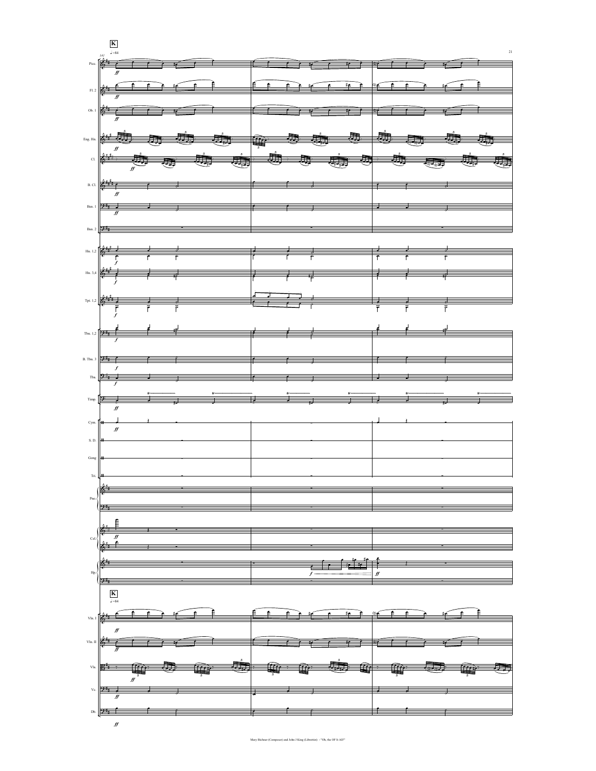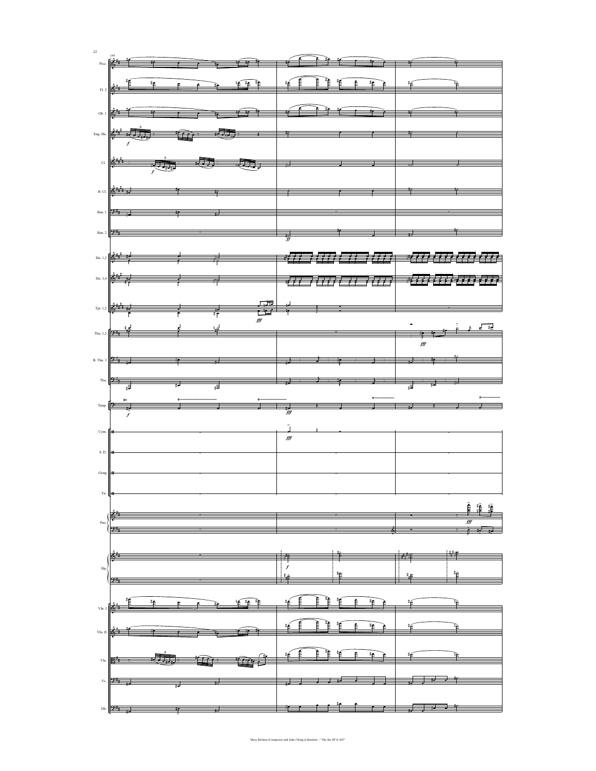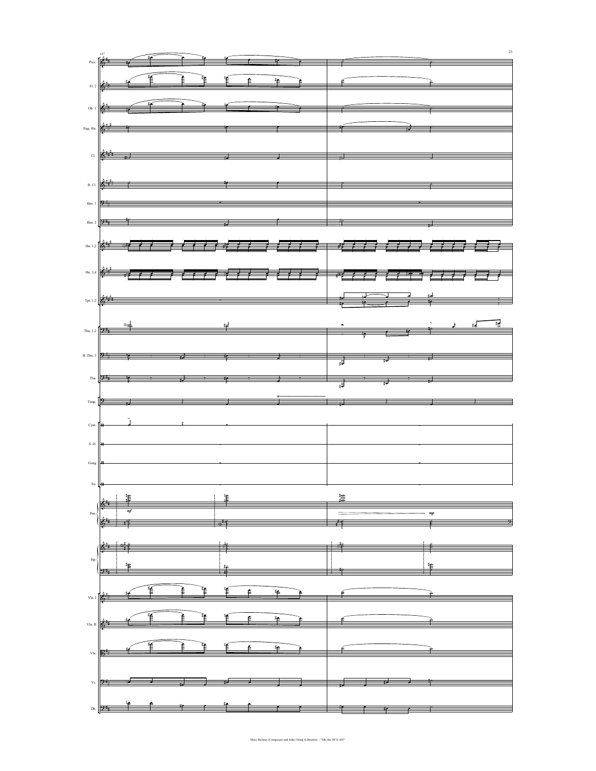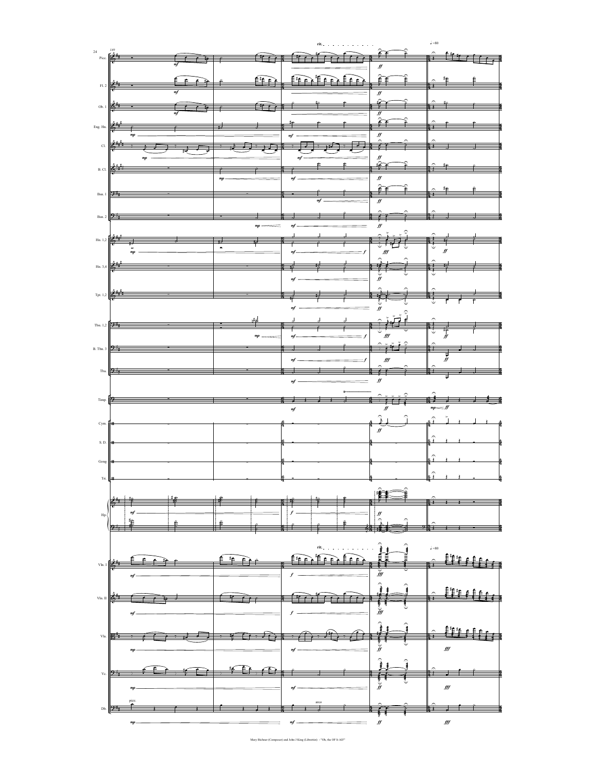

Mary Bichner (Composer) and John J King (Librettist) - "Oh, the OF It All!"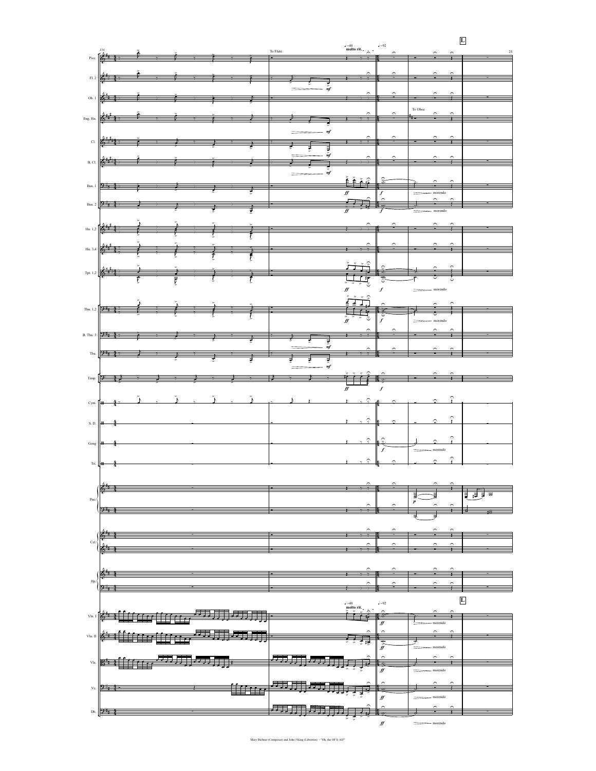|                           |                                              |                                                 |                      |     |   |           |        |        |              |              |                      |                                  | $=40$                                           |                       |               |                        | $\overline{\text{L}}$ |      |    |
|---------------------------|----------------------------------------------|-------------------------------------------------|----------------------|-----|---|-----------|--------|--------|--------------|--------------|----------------------|----------------------------------|-------------------------------------------------|-----------------------|---------------|------------------------|-----------------------|------|----|
| $_{\rm Picc.}$            | $6 - 1$                                      |                                                 |                      |     |   |           |        |        |              | To Flute     |                      |                                  | $\frac{1}{2}$ molto rit                         | ₩                     |               |                        |                       |      | 25 |
|                           |                                              |                                                 |                      |     |   |           |        |        |              |              |                      |                                  |                                                 |                       |               |                        |                       |      |    |
| FL.2                      | $\frac{2}{6}$ $\frac{1}{4}$                  |                                                 |                      |     |   |           |        |        |              |              |                      |                                  |                                                 |                       |               |                        |                       |      |    |
|                           |                                              |                                                 |                      |     |   |           |        |        |              |              |                      | $\frac{5}{\pi f}$                |                                                 |                       |               |                        |                       |      |    |
| Ob. $\boldsymbol{1}$      | 6                                            |                                                 |                      |     |   |           |        |        |              |              |                      |                                  |                                                 |                       |               |                        |                       |      |    |
| ${\rm Eng.}$ Hn.          | $\epsilon$                                   |                                                 |                      |     |   |           |        |        |              |              |                      |                                  |                                                 |                       | To Oboe       |                        |                       |      |    |
|                           |                                              |                                                 |                      |     |   |           |        |        |              |              |                      |                                  |                                                 |                       |               |                        |                       |      |    |
|                           | $C.$ $8.72$                                  |                                                 |                      |     |   |           |        |        |              |              |                      | mf                               | c                                               |                       |               |                        |                       |      |    |
|                           |                                              |                                                 |                      |     |   |           |        |        |              | ₹            | Į                    | $\bar{m}f$                       |                                                 |                       |               |                        |                       |      |    |
|                           | B. Cl. $\frac{2}{5}$                         |                                                 |                      |     |   |           |        |        |              |              |                      |                                  |                                                 |                       |               |                        |                       |      |    |
|                           |                                              |                                                 |                      |     |   |           |        |        |              |              |                      | $\stackrel{\frown}{\mathit{mf}}$ |                                                 |                       |               |                        |                       |      |    |
| $\operatorname{Bsn.}$ 1   | 24.1                                         |                                                 |                      |     |   |           |        | ₹      |              |              |                      |                                  | ≛∔<br><u>èê</u>                                 |                       |               |                        |                       |      |    |
|                           |                                              |                                                 |                      |     |   |           |        |        |              |              |                      |                                  | $\overline{f}$                                  |                       |               |                        |                       |      |    |
|                           | Bsn. 2 $2^{n}$                               |                                                 |                      |     |   |           |        | ₹      |              |              |                      |                                  | $\int_{f}$                                      |                       |               | morendo                |                       |      |    |
|                           | $Hn. 1, 2$ $8 + 1$                           |                                                 |                      |     |   |           |        |        |              |              |                      |                                  | ₹                                               |                       |               |                        |                       |      |    |
|                           |                                              |                                                 |                      |     |   |           |        |        |              |              |                      |                                  |                                                 |                       |               |                        |                       |      |    |
| Hn. 3,4                   | $\frac{1}{2}$                                |                                                 |                      |     |   |           |        |        |              |              |                      |                                  |                                                 |                       |               |                        |                       |      |    |
|                           |                                              |                                                 |                      |     |   |           |        | ₹      |              |              |                      |                                  | ÷ 2                                             |                       |               |                        |                       |      |    |
|                           | Tpt. 1,2 $\frac{2}{5}$                       |                                                 | $\frac{1}{\sqrt{2}}$ |     |   |           |        |        |              |              |                      |                                  |                                                 |                       |               |                        |                       |      |    |
|                           |                                              |                                                 |                      |     | Ī |           |        | ţ      |              |              |                      |                                  | ्री<br>ff                                       |                       |               | morendo                |                       |      |    |
|                           |                                              |                                                 |                      |     |   |           |        |        |              |              |                      |                                  |                                                 |                       |               |                        |                       |      |    |
|                           | Tbn. 1,2 $2^{\frac{2}{3}}$ $2^{\frac{3}{2}}$ |                                                 |                      |     |   |           |        |        |              |              |                      |                                  |                                                 |                       |               |                        |                       |      |    |
|                           |                                              |                                                 |                      |     |   |           |        |        |              |              |                      |                                  | Ę<br>$\frac{1}{f}$                              | 零ヶ                    |               | morendo                |                       |      |    |
| $\, {\bf B}.$ Tbn. $3$    | 94                                           |                                                 |                      |     |   |           |        |        |              |              | Ţ                    |                                  | $\triangle$                                     |                       |               |                        |                       |      |    |
|                           |                                              |                                                 |                      |     |   |           |        |        |              |              |                      | TI<br>W                          |                                                 |                       |               |                        |                       |      |    |
| Tba.                      | $\mathcal{P}^*$                              |                                                 |                      |     |   |           |        | ₹      |              | ₹            | Ţ                    | ţ                                |                                                 |                       |               |                        |                       |      |    |
|                           |                                              |                                                 |                      |     |   |           |        |        |              |              |                      | mf                               |                                                 |                       |               |                        |                       |      |    |
| Timp.                     | 2                                            |                                                 |                      |     |   |           |        |        |              |              |                      |                                  | $f\hspace{-0.1cm}f$                             | ∦.∘<br>$\overline{f}$ |               |                        |                       |      |    |
|                           |                                              |                                                 |                      |     |   |           |        |        |              |              |                      |                                  |                                                 |                       |               |                        |                       |      |    |
|                           |                                              |                                                 |                      |     |   |           |        |        | $\mathsf{h}$ | $\mathsf{h}$ |                      |                                  | $\hat{\mathfrak{X}}$                            | 46<br>$\hat{ }$       |               | Ţ<br>$\mathbf{\Omega}$ |                       |      |    |
| Cym.                      | #                                            | $\frac{4}{4}$                                   |                      |     |   |           |        |        |              |              |                      |                                  |                                                 |                       |               |                        |                       |      |    |
| S.D.                      |                                              | 4                                               |                      |     |   |           |        |        |              |              |                      |                                  | $\hat{\mathcal{L}}$                             |                       |               | ଼ି<br>$\hat{z}$        |                       |      |    |
|                           |                                              |                                                 |                      |     |   |           |        |        |              |              |                      |                                  |                                                 |                       |               | $\sim$                 |                       |      |    |
| $\operatorname{Gong}$     | +                                            |                                                 |                      |     |   |           |        |        |              |              |                      |                                  | $\widehat{\mathcal{L}}$                         |                       |               | morendo                |                       |      |    |
| Tri. H                    | $\rightarrow$                                |                                                 |                      |     |   |           |        |        |              |              |                      |                                  | ç                                               | റ                     |               |                        |                       |      |    |
|                           |                                              |                                                 |                      |     |   |           |        |        |              |              |                      |                                  |                                                 |                       |               |                        |                       |      |    |
|                           |                                              |                                                 |                      |     |   |           |        |        |              |              |                      |                                  |                                                 |                       |               |                        |                       |      |    |
| Pno                       |                                              |                                                 |                      |     |   |           |        |        |              |              |                      |                                  |                                                 |                       | $\frac{1}{p}$ |                        | ₹                     | ,≢ ≢ |    |
|                           |                                              |                                                 |                      |     |   |           |        |        |              |              |                      |                                  |                                                 |                       |               |                        |                       | æ    |    |
|                           |                                              |                                                 |                      |     |   |           |        |        |              |              |                      |                                  |                                                 |                       |               |                        |                       |      |    |
|                           |                                              |                                                 |                      |     |   |           |        |        |              |              |                      |                                  | c<br>₹                                          |                       |               |                        |                       |      |    |
| Cel.                      | ≰                                            |                                                 |                      |     |   |           |        |        |              |              |                      |                                  |                                                 |                       |               |                        |                       |      |    |
|                           |                                              |                                                 |                      |     |   |           |        |        |              |              |                      |                                  |                                                 |                       |               |                        |                       |      |    |
|                           |                                              |                                                 |                      |     |   |           |        |        |              |              |                      |                                  |                                                 |                       |               |                        |                       |      |    |
| Hp                        | - 13                                         |                                                 |                      |     |   |           |        |        |              |              |                      |                                  |                                                 |                       |               |                        |                       |      |    |
|                           |                                              |                                                 |                      |     |   |           |        |        |              |              |                      |                                  |                                                 | $=92$                 |               |                        | $\mathbf L$           |      |    |
| $\mathbf{V}\mathbf{ln}.$  |                                              |                                                 |                      |     |   |           |        |        |              |              |                      |                                  | $\frac{1}{2}$ =40 molto rit. .<br>$\rightarrow$ |                       |               |                        |                       |      |    |
|                           |                                              |                                                 |                      |     |   |           |        | ₽∸     |              |              |                      |                                  |                                                 | ∯                     |               | morendo                |                       |      |    |
| $\mathbf{V}\text{ln}.$ II |                                              |                                                 | $\mathbf{r}$         |     |   |           |        | 233333 |              |              |                      |                                  |                                                 |                       |               |                        |                       |      |    |
|                           |                                              |                                                 |                      |     |   |           |        |        |              |              |                      |                                  | ग्तू                                            | $\frac{1}{2}$         |               | morendo                |                       |      |    |
| $_{\rm Vla}$              |                                              | $\mathbb{B}^{\sharp_2}$ if $\bigcup$ if it is a |                      | ,,, |   | <u>a,</u> | 月<br>⋣ |        |              | ΣJ,          | ∏ मा                 |                                  |                                                 | R                     |               |                        |                       |      |    |
|                           |                                              |                                                 |                      |     |   |           |        |        |              |              |                      |                                  | Ţ                                               | f f                   |               | morendo                |                       |      |    |
| Vc.                       | ) i.                                         |                                                 |                      |     |   |           |        | ستاتلا |              | ررد          | ▅                    |                                  |                                                 | ∦ ∈                   |               |                        |                       |      |    |
|                           |                                              |                                                 |                      |     |   |           |        |        |              |              |                      |                                  | ≢                                               | $f\hspace{-0.1cm}f$   |               | morendo                |                       |      |    |
| $\mathsf{Db}.$            | データ                                          |                                                 |                      |     |   |           |        |        |              |              | <u>त्रम् मानुनम्</u> |                                  | <del>] {µ</del> ∦ ∝                             | c                     |               |                        |                       |      |    |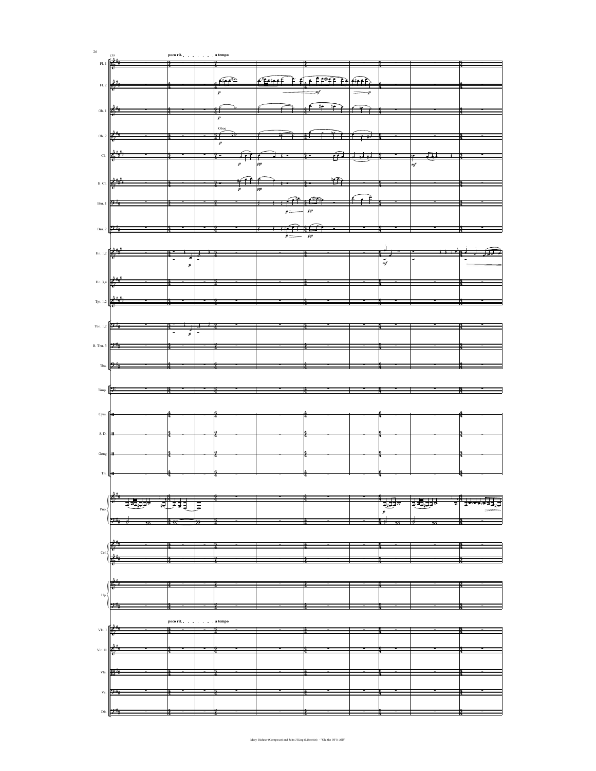